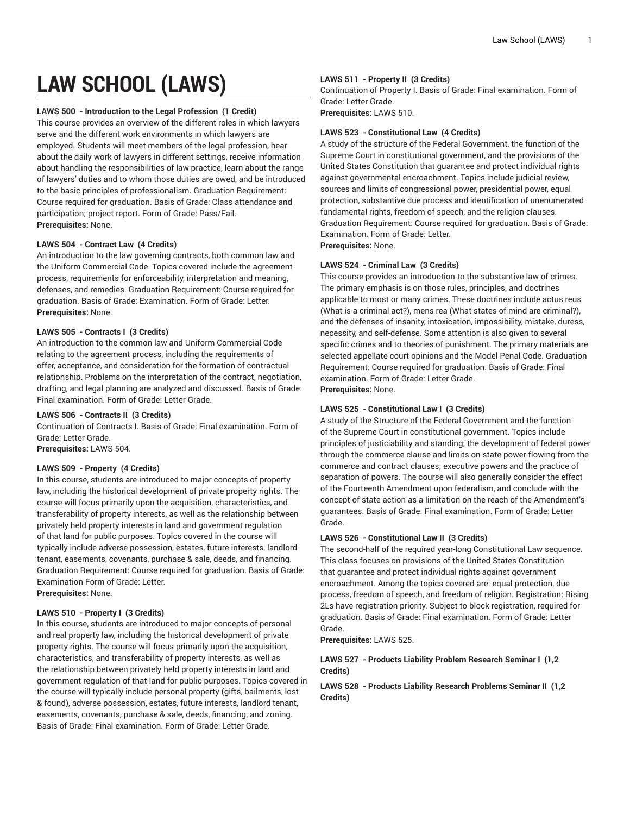# **LAW SCHOOL (LAWS)**

# **LAWS 500 - Introduction to the Legal Profession (1 Credit)**

This course provides an overview of the different roles in which lawyers serve and the different work environments in which lawyers are employed. Students will meet members of the legal profession, hear about the daily work of lawyers in different settings, receive information about handling the responsibilities of law practice, learn about the range of lawyers' duties and to whom those duties are owed, and be introduced to the basic principles of professionalism. Graduation Requirement: Course required for graduation. Basis of Grade: Class attendance and participation; project report. Form of Grade: Pass/Fail. **Prerequisites:** None.

# **LAWS 504 - Contract Law (4 Credits)**

An introduction to the law governing contracts, both common law and the Uniform Commercial Code. Topics covered include the agreement process, requirements for enforceability, interpretation and meaning, defenses, and remedies. Graduation Requirement: Course required for graduation. Basis of Grade: Examination. Form of Grade: Letter. **Prerequisites:** None.

# **LAWS 505 - Contracts I (3 Credits)**

An introduction to the common law and Uniform Commercial Code relating to the agreement process, including the requirements of offer, acceptance, and consideration for the formation of contractual relationship. Problems on the interpretation of the contract, negotiation, drafting, and legal planning are analyzed and discussed. Basis of Grade: Final examination. Form of Grade: Letter Grade.

# **LAWS 506 - Contracts II (3 Credits)**

Continuation of Contracts I. Basis of Grade: Final examination. Form of Grade: Letter Grade.

**Prerequisites:** LAWS 504.

# **LAWS 509 - Property (4 Credits)**

In this course, students are introduced to major concepts of property law, including the historical development of private property rights. The course will focus primarily upon the acquisition, characteristics, and transferability of property interests, as well as the relationship between privately held property interests in land and government regulation of that land for public purposes. Topics covered in the course will typically include adverse possession, estates, future interests, landlord tenant, easements, covenants, purchase & sale, deeds, and financing. Graduation Requirement: Course required for graduation. Basis of Grade: Examination Form of Grade: Letter. **Prerequisites:** None.

# **LAWS 510 - Property I (3 Credits)**

In this course, students are introduced to major concepts of personal and real property law, including the historical development of private property rights. The course will focus primarily upon the acquisition, characteristics, and transferability of property interests, as well as the relationship between privately held property interests in land and government regulation of that land for public purposes. Topics covered in the course will typically include personal property (gifts, bailments, lost & found), adverse possession, estates, future interests, landlord tenant, easements, covenants, purchase & sale, deeds, financing, and zoning. Basis of Grade: Final examination. Form of Grade: Letter Grade.

# **LAWS 511 - Property II (3 Credits)**

Continuation of Property I. Basis of Grade: Final examination. Form of Grade: Letter Grade.

**Prerequisites:** LAWS 510.

#### **LAWS 523 - Constitutional Law (4 Credits)**

A study of the structure of the Federal Government, the function of the Supreme Court in constitutional government, and the provisions of the United States Constitution that guarantee and protect individual rights against governmental encroachment. Topics include judicial review, sources and limits of congressional power, presidential power, equal protection, substantive due process and identification of unenumerated fundamental rights, freedom of speech, and the religion clauses. Graduation Requirement: Course required for graduation. Basis of Grade: Examination. Form of Grade: Letter.

**Prerequisites:** None.

# **LAWS 524 - Criminal Law (3 Credits)**

This course provides an introduction to the substantive law of crimes. The primary emphasis is on those rules, principles, and doctrines applicable to most or many crimes. These doctrines include actus reus (What is a criminal act?), mens rea (What states of mind are criminal?), and the defenses of insanity, intoxication, impossibility, mistake, duress, necessity, and self-defense. Some attention is also given to several specific crimes and to theories of punishment. The primary materials are selected appellate court opinions and the Model Penal Code. Graduation Requirement: Course required for graduation. Basis of Grade: Final examination. Form of Grade: Letter Grade. **Prerequisites:** None.

# **LAWS 525 - Constitutional Law I (3 Credits)**

A study of the Structure of the Federal Government and the function of the Supreme Court in constitutional government. Topics include principles of justiciability and standing; the development of federal power through the commerce clause and limits on state power flowing from the commerce and contract clauses; executive powers and the practice of separation of powers. The course will also generally consider the effect of the Fourteenth Amendment upon federalism, and conclude with the concept of state action as a limitation on the reach of the Amendment's guarantees. Basis of Grade: Final examination. Form of Grade: Letter Grade.

# **LAWS 526 - Constitutional Law II (3 Credits)**

The second-half of the required year-long Constitutional Law sequence. This class focuses on provisions of the United States Constitution that guarantee and protect individual rights against government encroachment. Among the topics covered are: equal protection, due process, freedom of speech, and freedom of religion. Registration: Rising 2Ls have registration priority. Subject to block registration, required for graduation. Basis of Grade: Final examination. Form of Grade: Letter Grade.

**Prerequisites:** LAWS 525.

# **LAWS 527 - Products Liability Problem Research Seminar I (1,2 Credits)**

**LAWS 528 - Products Liability Research Problems Seminar II (1,2 Credits)**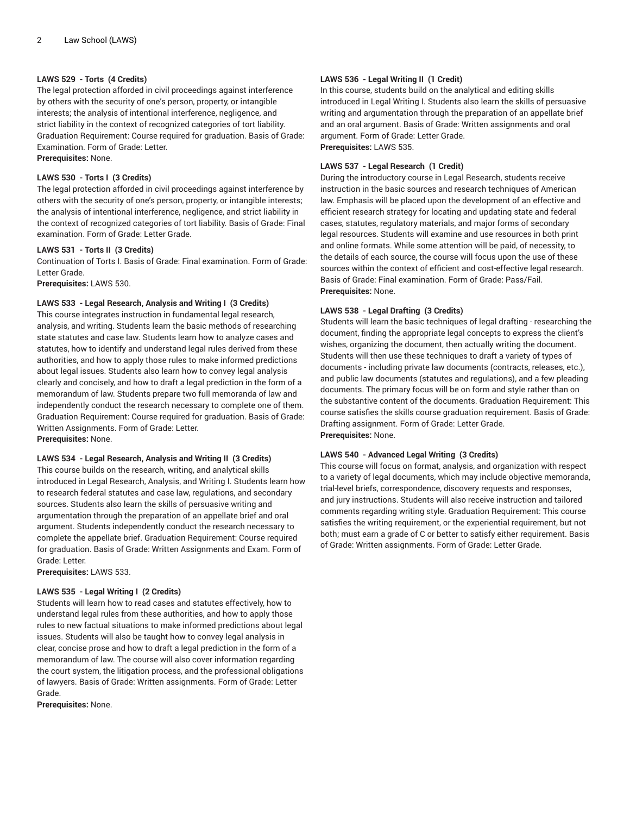# **LAWS 529 - Torts (4 Credits)**

The legal protection afforded in civil proceedings against interference by others with the security of one's person, property, or intangible interests; the analysis of intentional interference, negligence, and strict liability in the context of recognized categories of tort liability. Graduation Requirement: Course required for graduation. Basis of Grade: Examination. Form of Grade: Letter.

**Prerequisites:** None.

# **LAWS 530 - Torts I (3 Credits)**

The legal protection afforded in civil proceedings against interference by others with the security of one's person, property, or intangible interests; the analysis of intentional interference, negligence, and strict liability in the context of recognized categories of tort liability. Basis of Grade: Final examination. Form of Grade: Letter Grade.

# **LAWS 531 - Torts II (3 Credits)**

Continuation of Torts I. Basis of Grade: Final examination. Form of Grade: Letter Grade.

**Prerequisites:** LAWS 530.

# **LAWS 533 - Legal Research, Analysis and Writing I (3 Credits)**

This course integrates instruction in fundamental legal research, analysis, and writing. Students learn the basic methods of researching state statutes and case law. Students learn how to analyze cases and statutes, how to identify and understand legal rules derived from these authorities, and how to apply those rules to make informed predictions about legal issues. Students also learn how to convey legal analysis clearly and concisely, and how to draft a legal prediction in the form of a memorandum of law. Students prepare two full memoranda of law and independently conduct the research necessary to complete one of them. Graduation Requirement: Course required for graduation. Basis of Grade: Written Assignments. Form of Grade: Letter. **Prerequisites:** None.

# **LAWS 534 - Legal Research, Analysis and Writing II (3 Credits)**

This course builds on the research, writing, and analytical skills introduced in Legal Research, Analysis, and Writing I. Students learn how to research federal statutes and case law, regulations, and secondary sources. Students also learn the skills of persuasive writing and argumentation through the preparation of an appellate brief and oral argument. Students independently conduct the research necessary to complete the appellate brief. Graduation Requirement: Course required for graduation. Basis of Grade: Written Assignments and Exam. Form of Grade: Letter.

**Prerequisites:** LAWS 533.

# **LAWS 535 - Legal Writing I (2 Credits)**

Students will learn how to read cases and statutes effectively, how to understand legal rules from these authorities, and how to apply those rules to new factual situations to make informed predictions about legal issues. Students will also be taught how to convey legal analysis in clear, concise prose and how to draft a legal prediction in the form of a memorandum of law. The course will also cover information regarding the court system, the litigation process, and the professional obligations of lawyers. Basis of Grade: Written assignments. Form of Grade: Letter Grade.

**Prerequisites:** None.

# **LAWS 536 - Legal Writing II (1 Credit)**

In this course, students build on the analytical and editing skills introduced in Legal Writing I. Students also learn the skills of persuasive writing and argumentation through the preparation of an appellate brief and an oral argument. Basis of Grade: Written assignments and oral argument. Form of Grade: Letter Grade. **Prerequisites:** LAWS 535.

# **LAWS 537 - Legal Research (1 Credit)**

During the introductory course in Legal Research, students receive instruction in the basic sources and research techniques of American law. Emphasis will be placed upon the development of an effective and efficient research strategy for locating and updating state and federal cases, statutes, regulatory materials, and major forms of secondary legal resources. Students will examine and use resources in both print and online formats. While some attention will be paid, of necessity, to the details of each source, the course will focus upon the use of these sources within the context of efficient and cost-effective legal research. Basis of Grade: Final examination. Form of Grade: Pass/Fail. **Prerequisites:** None.

# **LAWS 538 - Legal Drafting (3 Credits)**

Students will learn the basic techniques of legal drafting - researching the document, finding the appropriate legal concepts to express the client's wishes, organizing the document, then actually writing the document. Students will then use these techniques to draft a variety of types of documents - including private law documents (contracts, releases, etc.), and public law documents (statutes and regulations), and a few pleading documents. The primary focus will be on form and style rather than on the substantive content of the documents. Graduation Requirement: This course satisfies the skills course graduation requirement. Basis of Grade: Drafting assignment. Form of Grade: Letter Grade. **Prerequisites:** None.

# **LAWS 540 - Advanced Legal Writing (3 Credits)**

This course will focus on format, analysis, and organization with respect to a variety of legal documents, which may include objective memoranda, trial-level briefs, correspondence, discovery requests and responses, and jury instructions. Students will also receive instruction and tailored comments regarding writing style. Graduation Requirement: This course satisfies the writing requirement, or the experiential requirement, but not both; must earn a grade of C or better to satisfy either requirement. Basis of Grade: Written assignments. Form of Grade: Letter Grade.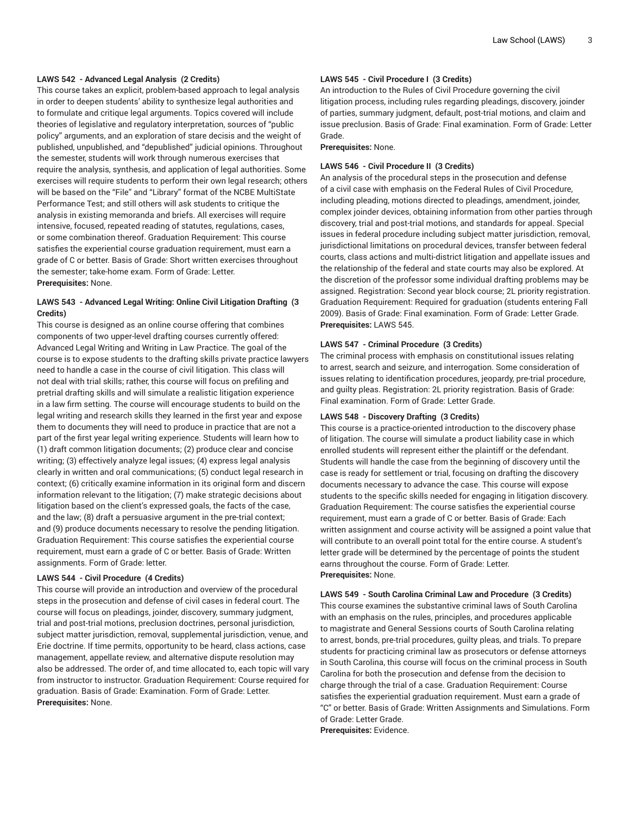# **LAWS 542 - Advanced Legal Analysis (2 Credits)**

This course takes an explicit, problem-based approach to legal analysis in order to deepen students' ability to synthesize legal authorities and to formulate and critique legal arguments. Topics covered will include theories of legislative and regulatory interpretation, sources of "public policy" arguments, and an exploration of stare decisis and the weight of published, unpublished, and "depublished" judicial opinions. Throughout the semester, students will work through numerous exercises that require the analysis, synthesis, and application of legal authorities. Some exercises will require students to perform their own legal research; others will be based on the "File" and "Library" format of the NCBE MultiState Performance Test; and still others will ask students to critique the analysis in existing memoranda and briefs. All exercises will require intensive, focused, repeated reading of statutes, regulations, cases, or some combination thereof. Graduation Requirement: This course satisfies the experiential course graduation requirement, must earn a grade of C or better. Basis of Grade: Short written exercises throughout the semester; take-home exam. Form of Grade: Letter. **Prerequisites:** None.

# **LAWS 543 - Advanced Legal Writing: Online Civil Litigation Drafting (3 Credits)**

This course is designed as an online course offering that combines components of two upper-level drafting courses currently offered: Advanced Legal Writing and Writing in Law Practice. The goal of the course is to expose students to the drafting skills private practice lawyers need to handle a case in the course of civil litigation. This class will not deal with trial skills; rather, this course will focus on prefiling and pretrial drafting skills and will simulate a realistic litigation experience in a law firm setting. The course will encourage students to build on the legal writing and research skills they learned in the first year and expose them to documents they will need to produce in practice that are not a part of the first year legal writing experience. Students will learn how to (1) draft common litigation documents; (2) produce clear and concise writing; (3) effectively analyze legal issues; (4) express legal analysis clearly in written and oral communications; (5) conduct legal research in context; (6) critically examine information in its original form and discern information relevant to the litigation; (7) make strategic decisions about litigation based on the client's expressed goals, the facts of the case, and the law; (8) draft a persuasive argument in the pre-trial context; and (9) produce documents necessary to resolve the pending litigation. Graduation Requirement: This course satisfies the experiential course requirement, must earn a grade of C or better. Basis of Grade: Written assignments. Form of Grade: letter.

# **LAWS 544 - Civil Procedure (4 Credits)**

This course will provide an introduction and overview of the procedural steps in the prosecution and defense of civil cases in federal court. The course will focus on pleadings, joinder, discovery, summary judgment, trial and post-trial motions, preclusion doctrines, personal jurisdiction, subject matter jurisdiction, removal, supplemental jurisdiction, venue, and Erie doctrine. If time permits, opportunity to be heard, class actions, case management, appellate review, and alternative dispute resolution may also be addressed. The order of, and time allocated to, each topic will vary from instructor to instructor. Graduation Requirement: Course required for graduation. Basis of Grade: Examination. Form of Grade: Letter. **Prerequisites:** None.

# **LAWS 545 - Civil Procedure I (3 Credits)**

An introduction to the Rules of Civil Procedure governing the civil litigation process, including rules regarding pleadings, discovery, joinder of parties, summary judgment, default, post-trial motions, and claim and issue preclusion. Basis of Grade: Final examination. Form of Grade: Letter Grade.

**Prerequisites:** None.

#### **LAWS 546 - Civil Procedure II (3 Credits)**

An analysis of the procedural steps in the prosecution and defense of a civil case with emphasis on the Federal Rules of Civil Procedure, including pleading, motions directed to pleadings, amendment, joinder, complex joinder devices, obtaining information from other parties through discovery, trial and post-trial motions, and standards for appeal. Special issues in federal procedure including subject matter jurisdiction, removal, jurisdictional limitations on procedural devices, transfer between federal courts, class actions and multi-district litigation and appellate issues and the relationship of the federal and state courts may also be explored. At the discretion of the professor some individual drafting problems may be assigned. Registration: Second year block course; 2L priority registration. Graduation Requirement: Required for graduation (students entering Fall 2009). Basis of Grade: Final examination. Form of Grade: Letter Grade. **Prerequisites:** LAWS 545.

#### **LAWS 547 - Criminal Procedure (3 Credits)**

The criminal process with emphasis on constitutional issues relating to arrest, search and seizure, and interrogation. Some consideration of issues relating to identification procedures, jeopardy, pre-trial procedure, and guilty pleas. Registration: 2L priority registration. Basis of Grade: Final examination. Form of Grade: Letter Grade.

#### **LAWS 548 - Discovery Drafting (3 Credits)**

This course is a practice-oriented introduction to the discovery phase of litigation. The course will simulate a product liability case in which enrolled students will represent either the plaintiff or the defendant. Students will handle the case from the beginning of discovery until the case is ready for settlement or trial, focusing on drafting the discovery documents necessary to advance the case. This course will expose students to the specific skills needed for engaging in litigation discovery. Graduation Requirement: The course satisfies the experiential course requirement, must earn a grade of C or better. Basis of Grade: Each written assignment and course activity will be assigned a point value that will contribute to an overall point total for the entire course. A student's letter grade will be determined by the percentage of points the student earns throughout the course. Form of Grade: Letter. **Prerequisites:** None.

**LAWS 549 - South Carolina Criminal Law and Procedure (3 Credits)** This course examines the substantive criminal laws of South Carolina with an emphasis on the rules, principles, and procedures applicable to magistrate and General Sessions courts of South Carolina relating to arrest, bonds, pre-trial procedures, guilty pleas, and trials. To prepare students for practicing criminal law as prosecutors or defense attorneys in South Carolina, this course will focus on the criminal process in South Carolina for both the prosecution and defense from the decision to charge through the trial of a case. Graduation Requirement: Course satisfies the experiential graduation requirement. Must earn a grade of "C" or better. Basis of Grade: Written Assignments and Simulations. Form

```
of Grade: Letter Grade.
```
**Prerequisites:** Evidence.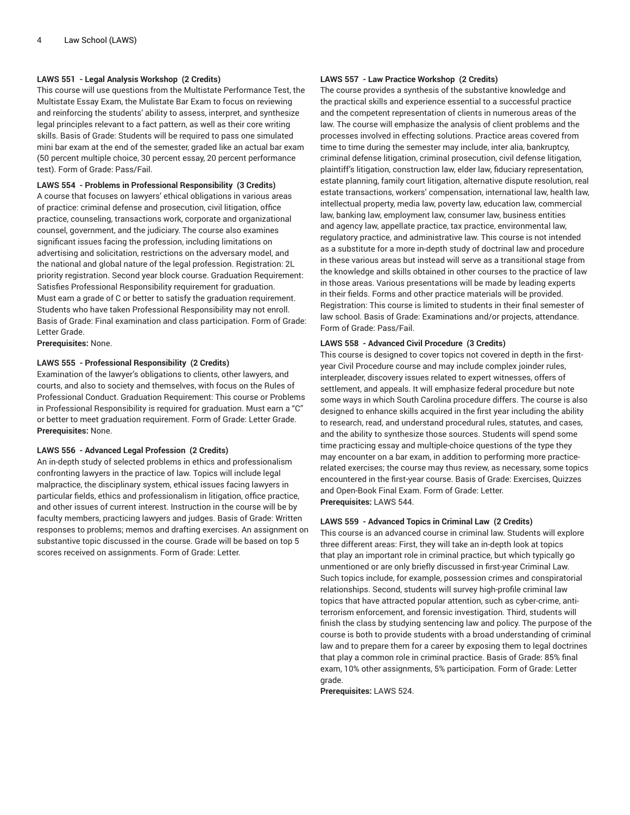# **LAWS 551 - Legal Analysis Workshop (2 Credits)**

This course will use questions from the Multistate Performance Test, the Multistate Essay Exam, the Mulistate Bar Exam to focus on reviewing and reinforcing the students' ability to assess, interpret, and synthesize legal principles relevant to a fact pattern, as well as their core writing skills. Basis of Grade: Students will be required to pass one simulated mini bar exam at the end of the semester, graded like an actual bar exam (50 percent multiple choice, 30 percent essay, 20 percent performance test). Form of Grade: Pass/Fail.

#### **LAWS 554 - Problems in Professional Responsibility (3 Credits)**

A course that focuses on lawyers' ethical obligations in various areas of practice: criminal defense and prosecution, civil litigation, office practice, counseling, transactions work, corporate and organizational counsel, government, and the judiciary. The course also examines significant issues facing the profession, including limitations on advertising and solicitation, restrictions on the adversary model, and the national and global nature of the legal profession. Registration: 2L priority registration. Second year block course. Graduation Requirement: Satisfies Professional Responsibility requirement for graduation. Must earn a grade of C or better to satisfy the graduation requirement. Students who have taken Professional Responsibility may not enroll. Basis of Grade: Final examination and class participation. Form of Grade: Letter Grade.

**Prerequisites:** None.

# **LAWS 555 - Professional Responsibility (2 Credits)**

Examination of the lawyer's obligations to clients, other lawyers, and courts, and also to society and themselves, with focus on the Rules of Professional Conduct. Graduation Requirement: This course or Problems in Professional Responsibility is required for graduation. Must earn a "C" or better to meet graduation requirement. Form of Grade: Letter Grade. **Prerequisites:** None.

#### **LAWS 556 - Advanced Legal Profession (2 Credits)**

An in-depth study of selected problems in ethics and professionalism confronting lawyers in the practice of law. Topics will include legal malpractice, the disciplinary system, ethical issues facing lawyers in particular fields, ethics and professionalism in litigation, office practice, and other issues of current interest. Instruction in the course will be by faculty members, practicing lawyers and judges. Basis of Grade: Written responses to problems; memos and drafting exercises. An assignment on substantive topic discussed in the course. Grade will be based on top 5 scores received on assignments. Form of Grade: Letter.

# **LAWS 557 - Law Practice Workshop (2 Credits)**

The course provides a synthesis of the substantive knowledge and the practical skills and experience essential to a successful practice and the competent representation of clients in numerous areas of the law. The course will emphasize the analysis of client problems and the processes involved in effecting solutions. Practice areas covered from time to time during the semester may include, inter alia, bankruptcy, criminal defense litigation, criminal prosecution, civil defense litigation, plaintiff's litigation, construction law, elder law, fiduciary representation, estate planning, family court litigation, alternative dispute resolution, real estate transactions, workers' compensation, international law, health law, intellectual property, media law, poverty law, education law, commercial law, banking law, employment law, consumer law, business entities and agency law, appellate practice, tax practice, environmental law, regulatory practice, and administrative law. This course is not intended as a substitute for a more in-depth study of doctrinal law and procedure in these various areas but instead will serve as a transitional stage from the knowledge and skills obtained in other courses to the practice of law in those areas. Various presentations will be made by leading experts in their fields. Forms and other practice materials will be provided. Registration: This course is limited to students in their final semester of law school. Basis of Grade: Examinations and/or projects, attendance. Form of Grade: Pass/Fail.

# **LAWS 558 - Advanced Civil Procedure (3 Credits)**

This course is designed to cover topics not covered in depth in the firstyear Civil Procedure course and may include complex joinder rules, interpleader, discovery issues related to expert witnesses, offers of settlement, and appeals. It will emphasize federal procedure but note some ways in which South Carolina procedure differs. The course is also designed to enhance skills acquired in the first year including the ability to research, read, and understand procedural rules, statutes, and cases, and the ability to synthesize those sources. Students will spend some time practicing essay and multiple-choice questions of the type they may encounter on a bar exam, in addition to performing more practicerelated exercises; the course may thus review, as necessary, some topics encountered in the first-year course. Basis of Grade: Exercises, Quizzes and Open-Book Final Exam. Form of Grade: Letter. **Prerequisites:** LAWS 544.

#### **LAWS 559 - Advanced Topics in Criminal Law (2 Credits)**

This course is an advanced course in criminal law. Students will explore three different areas: First, they will take an in-depth look at topics that play an important role in criminal practice, but which typically go unmentioned or are only briefly discussed in first-year Criminal Law. Such topics include, for example, possession crimes and conspiratorial relationships. Second, students will survey high-profile criminal law topics that have attracted popular attention, such as cyber-crime, antiterrorism enforcement, and forensic investigation. Third, students will finish the class by studying sentencing law and policy. The purpose of the course is both to provide students with a broad understanding of criminal law and to prepare them for a career by exposing them to legal doctrines that play a common role in criminal practice. Basis of Grade: 85% final exam, 10% other assignments, 5% participation. Form of Grade: Letter grade.

**Prerequisites:** LAWS 524.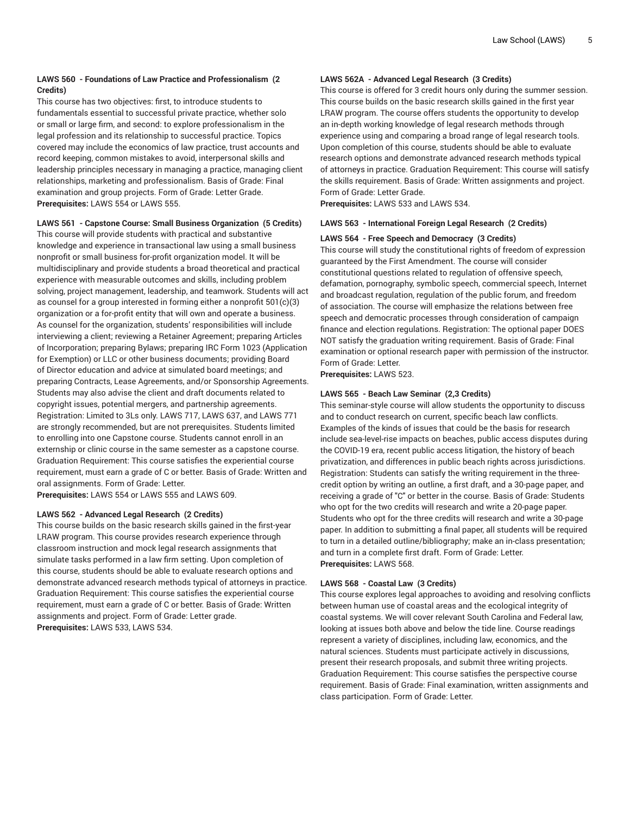# **LAWS 560 - Foundations of Law Practice and Professionalism (2 Credits)**

This course has two objectives: first, to introduce students to fundamentals essential to successful private practice, whether solo or small or large firm, and second: to explore professionalism in the legal profession and its relationship to successful practice. Topics covered may include the economics of law practice, trust accounts and record keeping, common mistakes to avoid, interpersonal skills and leadership principles necessary in managing a practice, managing client relationships, marketing and professionalism. Basis of Grade: Final examination and group projects. Form of Grade: Letter Grade. **Prerequisites:** LAWS 554 or LAWS 555.

**LAWS 561 - Capstone Course: Small Business Organization (5 Credits)**

This course will provide students with practical and substantive knowledge and experience in transactional law using a small business nonprofit or small business for-profit organization model. It will be multidisciplinary and provide students a broad theoretical and practical experience with measurable outcomes and skills, including problem solving, project management, leadership, and teamwork. Students will act as counsel for a group interested in forming either a nonprofit 501(c)(3) organization or a for-profit entity that will own and operate a business. As counsel for the organization, students' responsibilities will include interviewing a client; reviewing a Retainer Agreement; preparing Articles of Incorporation; preparing Bylaws; preparing IRC Form 1023 (Application for Exemption) or LLC or other business documents; providing Board of Director education and advice at simulated board meetings; and preparing Contracts, Lease Agreements, and/or Sponsorship Agreements. Students may also advise the client and draft documents related to copyright issues, potential mergers, and partnership agreements. Registration: Limited to 3Ls only. LAWS 717, LAWS 637, and LAWS 771 are strongly recommended, but are not prerequisites. Students limited to enrolling into one Capstone course. Students cannot enroll in an externship or clinic course in the same semester as a capstone course. Graduation Requirement: This course satisfies the experiential course requirement, must earn a grade of C or better. Basis of Grade: Written and oral assignments. Form of Grade: Letter.

**Prerequisites:** LAWS 554 or LAWS 555 and LAWS 609.

# **LAWS 562 - Advanced Legal Research (2 Credits)**

This course builds on the basic research skills gained in the first-year LRAW program. This course provides research experience through classroom instruction and mock legal research assignments that simulate tasks performed in a law firm setting. Upon completion of this course, students should be able to evaluate research options and demonstrate advanced research methods typical of attorneys in practice. Graduation Requirement: This course satisfies the experiential course requirement, must earn a grade of C or better. Basis of Grade: Written assignments and project. Form of Grade: Letter grade. **Prerequisites:** LAWS 533, LAWS 534.

# **LAWS 562A - Advanced Legal Research (3 Credits)**

This course is offered for 3 credit hours only during the summer session. This course builds on the basic research skills gained in the first year LRAW program. The course offers students the opportunity to develop an in-depth working knowledge of legal research methods through experience using and comparing a broad range of legal research tools. Upon completion of this course, students should be able to evaluate research options and demonstrate advanced research methods typical of attorneys in practice. Graduation Requirement: This course will satisfy the skills requirement. Basis of Grade: Written assignments and project. Form of Grade: Letter Grade.

**Prerequisites:** LAWS 533 and LAWS 534.

#### **LAWS 563 - International Foreign Legal Research (2 Credits)**

#### **LAWS 564 - Free Speech and Democracy (3 Credits)**

This course will study the constitutional rights of freedom of expression guaranteed by the First Amendment. The course will consider constitutional questions related to regulation of offensive speech, defamation, pornography, symbolic speech, commercial speech, Internet and broadcast regulation, regulation of the public forum, and freedom of association. The course will emphasize the relations between free speech and democratic processes through consideration of campaign finance and election regulations. Registration: The optional paper DOES NOT satisfy the graduation writing requirement. Basis of Grade: Final examination or optional research paper with permission of the instructor. Form of Grade: Letter.

**Prerequisites:** LAWS 523.

#### **LAWS 565 - Beach Law Seminar (2,3 Credits)**

This seminar-style course will allow students the opportunity to discuss and to conduct research on current, specific beach law conflicts. Examples of the kinds of issues that could be the basis for research include sea-level-rise impacts on beaches, public access disputes during the COVID-19 era, recent public access litigation, the history of beach privatization, and differences in public beach rights across jurisdictions. Registration: Students can satisfy the writing requirement in the threecredit option by writing an outline, a first draft, and a 30-page paper, and receiving a grade of "C" or better in the course. Basis of Grade: Students who opt for the two credits will research and write a 20-page paper. Students who opt for the three credits will research and write a 30-page paper. In addition to submitting a final paper, all students will be required to turn in a detailed outline/bibliography; make an in-class presentation; and turn in a complete first draft. Form of Grade: Letter. **Prerequisites:** LAWS 568.

#### **LAWS 568 - Coastal Law (3 Credits)**

This course explores legal approaches to avoiding and resolving conflicts between human use of coastal areas and the ecological integrity of coastal systems. We will cover relevant South Carolina and Federal law, looking at issues both above and below the tide line. Course readings represent a variety of disciplines, including law, economics, and the natural sciences. Students must participate actively in discussions, present their research proposals, and submit three writing projects. Graduation Requirement: This course satisfies the perspective course requirement. Basis of Grade: Final examination, written assignments and class participation. Form of Grade: Letter.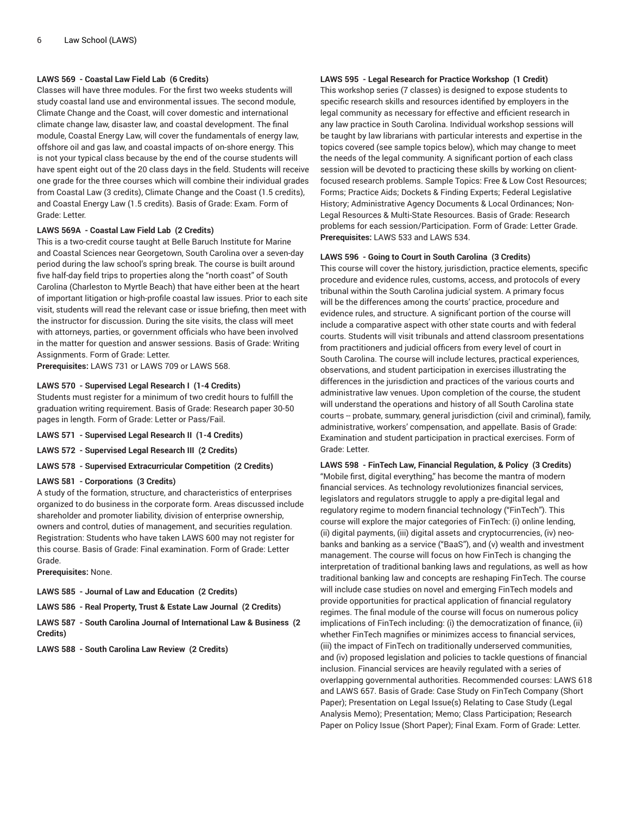# **LAWS 569 - Coastal Law Field Lab (6 Credits)**

Classes will have three modules. For the first two weeks students will study coastal land use and environmental issues. The second module, Climate Change and the Coast, will cover domestic and international climate change law, disaster law, and coastal development. The final module, Coastal Energy Law, will cover the fundamentals of energy law, offshore oil and gas law, and coastal impacts of on-shore energy. This is not your typical class because by the end of the course students will have spent eight out of the 20 class days in the field. Students will receive one grade for the three courses which will combine their individual grades from Coastal Law (3 credits), Climate Change and the Coast (1.5 credits), and Coastal Energy Law (1.5 credits). Basis of Grade: Exam. Form of Grade: Letter.

#### **LAWS 569A - Coastal Law Field Lab (2 Credits)**

This is a two-credit course taught at Belle Baruch Institute for Marine and Coastal Sciences near Georgetown, South Carolina over a seven-day period during the law school's spring break. The course is built around five half-day field trips to properties along the "north coast" of South Carolina (Charleston to Myrtle Beach) that have either been at the heart of important litigation or high-profile coastal law issues. Prior to each site visit, students will read the relevant case or issue briefing, then meet with the instructor for discussion. During the site visits, the class will meet with attorneys, parties, or government officials who have been involved in the matter for question and answer sessions. Basis of Grade: Writing Assignments. Form of Grade: Letter.

**Prerequisites:** LAWS 731 or LAWS 709 or LAWS 568.

#### **LAWS 570 - Supervised Legal Research I (1-4 Credits)**

Students must register for a minimum of two credit hours to fulfill the graduation writing requirement. Basis of Grade: Research paper 30-50 pages in length. Form of Grade: Letter or Pass/Fail.

**LAWS 571 - Supervised Legal Research II (1-4 Credits)**

**LAWS 572 - Supervised Legal Research III (2 Credits)**

**LAWS 578 - Supervised Extracurricular Competition (2 Credits)**

# **LAWS 581 - Corporations (3 Credits)**

A study of the formation, structure, and characteristics of enterprises organized to do business in the corporate form. Areas discussed include shareholder and promoter liability, division of enterprise ownership, owners and control, duties of management, and securities regulation. Registration: Students who have taken LAWS 600 may not register for this course. Basis of Grade: Final examination. Form of Grade: Letter Grade.

**Prerequisites:** None.

**LAWS 585 - Journal of Law and Education (2 Credits)**

**LAWS 586 - Real Property, Trust & Estate Law Journal (2 Credits)**

**LAWS 587 - South Carolina Journal of International Law & Business (2 Credits)**

**LAWS 588 - South Carolina Law Review (2 Credits)**

# **LAWS 595 - Legal Research for Practice Workshop (1 Credit)**

This workshop series (7 classes) is designed to expose students to specific research skills and resources identified by employers in the legal community as necessary for effective and efficient research in any law practice in South Carolina. Individual workshop sessions will be taught by law librarians with particular interests and expertise in the topics covered (see sample topics below), which may change to meet the needs of the legal community. A significant portion of each class session will be devoted to practicing these skills by working on clientfocused research problems. Sample Topics: Free & Low Cost Resources; Forms; Practice Aids; Dockets & Finding Experts; Federal Legislative History; Administrative Agency Documents & Local Ordinances; Non-Legal Resources & Multi-State Resources. Basis of Grade: Research problems for each session/Participation. Form of Grade: Letter Grade. **Prerequisites:** LAWS 533 and LAWS 534.

#### **LAWS 596 - Going to Court in South Carolina (3 Credits)**

This course will cover the history, jurisdiction, practice elements, specific procedure and evidence rules, customs, access, and protocols of every tribunal within the South Carolina judicial system. A primary focus will be the differences among the courts' practice, procedure and evidence rules, and structure. A significant portion of the course will include a comparative aspect with other state courts and with federal courts. Students will visit tribunals and attend classroom presentations from practitioners and judicial officers from every level of court in South Carolina. The course will include lectures, practical experiences, observations, and student participation in exercises illustrating the differences in the jurisdiction and practices of the various courts and administrative law venues. Upon completion of the course, the student will understand the operations and history of all South Carolina state courts -- probate, summary, general jurisdiction (civil and criminal), family, administrative, workers' compensation, and appellate. Basis of Grade: Examination and student participation in practical exercises. Form of Grade: Letter.

**LAWS 598 - FinTech Law, Financial Regulation, & Policy (3 Credits)** "Mobile first, digital everything," has become the mantra of modern financial services. As technology revolutionizes financial services, legislators and regulators struggle to apply a pre-digital legal and regulatory regime to modern financial technology ("FinTech"). This course will explore the major categories of FinTech: (i) online lending, (ii) digital payments, (iii) digital assets and cryptocurrencies, (iv) neobanks and banking as a service ("BaaS"), and (v) wealth and investment management. The course will focus on how FinTech is changing the interpretation of traditional banking laws and regulations, as well as how traditional banking law and concepts are reshaping FinTech. The course will include case studies on novel and emerging FinTech models and provide opportunities for practical application of financial regulatory regimes. The final module of the course will focus on numerous policy implications of FinTech including: (i) the democratization of finance, (ii) whether FinTech magnifies or minimizes access to financial services, (iii) the impact of FinTech on traditionally underserved communities, and (iv) proposed legislation and policies to tackle questions of financial inclusion. Financial services are heavily regulated with a series of overlapping governmental authorities. Recommended courses: LAWS 618 and LAWS 657. Basis of Grade: Case Study on FinTech Company (Short Paper); Presentation on Legal Issue(s) Relating to Case Study (Legal Analysis Memo); Presentation; Memo; Class Participation; Research Paper on Policy Issue (Short Paper); Final Exam. Form of Grade: Letter.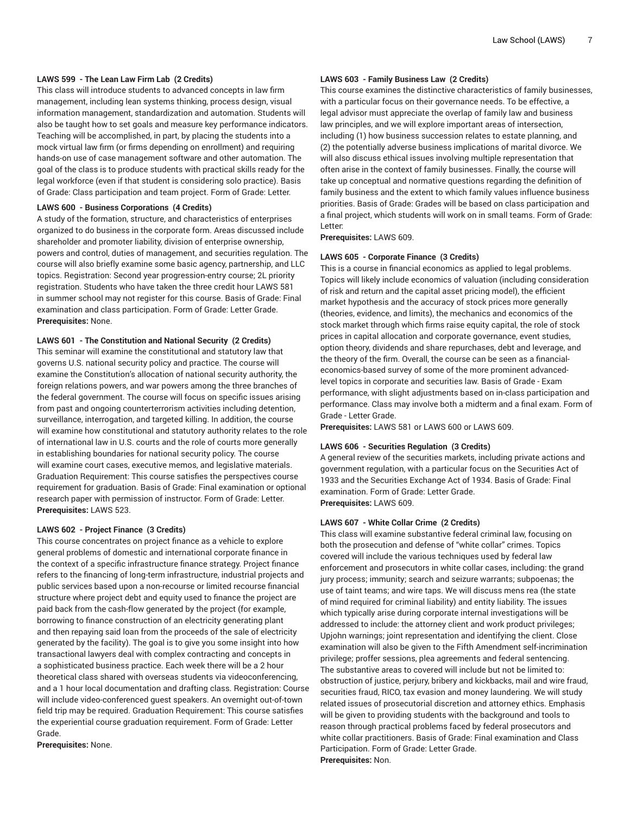#### **LAWS 599 - The Lean Law Firm Lab (2 Credits)**

This class will introduce students to advanced concepts in law firm management, including lean systems thinking, process design, visual information management, standardization and automation. Students will also be taught how to set goals and measure key performance indicators. Teaching will be accomplished, in part, by placing the students into a mock virtual law firm (or firms depending on enrollment) and requiring hands-on use of case management software and other automation. The goal of the class is to produce students with practical skills ready for the legal workforce (even if that student is considering solo practice). Basis of Grade: Class participation and team project. Form of Grade: Letter.

#### **LAWS 600 - Business Corporations (4 Credits)**

A study of the formation, structure, and characteristics of enterprises organized to do business in the corporate form. Areas discussed include shareholder and promoter liability, division of enterprise ownership, powers and control, duties of management, and securities regulation. The course will also briefly examine some basic agency, partnership, and LLC topics. Registration: Second year progression-entry course; 2L priority registration. Students who have taken the three credit hour LAWS 581 in summer school may not register for this course. Basis of Grade: Final examination and class participation. Form of Grade: Letter Grade. **Prerequisites:** None.

# **LAWS 601 - The Constitution and National Security (2 Credits)**

This seminar will examine the constitutional and statutory law that governs U.S. national security policy and practice. The course will examine the Constitution's allocation of national security authority, the foreign relations powers, and war powers among the three branches of the federal government. The course will focus on specific issues arising from past and ongoing counterterrorism activities including detention, surveillance, interrogation, and targeted killing. In addition, the course will examine how constitutional and statutory authority relates to the role of international law in U.S. courts and the role of courts more generally in establishing boundaries for national security policy. The course will examine court cases, executive memos, and legislative materials. Graduation Requirement: This course satisfies the perspectives course requirement for graduation. Basis of Grade: Final examination or optional research paper with permission of instructor. Form of Grade: Letter. **Prerequisites:** LAWS 523.

#### **LAWS 602 - Project Finance (3 Credits)**

This course concentrates on project finance as a vehicle to explore general problems of domestic and international corporate finance in the context of a specific infrastructure finance strategy. Project finance refers to the financing of long-term infrastructure, industrial projects and public services based upon a non-recourse or limited recourse financial structure where project debt and equity used to finance the project are paid back from the cash-flow generated by the project (for example, borrowing to finance construction of an electricity generating plant and then repaying said loan from the proceeds of the sale of electricity generated by the facility). The goal is to give you some insight into how transactional lawyers deal with complex contracting and concepts in a sophisticated business practice. Each week there will be a 2 hour theoretical class shared with overseas students via videoconferencing, and a 1 hour local documentation and drafting class. Registration: Course will include video-conferenced guest speakers. An overnight out-of-town field trip may be required. Graduation Requirement: This course satisfies the experiential course graduation requirement. Form of Grade: Letter Grade.

**Prerequisites:** None.

# **LAWS 603 - Family Business Law (2 Credits)**

This course examines the distinctive characteristics of family businesses, with a particular focus on their governance needs. To be effective, a legal advisor must appreciate the overlap of family law and business law principles, and we will explore important areas of intersection, including (1) how business succession relates to estate planning, and (2) the potentially adverse business implications of marital divorce. We will also discuss ethical issues involving multiple representation that often arise in the context of family businesses. Finally, the course will take up conceptual and normative questions regarding the definition of family business and the extent to which family values influence business priorities. Basis of Grade: Grades will be based on class participation and a final project, which students will work on in small teams. Form of Grade: Letter:

**Prerequisites:** LAWS 609.

#### **LAWS 605 - Corporate Finance (3 Credits)**

This is a course in financial economics as applied to legal problems. Topics will likely include economics of valuation (including consideration of risk and return and the capital asset pricing model), the efficient market hypothesis and the accuracy of stock prices more generally (theories, evidence, and limits), the mechanics and economics of the stock market through which firms raise equity capital, the role of stock prices in capital allocation and corporate governance, event studies, option theory, dividends and share repurchases, debt and leverage, and the theory of the firm. Overall, the course can be seen as a financialeconomics-based survey of some of the more prominent advancedlevel topics in corporate and securities law. Basis of Grade - Exam performance, with slight adjustments based on in-class participation and performance. Class may involve both a midterm and a final exam. Form of Grade - Letter Grade.

**Prerequisites:** LAWS 581 or LAWS 600 or LAWS 609.

# **LAWS 606 - Securities Regulation (3 Credits)**

A general review of the securities markets, including private actions and government regulation, with a particular focus on the Securities Act of 1933 and the Securities Exchange Act of 1934. Basis of Grade: Final examination. Form of Grade: Letter Grade. **Prerequisites:** LAWS 609.

#### **LAWS 607 - White Collar Crime (2 Credits)**

This class will examine substantive federal criminal law, focusing on both the prosecution and defense of "white collar" crimes. Topics covered will include the various techniques used by federal law enforcement and prosecutors in white collar cases, including: the grand jury process; immunity; search and seizure warrants; subpoenas; the use of taint teams; and wire taps. We will discuss mens rea (the state of mind required for criminal liability) and entity liability. The issues which typically arise during corporate internal investigations will be addressed to include: the attorney client and work product privileges; Upjohn warnings; joint representation and identifying the client. Close examination will also be given to the Fifth Amendment self-incrimination privilege; proffer sessions, plea agreements and federal sentencing. The substantive areas to covered will include but not be limited to: obstruction of justice, perjury, bribery and kickbacks, mail and wire fraud, securities fraud, RICO, tax evasion and money laundering. We will study related issues of prosecutorial discretion and attorney ethics. Emphasis will be given to providing students with the background and tools to reason through practical problems faced by federal prosecutors and white collar practitioners. Basis of Grade: Final examination and Class Participation. Form of Grade: Letter Grade. **Prerequisites:** Non.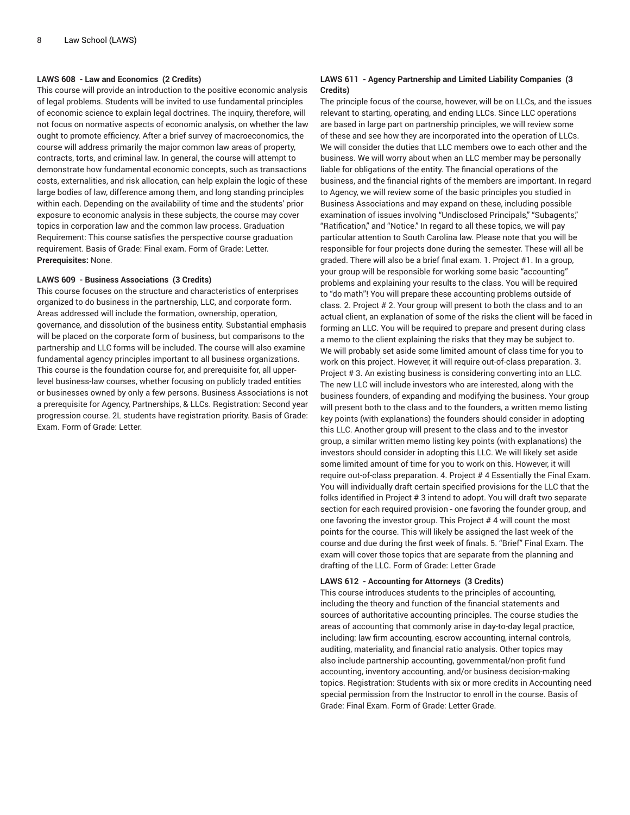# **LAWS 608 - Law and Economics (2 Credits)**

This course will provide an introduction to the positive economic analysis of legal problems. Students will be invited to use fundamental principles of economic science to explain legal doctrines. The inquiry, therefore, will not focus on normative aspects of economic analysis, on whether the law ought to promote efficiency. After a brief survey of macroeconomics, the course will address primarily the major common law areas of property, contracts, torts, and criminal law. In general, the course will attempt to demonstrate how fundamental economic concepts, such as transactions costs, externalities, and risk allocation, can help explain the logic of these large bodies of law, difference among them, and long standing principles within each. Depending on the availability of time and the students' prior exposure to economic analysis in these subjects, the course may cover topics in corporation law and the common law process. Graduation Requirement: This course satisfies the perspective course graduation requirement. Basis of Grade: Final exam. Form of Grade: Letter. **Prerequisites:** None.

#### **LAWS 609 - Business Associations (3 Credits)**

This course focuses on the structure and characteristics of enterprises organized to do business in the partnership, LLC, and corporate form. Areas addressed will include the formation, ownership, operation, governance, and dissolution of the business entity. Substantial emphasis will be placed on the corporate form of business, but comparisons to the partnership and LLC forms will be included. The course will also examine fundamental agency principles important to all business organizations. This course is the foundation course for, and prerequisite for, all upperlevel business-law courses, whether focusing on publicly traded entities or businesses owned by only a few persons. Business Associations is not a prerequisite for Agency, Partnerships, & LLCs. Registration: Second year progression course. 2L students have registration priority. Basis of Grade: Exam. Form of Grade: Letter.

# **LAWS 611 - Agency Partnership and Limited Liability Companies (3 Credits)**

The principle focus of the course, however, will be on LLCs, and the issues relevant to starting, operating, and ending LLCs. Since LLC operations are based in large part on partnership principles, we will review some of these and see how they are incorporated into the operation of LLCs. We will consider the duties that LLC members owe to each other and the business. We will worry about when an LLC member may be personally liable for obligations of the entity. The financial operations of the business, and the financial rights of the members are important. In regard to Agency, we will review some of the basic principles you studied in Business Associations and may expand on these, including possible examination of issues involving "Undisclosed Principals," "Subagents," "Ratification," and "Notice." In regard to all these topics, we will pay particular attention to South Carolina law. Please note that you will be responsible for four projects done during the semester. These will all be graded. There will also be a brief final exam. 1. Project #1. In a group, your group will be responsible for working some basic "accounting" problems and explaining your results to the class. You will be required to "do math"! You will prepare these accounting problems outside of class. 2. Project # 2. Your group will present to both the class and to an actual client, an explanation of some of the risks the client will be faced in forming an LLC. You will be required to prepare and present during class a memo to the client explaining the risks that they may be subject to. We will probably set aside some limited amount of class time for you to work on this project. However, it will require out-of-class preparation. 3. Project # 3. An existing business is considering converting into an LLC. The new LLC will include investors who are interested, along with the business founders, of expanding and modifying the business. Your group will present both to the class and to the founders, a written memo listing key points (with explanations) the founders should consider in adopting this LLC. Another group will present to the class and to the investor group, a similar written memo listing key points (with explanations) the investors should consider in adopting this LLC. We will likely set aside some limited amount of time for you to work on this. However, it will require out-of-class preparation. 4. Project # 4 Essentially the Final Exam. You will individually draft certain specified provisions for the LLC that the folks identified in Project # 3 intend to adopt. You will draft two separate section for each required provision - one favoring the founder group, and one favoring the investor group. This Project # 4 will count the most points for the course. This will likely be assigned the last week of the course and due during the first week of finals. 5. "Brief" Final Exam. The exam will cover those topics that are separate from the planning and drafting of the LLC. Form of Grade: Letter Grade

#### **LAWS 612 - Accounting for Attorneys (3 Credits)**

This course introduces students to the principles of accounting, including the theory and function of the financial statements and sources of authoritative accounting principles. The course studies the areas of accounting that commonly arise in day-to-day legal practice, including: law firm accounting, escrow accounting, internal controls, auditing, materiality, and financial ratio analysis. Other topics may also include partnership accounting, governmental/non-profit fund accounting, inventory accounting, and/or business decision-making topics. Registration: Students with six or more credits in Accounting need special permission from the Instructor to enroll in the course. Basis of Grade: Final Exam. Form of Grade: Letter Grade.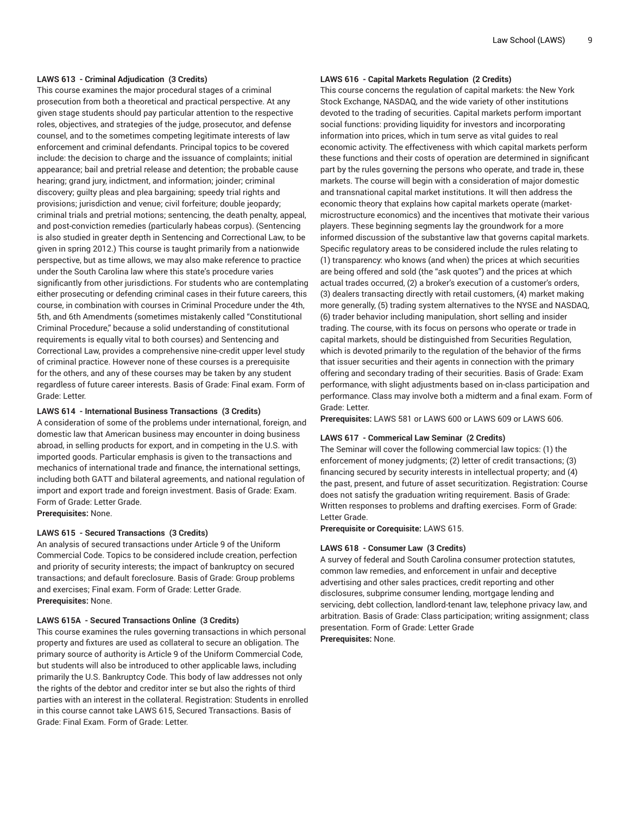### **LAWS 613 - Criminal Adjudication (3 Credits)**

This course examines the major procedural stages of a criminal prosecution from both a theoretical and practical perspective. At any given stage students should pay particular attention to the respective roles, objectives, and strategies of the judge, prosecutor, and defense counsel, and to the sometimes competing legitimate interests of law enforcement and criminal defendants. Principal topics to be covered include: the decision to charge and the issuance of complaints; initial appearance; bail and pretrial release and detention; the probable cause hearing; grand jury, indictment, and information; joinder; criminal discovery; guilty pleas and plea bargaining; speedy trial rights and provisions; jurisdiction and venue; civil forfeiture; double jeopardy; criminal trials and pretrial motions; sentencing, the death penalty, appeal, and post-conviction remedies (particularly habeas corpus). (Sentencing is also studied in greater depth in Sentencing and Correctional Law, to be given in spring 2012.) This course is taught primarily from a nationwide perspective, but as time allows, we may also make reference to practice under the South Carolina law where this state's procedure varies significantly from other jurisdictions. For students who are contemplating either prosecuting or defending criminal cases in their future careers, this course, in combination with courses in Criminal Procedure under the 4th, 5th, and 6th Amendments (sometimes mistakenly called "Constitutional Criminal Procedure," because a solid understanding of constitutional requirements is equally vital to both courses) and Sentencing and Correctional Law, provides a comprehensive nine-credit upper level study of criminal practice. However none of these courses is a prerequisite for the others, and any of these courses may be taken by any student regardless of future career interests. Basis of Grade: Final exam. Form of Grade: Letter.

# **LAWS 614 - International Business Transactions (3 Credits)**

A consideration of some of the problems under international, foreign, and domestic law that American business may encounter in doing business abroad, in selling products for export, and in competing in the U.S. with imported goods. Particular emphasis is given to the transactions and mechanics of international trade and finance, the international settings, including both GATT and bilateral agreements, and national regulation of import and export trade and foreign investment. Basis of Grade: Exam. Form of Grade: Letter Grade.

**Prerequisites:** None.

# **LAWS 615 - Secured Transactions (3 Credits)**

An analysis of secured transactions under Article 9 of the Uniform Commercial Code. Topics to be considered include creation, perfection and priority of security interests; the impact of bankruptcy on secured transactions; and default foreclosure. Basis of Grade: Group problems and exercises; Final exam. Form of Grade: Letter Grade. **Prerequisites:** None.

#### **LAWS 615A - Secured Transactions Online (3 Credits)**

This course examines the rules governing transactions in which personal property and fixtures are used as collateral to secure an obligation. The primary source of authority is Article 9 of the Uniform Commercial Code, but students will also be introduced to other applicable laws, including primarily the U.S. Bankruptcy Code. This body of law addresses not only the rights of the debtor and creditor inter se but also the rights of third parties with an interest in the collateral. Registration: Students in enrolled in this course cannot take LAWS 615, Secured Transactions. Basis of Grade: Final Exam. Form of Grade: Letter.

# **LAWS 616 - Capital Markets Regulation (2 Credits)**

This course concerns the regulation of capital markets: the New York Stock Exchange, NASDAQ, and the wide variety of other institutions devoted to the trading of securities. Capital markets perform important social functions: providing liquidity for investors and incorporating information into prices, which in tum serve as vital guides to real economic activity. The effectiveness with which capital markets perform these functions and their costs of operation are determined in significant part by the rules governing the persons who operate, and trade in, these markets. The course will begin with a consideration of major domestic and transnational capital market institutions. It will then address the economic theory that explains how capital markets operate (marketmicrostructure economics) and the incentives that motivate their various players. These beginning segments lay the groundwork for a more informed discussion of the substantive law that governs capital markets. Specific regulatory areas to be considered include the rules relating to (1) transparency: who knows (and when) the prices at which securities are being offered and sold (the "ask quotes") and the prices at which actual trades occurred, (2) a broker's execution of a customer's orders, (3) dealers transacting directly with retail customers, (4) market making more generally, (5) trading system alternatives to the NYSE and NASDAQ, (6) trader behavior including manipulation, short selling and insider trading. The course, with its focus on persons who operate or trade in capital markets, should be distinguished from Securities Regulation, which is devoted primarily to the regulation of the behavior of the firms that issuer securities and their agents in connection with the primary offering and secondary trading of their securities. Basis of Grade: Exam performance, with slight adjustments based on in-class participation and performance. Class may involve both a midterm and a final exam. Form of Grade: Letter.

**Prerequisites:** LAWS 581 or LAWS 600 or LAWS 609 or LAWS 606.

#### **LAWS 617 - Commerical Law Seminar (2 Credits)**

The Seminar will cover the following commercial law topics: (1) the enforcement of money judgments; (2) letter of credit transactions; (3) financing secured by security interests in intellectual property; and (4) the past, present, and future of asset securitization. Registration: Course does not satisfy the graduation writing requirement. Basis of Grade: Written responses to problems and drafting exercises. Form of Grade: Letter Grade.

**Prerequisite or Corequisite:** LAWS 615.

#### **LAWS 618 - Consumer Law (3 Credits)**

A survey of federal and South Carolina consumer protection statutes, common law remedies, and enforcement in unfair and deceptive advertising and other sales practices, credit reporting and other disclosures, subprime consumer lending, mortgage lending and servicing, debt collection, landlord-tenant law, telephone privacy law, and arbitration. Basis of Grade: Class participation; writing assignment; class presentation. Form of Grade: Letter Grade **Prerequisites:** None.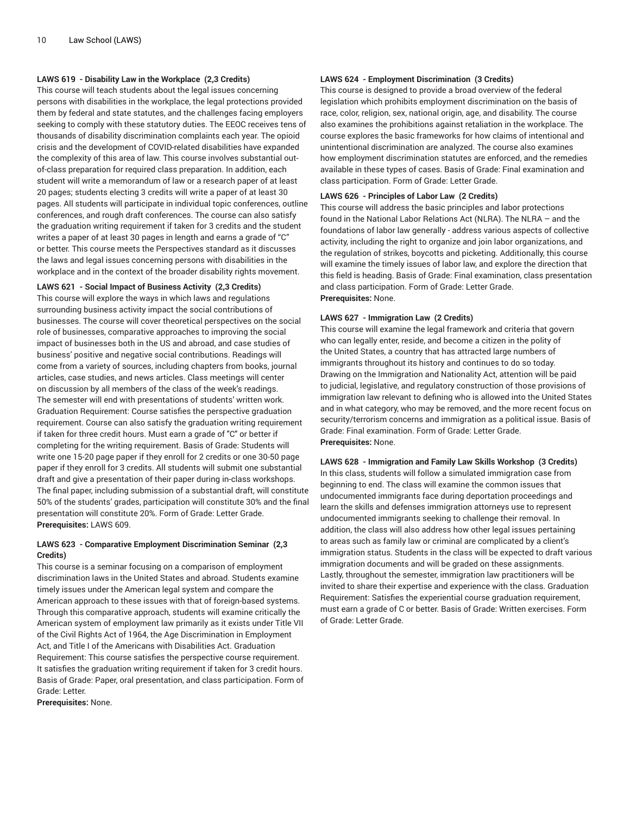# **LAWS 619 - Disability Law in the Workplace (2,3 Credits)**

This course will teach students about the legal issues concerning persons with disabilities in the workplace, the legal protections provided them by federal and state statutes, and the challenges facing employers seeking to comply with these statutory duties. The EEOC receives tens of thousands of disability discrimination complaints each year. The opioid crisis and the development of COVID-related disabilities have expanded the complexity of this area of law. This course involves substantial outof-class preparation for required class preparation. In addition, each student will write a memorandum of law or a research paper of at least 20 pages; students electing 3 credits will write a paper of at least 30 pages. All students will participate in individual topic conferences, outline conferences, and rough draft conferences. The course can also satisfy the graduation writing requirement if taken for 3 credits and the student writes a paper of at least 30 pages in length and earns a grade of "C" or better. This course meets the Perspectives standard as it discusses the laws and legal issues concerning persons with disabilities in the workplace and in the context of the broader disability rights movement.

# **LAWS 621 - Social Impact of Business Activity (2,3 Credits)**

This course will explore the ways in which laws and regulations surrounding business activity impact the social contributions of businesses. The course will cover theoretical perspectives on the social role of businesses, comparative approaches to improving the social impact of businesses both in the US and abroad, and case studies of business' positive and negative social contributions. Readings will come from a variety of sources, including chapters from books, journal articles, case studies, and news articles. Class meetings will center on discussion by all members of the class of the week's readings. The semester will end with presentations of students' written work. Graduation Requirement: Course satisfies the perspective graduation requirement. Course can also satisfy the graduation writing requirement if taken for three credit hours. Must earn a grade of "C" or better if completing for the writing requirement. Basis of Grade: Students will write one 15-20 page paper if they enroll for 2 credits or one 30-50 page paper if they enroll for 3 credits. All students will submit one substantial draft and give a presentation of their paper during in-class workshops. The final paper, including submission of a substantial draft, will constitute 50% of the students' grades, participation will constitute 30% and the final presentation will constitute 20%. Form of Grade: Letter Grade. **Prerequisites:** LAWS 609.

# **LAWS 623 - Comparative Employment Discrimination Seminar (2,3 Credits)**

This course is a seminar focusing on a comparison of employment discrimination laws in the United States and abroad. Students examine timely issues under the American legal system and compare the American approach to these issues with that of foreign-based systems. Through this comparative approach, students will examine critically the American system of employment law primarily as it exists under Title VII of the Civil Rights Act of 1964, the Age Discrimination in Employment Act, and Title I of the Americans with Disabilities Act. Graduation Requirement: This course satisfies the perspective course requirement. It satisfies the graduation writing requirement if taken for 3 credit hours. Basis of Grade: Paper, oral presentation, and class participation. Form of Grade: Letter.

**Prerequisites:** None.

# **LAWS 624 - Employment Discrimination (3 Credits)**

This course is designed to provide a broad overview of the federal legislation which prohibits employment discrimination on the basis of race, color, religion, sex, national origin, age, and disability. The course also examines the prohibitions against retaliation in the workplace. The course explores the basic frameworks for how claims of intentional and unintentional discrimination are analyzed. The course also examines how employment discrimination statutes are enforced, and the remedies available in these types of cases. Basis of Grade: Final examination and class participation. Form of Grade: Letter Grade.

#### **LAWS 626 - Principles of Labor Law (2 Credits)**

This course will address the basic principles and labor protections found in the National Labor Relations Act (NLRA). The NLRA – and the foundations of labor law generally - address various aspects of collective activity, including the right to organize and join labor organizations, and the regulation of strikes, boycotts and picketing. Additionally, this course will examine the timely issues of labor law, and explore the direction that this field is heading. Basis of Grade: Final examination, class presentation and class participation. Form of Grade: Letter Grade. **Prerequisites:** None.

#### **LAWS 627 - Immigration Law (2 Credits)**

This course will examine the legal framework and criteria that govern who can legally enter, reside, and become a citizen in the polity of the United States, a country that has attracted large numbers of immigrants throughout its history and continues to do so today. Drawing on the Immigration and Nationality Act, attention will be paid to judicial, legislative, and regulatory construction of those provisions of immigration law relevant to defining who is allowed into the United States and in what category, who may be removed, and the more recent focus on security/terrorism concerns and immigration as a political issue. Basis of Grade: Final examination. Form of Grade: Letter Grade. **Prerequisites:** None.

# **LAWS 628 - Immigration and Family Law Skills Workshop (3 Credits)**

In this class, students will follow a simulated immigration case from beginning to end. The class will examine the common issues that undocumented immigrants face during deportation proceedings and learn the skills and defenses immigration attorneys use to represent undocumented immigrants seeking to challenge their removal. In addition, the class will also address how other legal issues pertaining to areas such as family law or criminal are complicated by a client's immigration status. Students in the class will be expected to draft various immigration documents and will be graded on these assignments. Lastly, throughout the semester, immigration law practitioners will be invited to share their expertise and experience with the class. Graduation Requirement: Satisfies the experiential course graduation requirement, must earn a grade of C or better. Basis of Grade: Written exercises. Form of Grade: Letter Grade.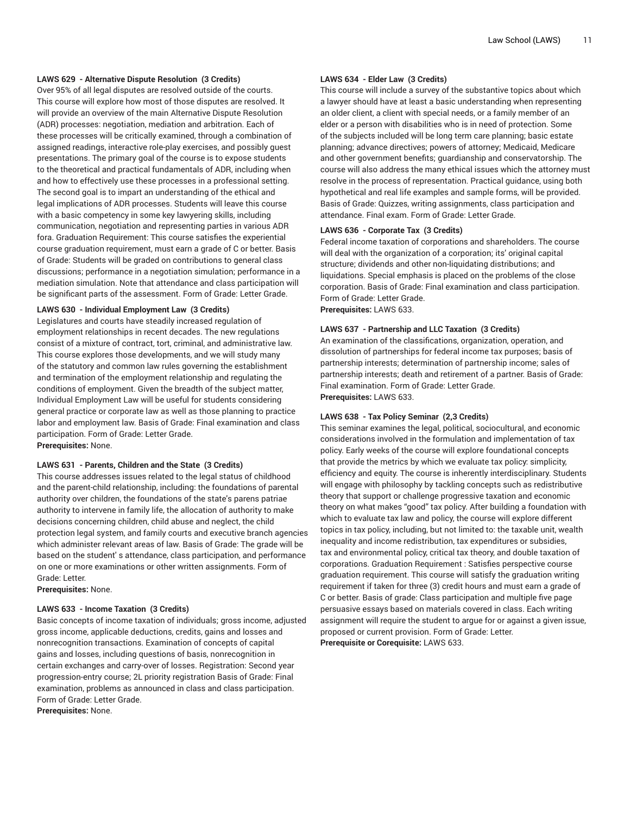# **LAWS 629 - Alternative Dispute Resolution (3 Credits)**

Over 95% of all legal disputes are resolved outside of the courts. This course will explore how most of those disputes are resolved. It will provide an overview of the main Alternative Dispute Resolution (ADR) processes: negotiation, mediation and arbitration. Each of these processes will be critically examined, through a combination of assigned readings, interactive role-play exercises, and possibly guest presentations. The primary goal of the course is to expose students to the theoretical and practical fundamentals of ADR, including when and how to effectively use these processes in a professional setting. The second goal is to impart an understanding of the ethical and legal implications of ADR processes. Students will leave this course with a basic competency in some key lawyering skills, including communication, negotiation and representing parties in various ADR fora. Graduation Requirement: This course satisfies the experiential course graduation requirement, must earn a grade of C or better. Basis of Grade: Students will be graded on contributions to general class discussions; performance in a negotiation simulation; performance in a mediation simulation. Note that attendance and class participation will be significant parts of the assessment. Form of Grade: Letter Grade.

#### **LAWS 630 - Individual Employment Law (3 Credits)**

Legislatures and courts have steadily increased regulation of employment relationships in recent decades. The new regulations consist of a mixture of contract, tort, criminal, and administrative law. This course explores those developments, and we will study many of the statutory and common law rules governing the establishment and termination of the employment relationship and regulating the conditions of employment. Given the breadth of the subject matter, Individual Employment Law will be useful for students considering general practice or corporate law as well as those planning to practice labor and employment law. Basis of Grade: Final examination and class participation. Form of Grade: Letter Grade. **Prerequisites:** None.

# **LAWS 631 - Parents, Children and the State (3 Credits)**

This course addresses issues related to the legal status of childhood and the parent-child relationship, including: the foundations of parental authority over children, the foundations of the state's parens patriae authority to intervene in family life, the allocation of authority to make decisions concerning children, child abuse and neglect, the child protection legal system, and family courts and executive branch agencies which administer relevant areas of law. Basis of Grade: The grade will be based on the student' s attendance, class participation, and performance on one or more examinations or other written assignments. Form of Grade: Letter.

**Prerequisites:** None.

#### **LAWS 633 - Income Taxation (3 Credits)**

Basic concepts of income taxation of individuals; gross income, adjusted gross income, applicable deductions, credits, gains and losses and nonrecognition transactions. Examination of concepts of capital gains and losses, including questions of basis, nonrecognition in certain exchanges and carry-over of losses. Registration: Second year progression-entry course; 2L priority registration Basis of Grade: Final examination, problems as announced in class and class participation. Form of Grade: Letter Grade.

**Prerequisites:** None.

### **LAWS 634 - Elder Law (3 Credits)**

This course will include a survey of the substantive topics about which a lawyer should have at least a basic understanding when representing an older client, a client with special needs, or a family member of an elder or a person with disabilities who is in need of protection. Some of the subjects included will be long term care planning; basic estate planning; advance directives; powers of attorney; Medicaid, Medicare and other government benefits; guardianship and conservatorship. The course will also address the many ethical issues which the attorney must resolve in the process of representation. Practical guidance, using both hypothetical and real life examples and sample forms, will be provided. Basis of Grade: Quizzes, writing assignments, class participation and attendance. Final exam. Form of Grade: Letter Grade.

#### **LAWS 636 - Corporate Tax (3 Credits)**

Federal income taxation of corporations and shareholders. The course will deal with the organization of a corporation; its' original capital structure; dividends and other non-liquidating distributions; and liquidations. Special emphasis is placed on the problems of the close corporation. Basis of Grade: Final examination and class participation. Form of Grade: Letter Grade.

**Prerequisites:** LAWS 633.

#### **LAWS 637 - Partnership and LLC Taxation (3 Credits)**

An examination of the classifications, organization, operation, and dissolution of partnerships for federal income tax purposes; basis of partnership interests; determination of partnership income; sales of partnership interests; death and retirement of a partner. Basis of Grade: Final examination. Form of Grade: Letter Grade. **Prerequisites:** LAWS 633.

#### **LAWS 638 - Tax Policy Seminar (2,3 Credits)**

This seminar examines the legal, political, sociocultural, and economic considerations involved in the formulation and implementation of tax policy. Early weeks of the course will explore foundational concepts that provide the metrics by which we evaluate tax policy: simplicity, efficiency and equity. The course is inherently interdisciplinary. Students will engage with philosophy by tackling concepts such as redistributive theory that support or challenge progressive taxation and economic theory on what makes "good" tax policy. After building a foundation with which to evaluate tax law and policy, the course will explore different topics in tax policy, including, but not limited to: the taxable unit, wealth inequality and income redistribution, tax expenditures or subsidies, tax and environmental policy, critical tax theory, and double taxation of corporations. Graduation Requirement : Satisfies perspective course graduation requirement. This course will satisfy the graduation writing requirement if taken for three (3) credit hours and must earn a grade of C or better. Basis of grade: Class participation and multiple five page persuasive essays based on materials covered in class. Each writing assignment will require the student to argue for or against a given issue, proposed or current provision. Form of Grade: Letter. **Prerequisite or Corequisite:** LAWS 633.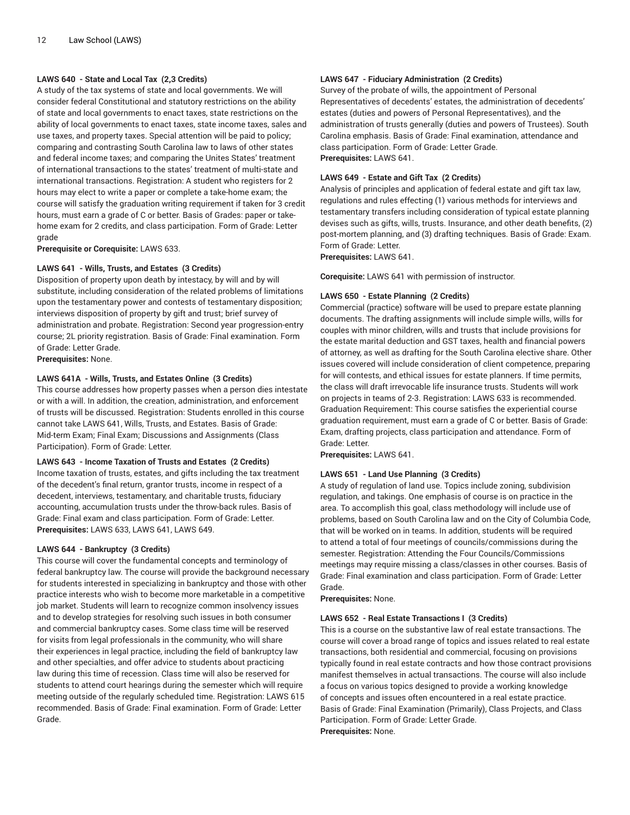# **LAWS 640 - State and Local Tax (2,3 Credits)**

A study of the tax systems of state and local governments. We will consider federal Constitutional and statutory restrictions on the ability of state and local governments to enact taxes, state restrictions on the ability of local governments to enact taxes, state income taxes, sales and use taxes, and property taxes. Special attention will be paid to policy; comparing and contrasting South Carolina law to laws of other states and federal income taxes; and comparing the Unites States' treatment of international transactions to the states' treatment of multi-state and international transactions. Registration: A student who registers for 2 hours may elect to write a paper or complete a take-home exam; the course will satisfy the graduation writing requirement if taken for 3 credit hours, must earn a grade of C or better. Basis of Grades: paper or takehome exam for 2 credits, and class participation. Form of Grade: Letter grade

**Prerequisite or Corequisite:** LAWS 633.

# **LAWS 641 - Wills, Trusts, and Estates (3 Credits)**

Disposition of property upon death by intestacy, by will and by will substitute, including consideration of the related problems of limitations upon the testamentary power and contests of testamentary disposition; interviews disposition of property by gift and trust; brief survey of administration and probate. Registration: Second year progression-entry course; 2L priority registration. Basis of Grade: Final examination. Form of Grade: Letter Grade.

**Prerequisites:** None.

# **LAWS 641A - Wills, Trusts, and Estates Online (3 Credits)**

This course addresses how property passes when a person dies intestate or with a will. In addition, the creation, administration, and enforcement of trusts will be discussed. Registration: Students enrolled in this course cannot take LAWS 641, Wills, Trusts, and Estates. Basis of Grade: Mid-term Exam; Final Exam; Discussions and Assignments (Class Participation). Form of Grade: Letter.

# **LAWS 643 - Income Taxation of Trusts and Estates (2 Credits)**

Income taxation of trusts, estates, and gifts including the tax treatment of the decedent's final return, grantor trusts, income in respect of a decedent, interviews, testamentary, and charitable trusts, fiduciary accounting, accumulation trusts under the throw-back rules. Basis of Grade: Final exam and class participation. Form of Grade: Letter. **Prerequisites:** LAWS 633, LAWS 641, LAWS 649.

# **LAWS 644 - Bankruptcy (3 Credits)**

This course will cover the fundamental concepts and terminology of federal bankruptcy law. The course will provide the background necessary for students interested in specializing in bankruptcy and those with other practice interests who wish to become more marketable in a competitive job market. Students will learn to recognize common insolvency issues and to develop strategies for resolving such issues in both consumer and commercial bankruptcy cases. Some class time will be reserved for visits from legal professionals in the community, who will share their experiences in legal practice, including the field of bankruptcy law and other specialties, and offer advice to students about practicing law during this time of recession. Class time will also be reserved for students to attend court hearings during the semester which will require meeting outside of the regularly scheduled time. Registration: LAWS 615 recommended. Basis of Grade: Final examination. Form of Grade: Letter Grade.

# **LAWS 647 - Fiduciary Administration (2 Credits)**

Survey of the probate of wills, the appointment of Personal Representatives of decedents' estates, the administration of decedents' estates (duties and powers of Personal Representatives), and the administration of trusts generally (duties and powers of Trustees). South Carolina emphasis. Basis of Grade: Final examination, attendance and class participation. Form of Grade: Letter Grade. **Prerequisites:** LAWS 641.

#### **LAWS 649 - Estate and Gift Tax (2 Credits)**

Analysis of principles and application of federal estate and gift tax law, regulations and rules effecting (1) various methods for interviews and testamentary transfers including consideration of typical estate planning devises such as gifts, wills, trusts. Insurance, and other death benefits, (2) post-mortem planning, and (3) drafting techniques. Basis of Grade: Exam. Form of Grade: Letter.

**Prerequisites:** LAWS 641.

**Corequisite:** LAWS 641 with permission of instructor.

#### **LAWS 650 - Estate Planning (2 Credits)**

Commercial (practice) software will be used to prepare estate planning documents. The drafting assignments will include simple wills, wills for couples with minor children, wills and trusts that include provisions for the estate marital deduction and GST taxes, health and financial powers of attorney, as well as drafting for the South Carolina elective share. Other issues covered will include consideration of client competence, preparing for will contests, and ethical issues for estate planners. If time permits, the class will draft irrevocable life insurance trusts. Students will work on projects in teams of 2-3. Registration: LAWS 633 is recommended. Graduation Requirement: This course satisfies the experiential course graduation requirement, must earn a grade of C or better. Basis of Grade: Exam, drafting projects, class participation and attendance. Form of Grade: Letter.

**Prerequisites:** LAWS 641.

# **LAWS 651 - Land Use Planning (3 Credits)**

A study of regulation of land use. Topics include zoning, subdivision regulation, and takings. One emphasis of course is on practice in the area. To accomplish this goal, class methodology will include use of problems, based on South Carolina law and on the City of Columbia Code, that will be worked on in teams. In addition, students will be required to attend a total of four meetings of councils/commissions during the semester. Registration: Attending the Four Councils/Commissions meetings may require missing a class/classes in other courses. Basis of Grade: Final examination and class participation. Form of Grade: Letter Grade.

**Prerequisites:** None.

#### **LAWS 652 - Real Estate Transactions I (3 Credits)**

This is a course on the substantive law of real estate transactions. The course will cover a broad range of topics and issues related to real estate transactions, both residential and commercial, focusing on provisions typically found in real estate contracts and how those contract provisions manifest themselves in actual transactions. The course will also include a focus on various topics designed to provide a working knowledge of concepts and issues often encountered in a real estate practice. Basis of Grade: Final Examination (Primarily), Class Projects, and Class Participation. Form of Grade: Letter Grade. **Prerequisites:** None.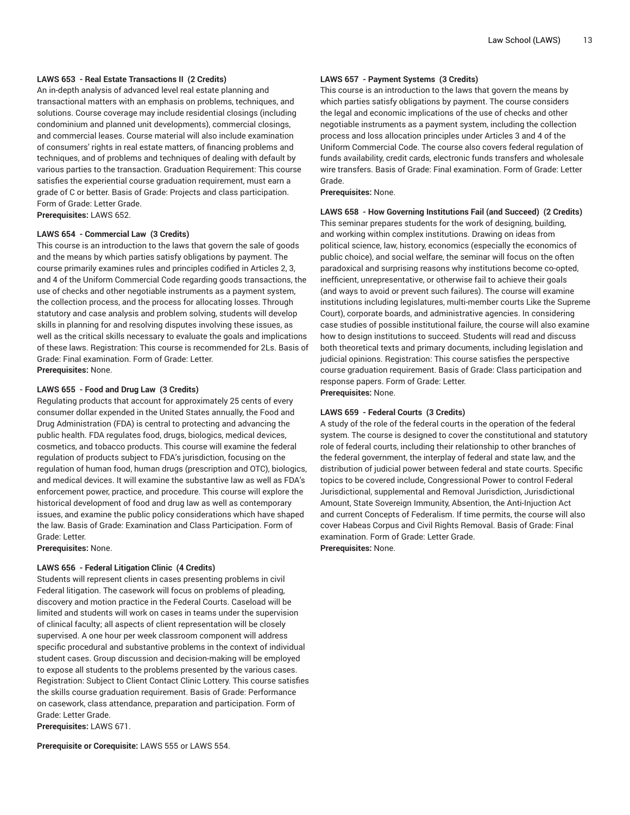# **LAWS 653 - Real Estate Transactions II (2 Credits)**

An in-depth analysis of advanced level real estate planning and transactional matters with an emphasis on problems, techniques, and solutions. Course coverage may include residential closings (including condominium and planned unit developments), commercial closings, and commercial leases. Course material will also include examination of consumers' rights in real estate matters, of financing problems and techniques, and of problems and techniques of dealing with default by various parties to the transaction. Graduation Requirement: This course satisfies the experiential course graduation requirement, must earn a grade of C or better. Basis of Grade: Projects and class participation. Form of Grade: Letter Grade. **Prerequisites:** LAWS 652.

#### **LAWS 654 - Commercial Law (3 Credits)**

This course is an introduction to the laws that govern the sale of goods and the means by which parties satisfy obligations by payment. The course primarily examines rules and principles codified in Articles 2, 3, and 4 of the Uniform Commercial Code regarding goods transactions, the use of checks and other negotiable instruments as a payment system, the collection process, and the process for allocating losses. Through statutory and case analysis and problem solving, students will develop skills in planning for and resolving disputes involving these issues, as well as the critical skills necessary to evaluate the goals and implications of these laws. Registration: This course is recommended for 2Ls. Basis of Grade: Final examination. Form of Grade: Letter. **Prerequisites:** None.

#### **LAWS 655 - Food and Drug Law (3 Credits)**

Regulating products that account for approximately 25 cents of every consumer dollar expended in the United States annually, the Food and Drug Administration (FDA) is central to protecting and advancing the public health. FDA regulates food, drugs, biologics, medical devices, cosmetics, and tobacco products. This course will examine the federal regulation of products subject to FDA's jurisdiction, focusing on the regulation of human food, human drugs (prescription and OTC), biologics, and medical devices. It will examine the substantive law as well as FDA's enforcement power, practice, and procedure. This course will explore the historical development of food and drug law as well as contemporary issues, and examine the public policy considerations which have shaped the law. Basis of Grade: Examination and Class Participation. Form of Grade: Letter.

**Prerequisites:** None.

#### **LAWS 656 - Federal Litigation Clinic (4 Credits)**

Students will represent clients in cases presenting problems in civil Federal litigation. The casework will focus on problems of pleading, discovery and motion practice in the Federal Courts. Caseload will be limited and students will work on cases in teams under the supervision of clinical faculty; all aspects of client representation will be closely supervised. A one hour per week classroom component will address specific procedural and substantive problems in the context of individual student cases. Group discussion and decision-making will be employed to expose all students to the problems presented by the various cases. Registration: Subject to Client Contact Clinic Lottery. This course satisfies the skills course graduation requirement. Basis of Grade: Performance on casework, class attendance, preparation and participation. Form of Grade: Letter Grade.

**Prerequisites:** LAWS 671.

**Prerequisite or Corequisite:** LAWS 555 or LAWS 554.

#### **LAWS 657 - Payment Systems (3 Credits)**

This course is an introduction to the laws that govern the means by which parties satisfy obligations by payment. The course considers the legal and economic implications of the use of checks and other negotiable instruments as a payment system, including the collection process and loss allocation principles under Articles 3 and 4 of the Uniform Commercial Code. The course also covers federal regulation of funds availability, credit cards, electronic funds transfers and wholesale wire transfers. Basis of Grade: Final examination. Form of Grade: Letter Grade.

**Prerequisites:** None.

#### **LAWS 658 - How Governing Institutions Fail (and Succeed) (2 Credits)**

This seminar prepares students for the work of designing, building, and working within complex institutions. Drawing on ideas from political science, law, history, economics (especially the economics of public choice), and social welfare, the seminar will focus on the often paradoxical and surprising reasons why institutions become co-opted, inefficient, unrepresentative, or otherwise fail to achieve their goals (and ways to avoid or prevent such failures). The course will examine institutions including legislatures, multi-member courts Like the Supreme Court), corporate boards, and administrative agencies. In considering case studies of possible institutional failure, the course will also examine how to design institutions to succeed. Students will read and discuss both theoretical texts and primary documents, including legislation and judicial opinions. Registration: This course satisfies the perspective course graduation requirement. Basis of Grade: Class participation and response papers. Form of Grade: Letter. **Prerequisites:** None.

#### **LAWS 659 - Federal Courts (3 Credits)**

A study of the role of the federal courts in the operation of the federal system. The course is designed to cover the constitutional and statutory role of federal courts, including their relationship to other branches of the federal government, the interplay of federal and state law, and the distribution of judicial power between federal and state courts. Specific topics to be covered include, Congressional Power to control Federal Jurisdictional, supplemental and Removal Jurisdiction, Jurisdictional Amount, State Sovereign Immunity, Absention, the Anti-Injuction Act and current Concepts of Federalism. If time permits, the course will also cover Habeas Corpus and Civil Rights Removal. Basis of Grade: Final examination. Form of Grade: Letter Grade. **Prerequisites:** None.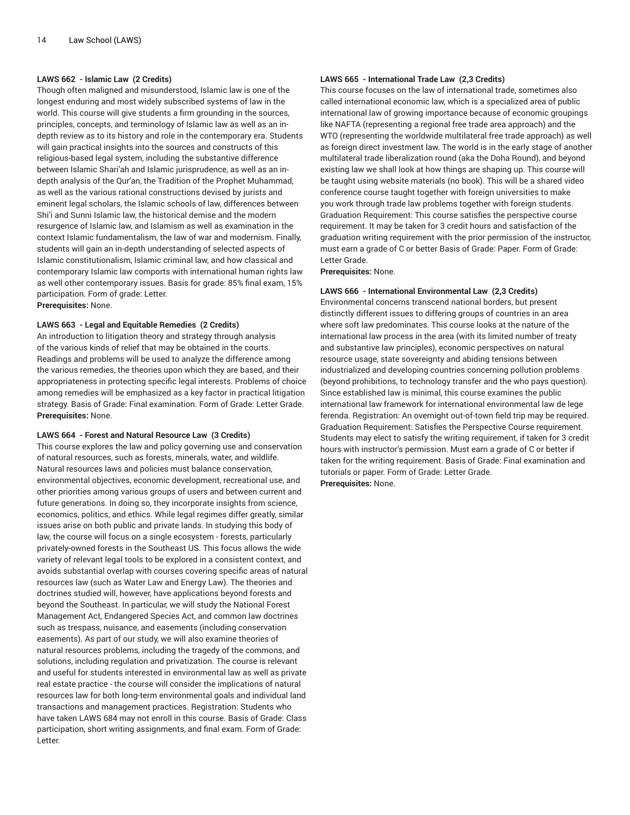### **LAWS 662 - Islamic Law (2 Credits)**

Though often maligned and misunderstood, Islamic law is one of the longest enduring and most widely subscribed systems of law in the world. This course will give students a firm grounding in the sources, principles, concepts, and terminology of Islamic law as well as an indepth review as to its history and role in the contemporary era. Students will gain practical insights into the sources and constructs of this religious-based legal system, including the substantive difference between Islamic Shari'ah and Islamic jurisprudence, as well as an indepth analysis of the Qur'an, the Tradition of the Prophet Muhammad, as well as the various rational constructions devised by jurists and eminent legal scholars, the Islamic schools of law, differences between Shi'i and Sunni Islamic law, the historical demise and the modern resurgence of Islamic law, and Islamism as well as examination in the context Islamic fundamentalism, the law of war and modernism. Finally, students will gain an in-depth understanding of selected aspects of Islamic constitutionalism, Islamic criminal law, and how classical and contemporary Islamic law comports with international human rights law as well other contemporary issues. Basis for grade: 85% final exam, 15% participation. Form of grade: Letter. **Prerequisites:** None.

#### **LAWS 663 - Legal and Equitable Remedies (2 Credits)**

An introduction to litigation theory and strategy through analysis of the various kinds of relief that may be obtained in the courts. Readings and problems will be used to analyze the difference among the various remedies, the theories upon which they are based, and their appropriateness in protecting specific legal interests. Problems of choice among remedies will be emphasized as a key factor in practical litigation strategy. Basis of Grade: Final examination. Form of Grade: Letter Grade. **Prerequisites:** None.

### **LAWS 664 - Forest and Natural Resource Law (3 Credits)**

This course explores the law and policy governing use and conservation of natural resources, such as forests, minerals, water, and wildlife. Natural resources laws and policies must balance conservation, environmental objectives, economic development, recreational use, and other priorities among various groups of users and between current and future generations. In doing so, they incorporate insights from science, economics, politics, and ethics. While legal regimes differ greatly, similar issues arise on both public and private lands. In studying this body of law, the course will focus on a single ecosystem - forests, particularly privately-owned forests in the Southeast US. This focus allows the wide variety of relevant legal tools to be explored in a consistent context, and avoids substantial overlap with courses covering specific areas of natural resources law (such as Water Law and Energy Law). The theories and doctrines studied will, however, have applications beyond forests and beyond the Southeast. In particular, we will study the National Forest Management Act, Endangered Species Act, and common law doctrines such as trespass, nuisance, and easements (including conservation easements). As part of our study, we will also examine theories of natural resources problems, including the tragedy of the commons, and solutions, including regulation and privatization. The course is relevant and useful for students interested in environmental law as well as private real estate practice - the course will consider the implications of natural resources law for both long-term environmental goals and individual land transactions and management practices. Registration: Students who have taken LAWS 684 may not enroll in this course. Basis of Grade: Class participation, short writing assignments, and final exam. Form of Grade: Letter.

# **LAWS 665 - International Trade Law (2,3 Credits)**

This course focuses on the law of international trade, sometimes also called international economic law, which is a specialized area of public international law of growing importance because of economic groupings like NAFTA (representing a regional free trade area approach) and the WTO (representing the worldwide multilateral free trade approach) as well as foreign direct investment law. The world is in the early stage of another multilateral trade liberalization round (aka the Doha Round), and beyond existing law we shall look at how things are shaping up. This course will be taught using website materials (no book). This will be a shared video conference course taught together with foreign universities to make you work through trade law problems together with foreign students. Graduation Requirement: This course satisfies the perspective course requirement. It may be taken for 3 credit hours and satisfaction of the graduation writing requirement with the prior permission of the instructor, must earn a grade of C or better Basis of Grade: Paper. Form of Grade: Letter Grade.

**Prerequisites:** None.

#### **LAWS 666 - International Environmental Law (2,3 Credits)**

Environmental concerns transcend national borders, but present distinctly different issues to differing groups of countries in an area where soft law predominates. This course looks at the nature of the international law process in the area (with its limited number of treaty and substantive law principles), economic perspectives on natural resource usage, state sovereignty and abiding tensions between industrialized and developing countries concerning pollution problems (beyond prohibitions, to technology transfer and the who pays question). Since established law is minimal, this course examines the public international law framework for international environmental law de lege ferenda. Registration: An overnight out-of-town field trip may be required. Graduation Requirement: Satisfies the Perspective Course requirement. Students may elect to satisfy the writing requirement, if taken for 3 credit hours with instructor's permission. Must earn a grade of C or better if taken for the writing requirement. Basis of Grade: Final examination and tutorials or paper. Form of Grade: Letter Grade. **Prerequisites:** None.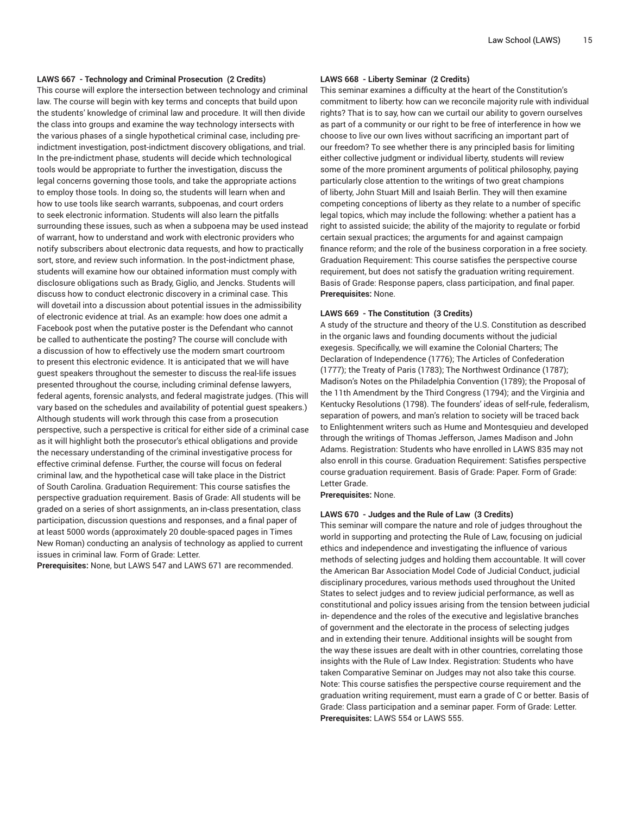# **LAWS 667 - Technology and Criminal Prosecution (2 Credits)**

This course will explore the intersection between technology and criminal law. The course will begin with key terms and concepts that build upon the students' knowledge of criminal law and procedure. It will then divide the class into groups and examine the way technology intersects with the various phases of a single hypothetical criminal case, including preindictment investigation, post-indictment discovery obligations, and trial. In the pre-indictment phase, students will decide which technological tools would be appropriate to further the investigation, discuss the legal concerns governing those tools, and take the appropriate actions to employ those tools. In doing so, the students will learn when and how to use tools like search warrants, subpoenas, and court orders to seek electronic information. Students will also learn the pitfalls surrounding these issues, such as when a subpoena may be used instead of warrant, how to understand and work with electronic providers who notify subscribers about electronic data requests, and how to practically sort, store, and review such information. In the post-indictment phase, students will examine how our obtained information must comply with disclosure obligations such as Brady, Giglio, and Jencks. Students will discuss how to conduct electronic discovery in a criminal case. This will dovetail into a discussion about potential issues in the admissibility of electronic evidence at trial. As an example: how does one admit a Facebook post when the putative poster is the Defendant who cannot be called to authenticate the posting? The course will conclude with a discussion of how to effectively use the modern smart courtroom to present this electronic evidence. It is anticipated that we will have guest speakers throughout the semester to discuss the real-life issues presented throughout the course, including criminal defense lawyers, federal agents, forensic analysts, and federal magistrate judges. (This will vary based on the schedules and availability of potential guest speakers.) Although students will work through this case from a prosecution perspective, such a perspective is critical for either side of a criminal case as it will highlight both the prosecutor's ethical obligations and provide the necessary understanding of the criminal investigative process for effective criminal defense. Further, the course will focus on federal criminal law, and the hypothetical case will take place in the District of South Carolina. Graduation Requirement: This course satisfies the perspective graduation requirement. Basis of Grade: All students will be graded on a series of short assignments, an in-class presentation, class participation, discussion questions and responses, and a final paper of at least 5000 words (approximately 20 double-spaced pages in Times New Roman) conducting an analysis of technology as applied to current issues in criminal law. Form of Grade: Letter.

**Prerequisites:** None, but LAWS 547 and LAWS 671 are recommended.

# **LAWS 668 - Liberty Seminar (2 Credits)**

This seminar examines a difficulty at the heart of the Constitution's commitment to liberty: how can we reconcile majority rule with individual rights? That is to say, how can we curtail our ability to govern ourselves as part of a community or our right to be free of interference in how we choose to live our own lives without sacrificing an important part of our freedom? To see whether there is any principled basis for limiting either collective judgment or individual liberty, students will review some of the more prominent arguments of political philosophy, paying particularly close attention to the writings of two great champions of liberty, John Stuart Mill and Isaiah Berlin. They will then examine competing conceptions of liberty as they relate to a number of specific legal topics, which may include the following: whether a patient has a right to assisted suicide; the ability of the majority to regulate or forbid certain sexual practices; the arguments for and against campaign finance reform; and the role of the business corporation in a free society. Graduation Requirement: This course satisfies the perspective course requirement, but does not satisfy the graduation writing requirement. Basis of Grade: Response papers, class participation, and final paper. **Prerequisites:** None.

#### **LAWS 669 - The Constitution (3 Credits)**

A study of the structure and theory of the U.S. Constitution as described in the organic laws and founding documents without the judicial exegesis. Specifically, we will examine the Colonial Charters; The Declaration of Independence (1776); The Articles of Confederation (1777); the Treaty of Paris (1783); The Northwest Ordinance (1787); Madison's Notes on the Philadelphia Convention (1789); the Proposal of the 11th Amendment by the Third Congress (1794); and the Virginia and Kentucky Resolutions (1798). The founders' ideas of self-rule, federalism, separation of powers, and man's relation to society will be traced back to Enlightenment writers such as Hume and Montesquieu and developed through the writings of Thomas Jefferson, James Madison and John Adams. Registration: Students who have enrolled in LAWS 835 may not also enroll in this course. Graduation Requirement: Satisfies perspective course graduation requirement. Basis of Grade: Paper. Form of Grade: Letter Grade.

**Prerequisites:** None.

#### **LAWS 670 - Judges and the Rule of Law (3 Credits)**

This seminar will compare the nature and role of judges throughout the world in supporting and protecting the Rule of Law, focusing on judicial ethics and independence and investigating the influence of various methods of selecting judges and holding them accountable. It will cover the American Bar Association Model Code of Judicial Conduct, judicial disciplinary procedures, various methods used throughout the United States to select judges and to review judicial performance, as well as constitutional and policy issues arising from the tension between judicial in- dependence and the roles of the executive and legislative branches of government and the electorate in the process of selecting judges and in extending their tenure. Additional insights will be sought from the way these issues are dealt with in other countries, correlating those insights with the Rule of Law Index. Registration: Students who have taken Comparative Seminar on Judges may not also take this course. Note: This course satisfies the perspective course requirement and the graduation writing requirement, must earn a grade of C or better. Basis of Grade: Class participation and a seminar paper. Form of Grade: Letter. **Prerequisites:** LAWS 554 or LAWS 555.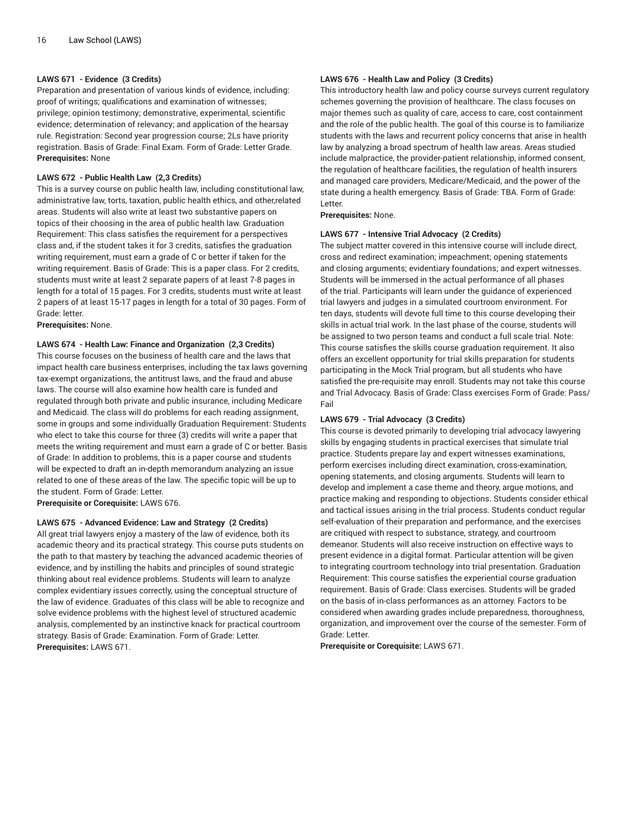# **LAWS 671 - Evidence (3 Credits)**

Preparation and presentation of various kinds of evidence, including: proof of writings; qualifications and examination of witnesses; privilege; opinion testimony; demonstrative, experimental, scientific evidence; determination of relevancy; and application of the hearsay rule. Registration: Second year progression course; 2Ls have priority registration. Basis of Grade: Final Exam. Form of Grade: Letter Grade. **Prerequisites:** None

#### **LAWS 672 - Public Health Law (2,3 Credits)**

This is a survey course on public health law, including constitutional law, administrative law, torts, taxation, public health ethics, and other,related areas. Students will also write at least two substantive papers on topics of their choosing in the area of public health law. Graduation Requirement: This class satisfies the requirement for a perspectives class and, if the student takes it for 3 credits, satisfies the graduation writing requirement, must earn a grade of C or better if taken for the writing requirement. Basis of Grade: This is a paper class. For 2 credits, students must write at least 2 separate papers of at least 7-8 pages in length for a total of 15 pages. For 3 credits, students must write at least 2 papers of at least 15-17 pages in length for a total of 30 pages. Form of Grade: letter.

**Prerequisites:** None.

#### **LAWS 674 - Health Law: Finance and Organization (2,3 Credits)**

This course focuses on the business of health care and the laws that impact health care business enterprises, including the tax laws governing tax-exempt organizations, the antitrust laws, and the fraud and abuse laws. The course will also examine how health care is funded and regulated through both private and public insurance, including Medicare and Medicaid. The class will do problems for each reading assignment, some in groups and some individually Graduation Requirement: Students who elect to take this course for three (3) credits will write a paper that meets the writing requirement and must earn a grade of C or better. Basis of Grade: In addition to problems, this is a paper course and students will be expected to draft an in-depth memorandum analyzing an issue related to one of these areas of the law. The specific topic will be up to the student. Form of Grade: Letter.

**Prerequisite or Corequisite:** LAWS 676.

#### **LAWS 675 - Advanced Evidence: Law and Strategy (2 Credits)**

All great trial lawyers enjoy a mastery of the law of evidence, both its academic theory and its practical strategy. This course puts students on the path to that mastery by teaching the advanced academic theories of evidence, and by instilling the habits and principles of sound strategic thinking about real evidence problems. Students will learn to analyze complex evidentiary issues correctly, using the conceptual structure of the law of evidence. Graduates of this class will be able to recognize and solve evidence problems with the highest level of structured academic analysis, complemented by an instinctive knack for practical courtroom strategy. Basis of Grade: Examination. Form of Grade: Letter. **Prerequisites:** LAWS 671.

### **LAWS 676 - Health Law and Policy (3 Credits)**

This introductory health law and policy course surveys current regulatory schemes governing the provision of healthcare. The class focuses on major themes such as quality of care, access to care, cost containment and the role of the public health. The goal of this course is to familiarize students with the laws and recurrent policy concerns that arise in health law by analyzing a broad spectrum of health law areas. Areas studied include malpractice, the provider-patient relationship, informed consent, the regulation of healthcare facilities, the regulation of health insurers and managed care providers, Medicare/Medicaid, and the power of the state during a health emergency. Basis of Grade: TBA. Form of Grade: Letter.

**Prerequisites:** None.

#### **LAWS 677 - Intensive Trial Advocacy (2 Credits)**

The subject matter covered in this intensive course will include direct, cross and redirect examination; impeachment; opening statements and closing arguments; evidentiary foundations; and expert witnesses. Students will be immersed in the actual performance of all phases of the trial. Participants will learn under the guidance of experienced trial lawyers and judges in a simulated courtroom environment. For ten days, students will devote full time to this course developing their skills in actual trial work. In the last phase of the course, students will be assigned to two person teams and conduct a full scale trial. Note: This course satisfies the skills course graduation requirement. It also offers an excellent opportunity for trial skills preparation for students participating in the Mock Trial program, but all students who have satisfied the pre-requisite may enroll. Students may not take this course and Trial Advocacy. Basis of Grade: Class exercises Form of Grade: Pass/ Fail

#### **LAWS 679 - Trial Advocacy (3 Credits)**

This course is devoted primarily to developing trial advocacy lawyering skills by engaging students in practical exercises that simulate trial practice. Students prepare lay and expert witnesses examinations, perform exercises including direct examination, cross-examination, opening statements, and closing arguments. Students will learn to develop and implement a case theme and theory, argue motions, and practice making and responding to objections. Students consider ethical and tactical issues arising in the trial process. Students conduct regular self-evaluation of their preparation and performance, and the exercises are critiqued with respect to substance, strategy, and courtroom demeanor. Students will also receive instruction on effective ways to present evidence in a digital format. Particular attention will be given to integrating courtroom technology into trial presentation. Graduation Requirement: This course satisfies the experiential course graduation requirement. Basis of Grade: Class exercises. Students will be graded on the basis of in-class performances as an attorney. Factors to be considered when awarding grades include preparedness, thoroughness, organization, and improvement over the course of the semester. Form of Grade: Letter.

**Prerequisite or Corequisite:** LAWS 671.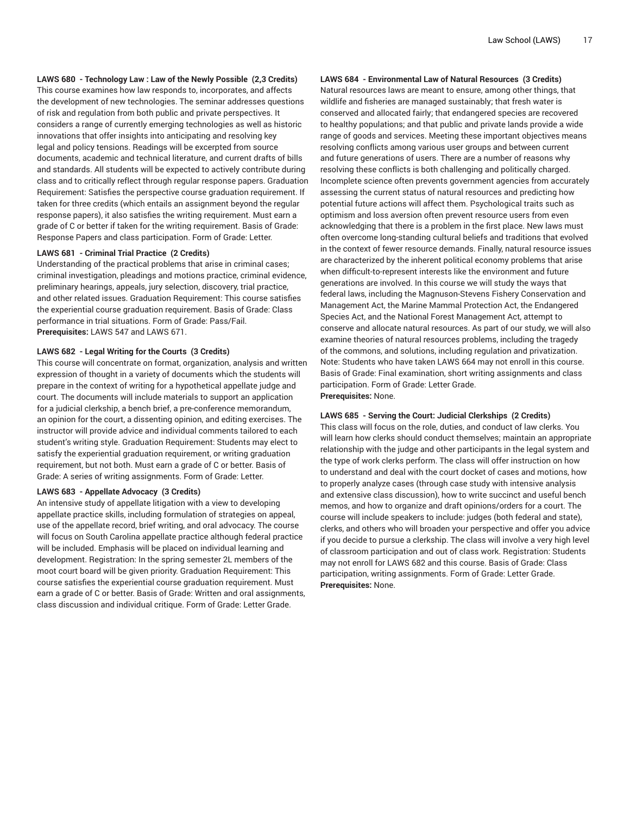# **LAWS 680 - Technology Law : Law of the Newly Possible (2,3 Credits)**

This course examines how law responds to, incorporates, and affects the development of new technologies. The seminar addresses questions of risk and regulation from both public and private perspectives. It considers a range of currently emerging technologies as well as historic innovations that offer insights into anticipating and resolving key legal and policy tensions. Readings will be excerpted from source documents, academic and technical literature, and current drafts of bills and standards. All students will be expected to actively contribute during class and to critically reflect through regular response papers. Graduation Requirement: Satisfies the perspective course graduation requirement. If taken for three credits (which entails an assignment beyond the regular response papers), it also satisfies the writing requirement. Must earn a grade of C or better if taken for the writing requirement. Basis of Grade: Response Papers and class participation. Form of Grade: Letter.

# **LAWS 681 - Criminal Trial Practice (2 Credits)**

Understanding of the practical problems that arise in criminal cases; criminal investigation, pleadings and motions practice, criminal evidence, preliminary hearings, appeals, jury selection, discovery, trial practice, and other related issues. Graduation Requirement: This course satisfies the experiential course graduation requirement. Basis of Grade: Class performance in trial situations. Form of Grade: Pass/Fail. **Prerequisites:** LAWS 547 and LAWS 671.

#### **LAWS 682 - Legal Writing for the Courts (3 Credits)**

This course will concentrate on format, organization, analysis and written expression of thought in a variety of documents which the students will prepare in the context of writing for a hypothetical appellate judge and court. The documents will include materials to support an application for a judicial clerkship, a bench brief, a pre-conference memorandum, an opinion for the court, a dissenting opinion, and editing exercises. The instructor will provide advice and individual comments tailored to each student's writing style. Graduation Requirement: Students may elect to satisfy the experiential graduation requirement, or writing graduation requirement, but not both. Must earn a grade of C or better. Basis of Grade: A series of writing assignments. Form of Grade: Letter.

# **LAWS 683 - Appellate Advocacy (3 Credits)**

An intensive study of appellate litigation with a view to developing appellate practice skills, including formulation of strategies on appeal, use of the appellate record, brief writing, and oral advocacy. The course will focus on South Carolina appellate practice although federal practice will be included. Emphasis will be placed on individual learning and development. Registration: In the spring semester 2L members of the moot court board will be given priority. Graduation Requirement: This course satisfies the experiential course graduation requirement. Must earn a grade of C or better. Basis of Grade: Written and oral assignments, class discussion and individual critique. Form of Grade: Letter Grade.

# **LAWS 684 - Environmental Law of Natural Resources (3 Credits)**

Natural resources laws are meant to ensure, among other things, that wildlife and fisheries are managed sustainably; that fresh water is conserved and allocated fairly; that endangered species are recovered to healthy populations; and that public and private lands provide a wide range of goods and services. Meeting these important objectives means resolving conflicts among various user groups and between current and future generations of users. There are a number of reasons why resolving these conflicts is both challenging and politically charged. Incomplete science often prevents government agencies from accurately assessing the current status of natural resources and predicting how potential future actions will affect them. Psychological traits such as optimism and loss aversion often prevent resource users from even acknowledging that there is a problem in the first place. New laws must often overcome long-standing cultural beliefs and traditions that evolved in the context of fewer resource demands. Finally, natural resource issues are characterized by the inherent political economy problems that arise when difficult-to-represent interests like the environment and future generations are involved. In this course we will study the ways that federal laws, including the Magnuson-Stevens Fishery Conservation and Management Act, the Marine Mammal Protection Act, the Endangered Species Act, and the National Forest Management Act, attempt to conserve and allocate natural resources. As part of our study, we will also examine theories of natural resources problems, including the tragedy of the commons, and solutions, including regulation and privatization. Note: Students who have taken LAWS 664 may not enroll in this course. Basis of Grade: Final examination, short writing assignments and class participation. Form of Grade: Letter Grade.

**Prerequisites:** None.

#### **LAWS 685 - Serving the Court: Judicial Clerkships (2 Credits)**

This class will focus on the role, duties, and conduct of law clerks. You will learn how clerks should conduct themselves; maintain an appropriate relationship with the judge and other participants in the legal system and the type of work clerks perform. The class will offer instruction on how to understand and deal with the court docket of cases and motions, how to properly analyze cases (through case study with intensive analysis and extensive class discussion), how to write succinct and useful bench memos, and how to organize and draft opinions/orders for a court. The course will include speakers to include: judges (both federal and state), clerks, and others who will broaden your perspective and offer you advice if you decide to pursue a clerkship. The class will involve a very high level of classroom participation and out of class work. Registration: Students may not enroll for LAWS 682 and this course. Basis of Grade: Class participation, writing assignments. Form of Grade: Letter Grade. **Prerequisites:** None.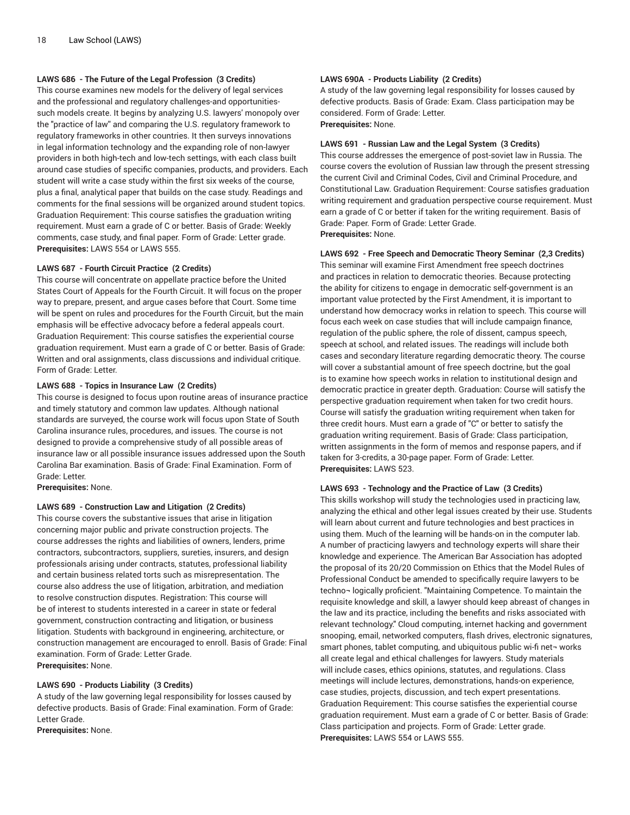# **LAWS 686 - The Future of the Legal Profession (3 Credits)**

This course examines new models for the delivery of legal services and the professional and regulatory challenges-and opportunitiessuch models create. It begins by analyzing U.S. lawyers' monopoly over the "practice of law'' and comparing the U.S. regulatory framework to regulatory frameworks in other countries. It then surveys innovations in legal information technology and the expanding role of non-lawyer providers in both high-tech and low-tech settings, with each class built around case studies of specific companies, products, and providers. Each student will write a case study within the first six weeks of the course, plus a final, analytical paper that builds on the case study. Readings and comments for the final sessions will be organized around student topics. Graduation Requirement: This course satisfies the graduation writing requirement. Must earn a grade of C or better. Basis of Grade: Weekly comments, case study, and final paper. Form of Grade: Letter grade. **Prerequisites:** LAWS 554 or LAWS 555.

#### **LAWS 687 - Fourth Circuit Practice (2 Credits)**

This course will concentrate on appellate practice before the United States Court of Appeals for the Fourth Circuit. It will focus on the proper way to prepare, present, and argue cases before that Court. Some time will be spent on rules and procedures for the Fourth Circuit, but the main emphasis will be effective advocacy before a federal appeals court. Graduation Requirement: This course satisfies the experiential course graduation requirement. Must earn a grade of C or better. Basis of Grade: Written and oral assignments, class discussions and individual critique. Form of Grade: Letter.

# **LAWS 688 - Topics in Insurance Law (2 Credits)**

This course is designed to focus upon routine areas of insurance practice and timely statutory and common law updates. Although national standards are surveyed, the course work will focus upon State of South Carolina insurance rules, procedures, and issues. The course is not designed to provide a comprehensive study of all possible areas of insurance law or all possible insurance issues addressed upon the South Carolina Bar examination. Basis of Grade: Final Examination. Form of Grade: Letter.

**Prerequisites:** None.

#### **LAWS 689 - Construction Law and Litigation (2 Credits)**

This course covers the substantive issues that arise in litigation concerning major public and private construction projects. The course addresses the rights and liabilities of owners, lenders, prime contractors, subcontractors, suppliers, sureties, insurers, and design professionals arising under contracts, statutes, professional liability and certain business related torts such as misrepresentation. The course also address the use of litigation, arbitration, and mediation to resolve construction disputes. Registration: This course will be of interest to students interested in a career in state or federal government, construction contracting and litigation, or business litigation. Students with background in engineering, architecture, or construction management are encouraged to enroll. Basis of Grade: Final examination. Form of Grade: Letter Grade. **Prerequisites:** None.

#### **LAWS 690 - Products Liability (3 Credits)**

A study of the law governing legal responsibility for losses caused by defective products. Basis of Grade: Final examination. Form of Grade: Letter Grade.

**Prerequisites:** None.

# **LAWS 690A - Products Liability (2 Credits)**

A study of the law governing legal responsibility for losses caused by defective products. Basis of Grade: Exam. Class participation may be considered. Form of Grade: Letter.

**Prerequisites:** None.

#### **LAWS 691 - Russian Law and the Legal System (3 Credits)**

This course addresses the emergence of post-soviet law in Russia. The course covers the evolution of Russian law through the present stressing the current Civil and Criminal Codes, Civil and Criminal Procedure, and Constitutional Law. Graduation Requirement: Course satisfies graduation writing requirement and graduation perspective course requirement. Must earn a grade of C or better if taken for the writing requirement. Basis of Grade: Paper. Form of Grade: Letter Grade. **Prerequisites:** None.

#### **LAWS 692 - Free Speech and Democratic Theory Seminar (2,3 Credits)**

This seminar will examine First Amendment free speech doctrines and practices in relation to democratic theories. Because protecting the ability for citizens to engage in democratic self-government is an important value protected by the First Amendment, it is important to understand how democracy works in relation to speech. This course will focus each week on case studies that will include campaign finance, regulation of the public sphere, the role of dissent, campus speech, speech at school, and related issues. The readings will include both cases and secondary literature regarding democratic theory. The course will cover a substantial amount of free speech doctrine, but the goal is to examine how speech works in relation to institutional design and democratic practice in greater depth. Graduation: Course will satisfy the perspective graduation requirement when taken for two credit hours. Course will satisfy the graduation writing requirement when taken for three credit hours. Must earn a grade of "C" or better to satisfy the graduation writing requirement. Basis of Grade: Class participation, written assignments in the form of memos and response papers, and if taken for 3-credits, a 30-page paper. Form of Grade: Letter. **Prerequisites:** LAWS 523.

#### **LAWS 693 - Technology and the Practice of Law (3 Credits)**

This skills workshop will study the technologies used in practicing law, analyzing the ethical and other legal issues created by their use. Students will learn about current and future technologies and best practices in using them. Much of the learning will be hands-on in the computer lab. A number of practicing lawyers and technology experts will share their knowledge and experience. The American Bar Association has adopted the proposal of its 20/20 Commission on Ethics that the Model Rules of Professional Conduct be amended to specifically require lawyers to be techno¬ logically proficient. "Maintaining Competence. To maintain the requisite knowledge and skill, a lawyer should keep abreast of changes in the law and its practice, including the benefits and risks associated with relevant technology." Cloud computing, internet hacking and government snooping, email, networked computers, flash drives, electronic signatures, smart phones, tablet computing, and ubiquitous public wi-fi net-works all create legal and ethical challenges for lawyers. Study materials will include cases, ethics opinions, statutes, and regulations. Class meetings will include lectures, demonstrations, hands-on experience, case studies, projects, discussion, and tech expert presentations. Graduation Requirement: This course satisfies the experiential course graduation requirement. Must earn a grade of C or better. Basis of Grade: Class participation and projects. Form of Grade: Letter grade. **Prerequisites:** LAWS 554 or LAWS 555.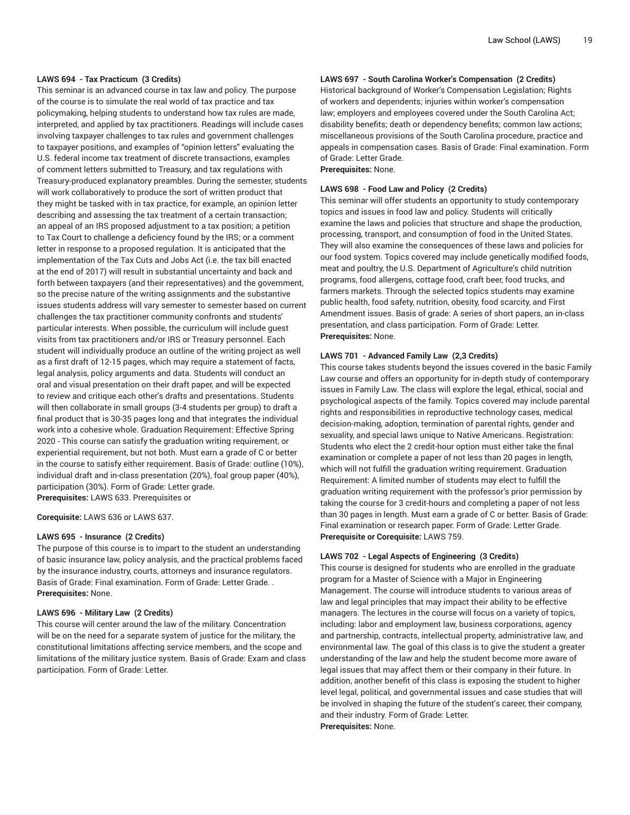#### **LAWS 694 - Tax Practicum (3 Credits)**

This seminar is an advanced course in tax law and policy. The purpose of the course is to simulate the real world of tax practice and tax policymaking, helping students to understand how tax rules are made, interpreted, and applied by tax practitioners. Readings will include cases involving taxpayer challenges to tax rules and government challenges to taxpayer positions, and examples of "opinion letters" evaluating the U.S. federal income tax treatment of discrete transactions, examples of comment letters submitted to Treasury, and tax regulations with Treasury-produced explanatory preambles. During the semester, students will work collaboratively to produce the sort of written product that they might be tasked with in tax practice, for example, an opinion letter describing and assessing the tax treatment of a certain transaction; an appeal of an IRS proposed adjustment to a tax position; a petition to Tax Court to challenge a deficiency found by the IRS; or a comment letter in response to a proposed regulation. It is anticipated that the implementation of the Tax Cuts and Jobs Act (i.e. the tax bill enacted at the end of 2017) will result in substantial uncertainty and back and forth between taxpayers (and their representatives) and the government, so the precise nature of the writing assignments and the substantive issues students address will vary semester to semester based on current challenges the tax practitioner community confronts and students' particular interests. When possible, the curriculum will include guest visits from tax practitioners and/or IRS or Treasury personnel. Each student will individually produce an outline of the writing project as well as a first draft of 12-15 pages, which may require a statement of facts, legal analysis, policy arguments and data. Students will conduct an oral and visual presentation on their draft paper, and will be expected to review and critique each other's drafts and presentations. Students will then collaborate in small groups (3-4 students per group) to draft a final product that is 30-35 pages long and that integrates the individual work into a cohesive whole. Graduation Requirement: Effective Spring 2020 - This course can satisfy the graduation writing requirement, or experiential requirement, but not both. Must earn a grade of C or better in the course to satisfy either requirement. Basis of Grade: outline (10%), individual draft and in-class presentation (20%), foal group paper (40%), participation (30%). Form of Grade: Letter grade. **Prerequisites:** LAWS 633. Prerequisites or

**Corequisite:** LAWS 636 or LAWS 637.

#### **LAWS 695 - Insurance (2 Credits)**

The purpose of this course is to impart to the student an understanding of basic insurance law, policy analysis, and the practical problems faced by the insurance industry, courts, attorneys and insurance regulators. Basis of Grade: Final examination. Form of Grade: Letter Grade. . **Prerequisites:** None.

#### **LAWS 696 - Military Law (2 Credits)**

This course will center around the law of the military. Concentration will be on the need for a separate system of justice for the military, the constitutional limitations affecting service members, and the scope and limitations of the military justice system. Basis of Grade: Exam and class participation. Form of Grade: Letter.

# **LAWS 697 - South Carolina Worker's Compensation (2 Credits)**

Historical background of Worker's Compensation Legislation; Rights of workers and dependents; injuries within worker's compensation law; employers and employees covered under the South Carolina Act; disability benefits; death or dependency benefits; common law actions; miscellaneous provisions of the South Carolina procedure, practice and appeals in compensation cases. Basis of Grade: Final examination. Form of Grade: Letter Grade.

**Prerequisites:** None.

#### **LAWS 698 - Food Law and Policy (2 Credits)**

This seminar will offer students an opportunity to study contemporary topics and issues in food law and policy. Students will critically examine the laws and policies that structure and shape the production, processing, transport, and consumption of food in the United States. They will also examine the consequences of these laws and policies for our food system. Topics covered may include genetically modified foods, meat and poultry, the U.S. Department of Agriculture's child nutrition programs, food allergens, cottage food, craft beer, food trucks, and farmers markets. Through the selected topics students may examine public health, food safety, nutrition, obesity, food scarcity, and First Amendment issues. Basis of grade: A series of short papers, an in-class presentation, and class participation. Form of Grade: Letter. **Prerequisites:** None.

# **LAWS 701 - Advanced Family Law (2,3 Credits)**

This course takes students beyond the issues covered in the basic Family Law course and offers an opportunity for in-depth study of contemporary issues in Family Law. The class will explore the legal, ethical, social and psychological aspects of the family. Topics covered may include parental rights and responsibilities in reproductive technology cases, medical decision-making, adoption, termination of parental rights, gender and sexuality, and special laws unique to Native Americans. Registration: Students who elect the 2 credit-hour option must either take the final examination or complete a paper of not less than 20 pages in length, which will not fulfill the graduation writing requirement. Graduation Requirement: A limited number of students may elect to fulfill the graduation writing requirement with the professor's prior permission by taking the course for 3 credit-hours and completing a paper of not less than 30 pages in length. Must earn a grade of C or better. Basis of Grade: Final examination or research paper. Form of Grade: Letter Grade. **Prerequisite or Corequisite:** LAWS 759.

#### **LAWS 702 - Legal Aspects of Engineering (3 Credits)**

This course is designed for students who are enrolled in the graduate program for a Master of Science with a Major in Engineering Management. The course will introduce students to various areas of law and legal principles that may impact their ability to be effective managers. The lectures in the course will focus on a variety of topics, including: labor and employment law, business corporations, agency and partnership, contracts, intellectual property, administrative law, and environmental law. The goal of this class is to give the student a greater understanding of the law and help the student become more aware of legal issues that may affect them or their company in their future. In addition, another benefit of this class is exposing the student to higher level legal, political, and governmental issues and case studies that will be involved in shaping the future of the student's career, their company, and their industry. Form of Grade: Letter. **Prerequisites:** None.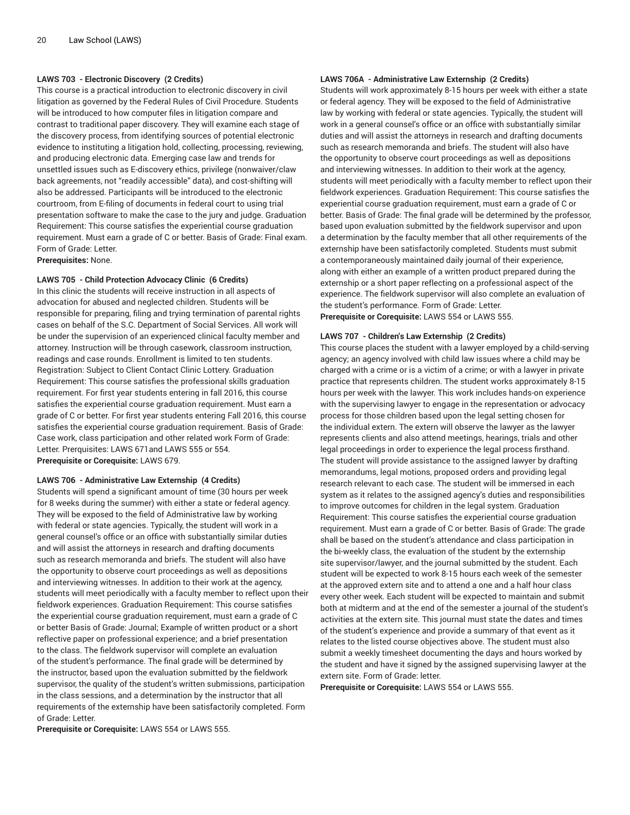# **LAWS 703 - Electronic Discovery (2 Credits)**

This course is a practical introduction to electronic discovery in civil litigation as governed by the Federal Rules of Civil Procedure. Students will be introduced to how computer files in litigation compare and contrast to traditional paper discovery. They will examine each stage of the discovery process, from identifying sources of potential electronic evidence to instituting a litigation hold, collecting, processing, reviewing, and producing electronic data. Emerging case law and trends for unsettled issues such as E-discovery ethics, privilege (nonwaiver/claw back agreements, not "readily accessible" data), and cost-shifting will also be addressed. Participants will be introduced to the electronic courtroom, from E-filing of documents in federal court to using trial presentation software to make the case to the jury and judge. Graduation Requirement: This course satisfies the experiential course graduation requirement. Must earn a grade of C or better. Basis of Grade: Final exam. Form of Grade: Letter.

**Prerequisites:** None.

#### **LAWS 705 - Child Protection Advocacy Clinic (6 Credits)**

In this clinic the students will receive instruction in all aspects of advocation for abused and neglected children. Students will be responsible for preparing, filing and trying termination of parental rights cases on behalf of the S.C. Department of Social Services. All work will be under the supervision of an experienced clinical faculty member and attorney. Instruction will be through casework, classroom instruction, readings and case rounds. Enrollment is limited to ten students. Registration: Subject to Client Contact Clinic Lottery. Graduation Requirement: This course satisfies the professional skills graduation requirement. For first year students entering in fall 2016, this course satisfies the experiential course graduation requirement. Must earn a grade of C or better. For first year students entering Fall 2016, this course satisfies the experiential course graduation requirement. Basis of Grade: Case work, class participation and other related work Form of Grade: Letter. Prerquisites: LAWS 671and LAWS 555 or 554. **Prerequisite or Corequisite:** LAWS 679.

#### **LAWS 706 - Administrative Law Externship (4 Credits)**

Students will spend a significant amount of time (30 hours per week for 8 weeks during the summer) with either a state or federal agency. They will be exposed to the field of Administrative law by working with federal or state agencies. Typically, the student will work in a general counsel's office or an office with substantially similar duties and will assist the attorneys in research and drafting documents such as research memoranda and briefs. The student will also have the opportunity to observe court proceedings as well as depositions and interviewing witnesses. In addition to their work at the agency, students will meet periodically with a faculty member to reflect upon their fieldwork experiences. Graduation Requirement: This course satisfies the experiential course graduation requirement, must earn a grade of C or better Basis of Grade: Journal; Example of written product or a short reflective paper on professional experience; and a brief presentation to the class. The fieldwork supervisor will complete an evaluation of the student's performance. The final grade will be determined by the instructor, based upon the evaluation submitted by the fieldwork supervisor, the quality of the student's written submissions, participation in the class sessions, and a determination by the instructor that all requirements of the externship have been satisfactorily completed. Form of Grade: Letter.

**Prerequisite or Corequisite:** LAWS 554 or LAWS 555.

### **LAWS 706A - Administrative Law Externship (2 Credits)**

Students will work approximately 8-15 hours per week with either a state or federal agency. They will be exposed to the field of Administrative law by working with federal or state agencies. Typically, the student will work in a general counsel's office or an office with substantially similar duties and will assist the attorneys in research and drafting documents such as research memoranda and briefs. The student will also have the opportunity to observe court proceedings as well as depositions and interviewing witnesses. In addition to their work at the agency, students will meet periodically with a faculty member to reflect upon their fieldwork experiences. Graduation Requirement: This course satisfies the experiential course graduation requirement, must earn a grade of C or better. Basis of Grade: The final grade will be determined by the professor, based upon evaluation submitted by the fieldwork supervisor and upon a determination by the faculty member that all other requirements of the externship have been satisfactorily completed. Students must submit a contemporaneously maintained daily journal of their experience, along with either an example of a written product prepared during the externship or a short paper reflecting on a professional aspect of the experience. The fieldwork supervisor will also complete an evaluation of the student's performance. Form of Grade: Letter. **Prerequisite or Corequisite:** LAWS 554 or LAWS 555.

#### **LAWS 707 - Children's Law Externship (2 Credits)**

This course places the student with a lawyer employed by a child-serving agency; an agency involved with child law issues where a child may be charged with a crime or is a victim of a crime; or with a lawyer in private practice that represents children. The student works approximately 8-15 hours per week with the lawyer. This work includes hands-on experience with the supervising lawyer to engage in the representation or advocacy process for those children based upon the legal setting chosen for the individual extern. The extern will observe the lawyer as the lawyer represents clients and also attend meetings, hearings, trials and other legal proceedings in order to experience the legal process firsthand. The student will provide assistance to the assigned lawyer by drafting memorandums, legal motions, proposed orders and providing legal research relevant to each case. The student will be immersed in each system as it relates to the assigned agency's duties and responsibilities to improve outcomes for children in the legal system. Graduation Requirement: This course satisfies the experiential course graduation requirement. Must earn a grade of C or better. Basis of Grade: The grade shall be based on the student's attendance and class participation in the bi-weekly class, the evaluation of the student by the externship site supervisor/lawyer, and the journal submitted by the student. Each student will be expected to work 8-15 hours each week of the semester at the approved extern site and to attend a one and a half hour class every other week. Each student will be expected to maintain and submit both at midterm and at the end of the semester a journal of the student's activities at the extern site. This journal must state the dates and times of the student's experience and provide a summary of that event as it relates to the listed course objectives above. The student must also submit a weekly timesheet documenting the days and hours worked by the student and have it signed by the assigned supervising lawyer at the extern site. Form of Grade: letter.

**Prerequisite or Corequisite:** LAWS 554 or LAWS 555.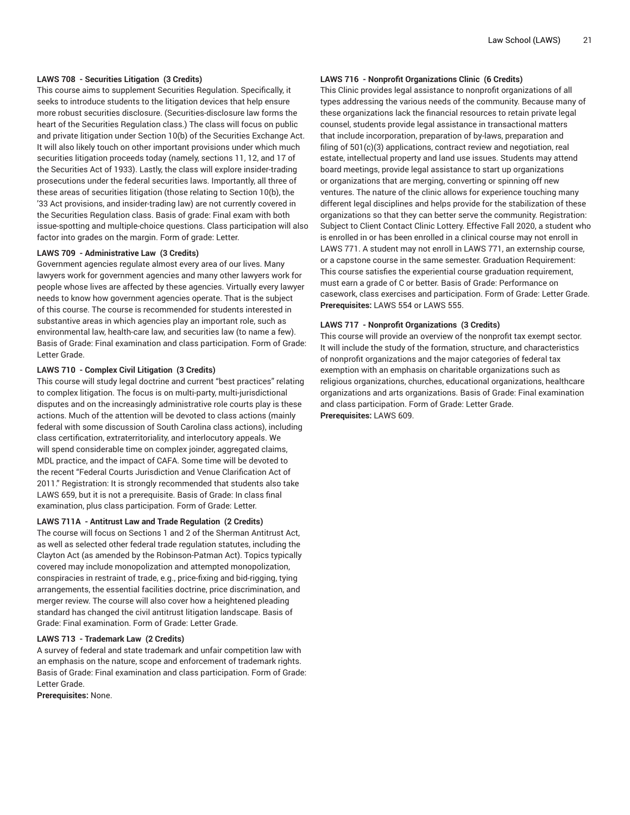### **LAWS 708 - Securities Litigation (3 Credits)**

This course aims to supplement Securities Regulation. Specifically, it seeks to introduce students to the litigation devices that help ensure more robust securities disclosure. (Securities-disclosure law forms the heart of the Securities Regulation class.) The class will focus on public and private litigation under Section 10(b) of the Securities Exchange Act. It will also likely touch on other important provisions under which much securities litigation proceeds today (namely, sections 11, 12, and 17 of the Securities Act of 1933). Lastly, the class will explore insider-trading prosecutions under the federal securities laws. Importantly, all three of these areas of securities litigation (those relating to Section 10(b), the '33 Act provisions, and insider-trading law) are not currently covered in the Securities Regulation class. Basis of grade: Final exam with both issue-spotting and multiple-choice questions. Class participation will also factor into grades on the margin. Form of grade: Letter.

# **LAWS 709 - Administrative Law (3 Credits)**

Government agencies regulate almost every area of our lives. Many lawyers work for government agencies and many other lawyers work for people whose lives are affected by these agencies. Virtually every lawyer needs to know how government agencies operate. That is the subject of this course. The course is recommended for students interested in substantive areas in which agencies play an important role, such as environmental law, health-care law, and securities law (to name a few). Basis of Grade: Final examination and class participation. Form of Grade: Letter Grade.

# **LAWS 710 - Complex Civil Litigation (3 Credits)**

This course will study legal doctrine and current "best practices" relating to complex litigation. The focus is on multi-party, multi-jurisdictional disputes and on the increasingly administrative role courts play is these actions. Much of the attention will be devoted to class actions (mainly federal with some discussion of South Carolina class actions), including class certification, extraterritoriality, and interlocutory appeals. We will spend considerable time on complex joinder, aggregated claims, MDL practice, and the impact of CAFA. Some time will be devoted to the recent "Federal Courts Jurisdiction and Venue Clarification Act of 2011." Registration: It is strongly recommended that students also take LAWS 659, but it is not a prerequisite. Basis of Grade: In class final examination, plus class participation. Form of Grade: Letter.

#### **LAWS 711A - Antitrust Law and Trade Regulation (2 Credits)**

The course will focus on Sections 1 and 2 of the Sherman Antitrust Act, as well as selected other federal trade regulation statutes, including the Clayton Act (as amended by the Robinson-Patman Act). Topics typically covered may include monopolization and attempted monopolization, conspiracies in restraint of trade, e.g., price-fixing and bid-rigging, tying arrangements, the essential facilities doctrine, price discrimination, and merger review. The course will also cover how a heightened pleading standard has changed the civil antitrust litigation landscape. Basis of Grade: Final examination. Form of Grade: Letter Grade.

### **LAWS 713 - Trademark Law (2 Credits)**

A survey of federal and state trademark and unfair competition law with an emphasis on the nature, scope and enforcement of trademark rights. Basis of Grade: Final examination and class participation. Form of Grade: Letter Grade.

**Prerequisites:** None.

#### **LAWS 716 - Nonprofit Organizations Clinic (6 Credits)**

This Clinic provides legal assistance to nonprofit organizations of all types addressing the various needs of the community. Because many of these organizations lack the financial resources to retain private legal counsel, students provide legal assistance in transactional matters that include incorporation, preparation of by-laws, preparation and filing of 501(c)(3) applications, contract review and negotiation, real estate, intellectual property and land use issues. Students may attend board meetings, provide legal assistance to start up organizations or organizations that are merging, converting or spinning off new ventures. The nature of the clinic allows for experience touching many different legal disciplines and helps provide for the stabilization of these organizations so that they can better serve the community. Registration: Subject to Client Contact Clinic Lottery. Effective Fall 2020, a student who is enrolled in or has been enrolled in a clinical course may not enroll in LAWS 771. A student may not enroll in LAWS 771, an externship course, or a capstone course in the same semester. Graduation Requirement: This course satisfies the experiential course graduation requirement, must earn a grade of C or better. Basis of Grade: Performance on casework, class exercises and participation. Form of Grade: Letter Grade. **Prerequisites:** LAWS 554 or LAWS 555.

#### **LAWS 717 - Nonprofit Organizations (3 Credits)**

This course will provide an overview of the nonprofit tax exempt sector. It will include the study of the formation, structure, and characteristics of nonprofit organizations and the major categories of federal tax exemption with an emphasis on charitable organizations such as religious organizations, churches, educational organizations, healthcare organizations and arts organizations. Basis of Grade: Final examination and class participation. Form of Grade: Letter Grade. **Prerequisites:** LAWS 609.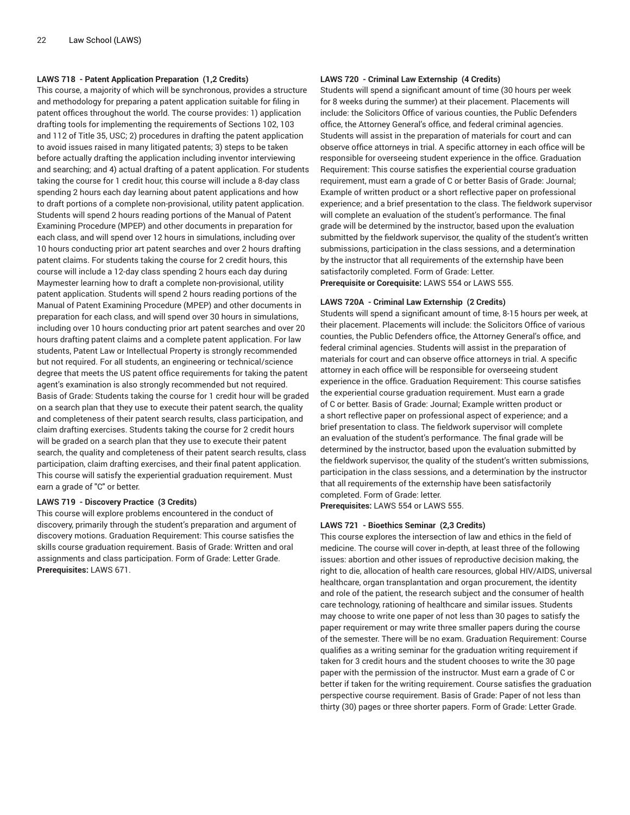# **LAWS 718 - Patent Application Preparation (1,2 Credits)**

This course, a majority of which will be synchronous, provides a structure and methodology for preparing a patent application suitable for filing in patent offices throughout the world. The course provides: 1) application drafting tools for implementing the requirements of Sections 102, 103 and 112 of Title 35, USC; 2) procedures in drafting the patent application to avoid issues raised in many litigated patents; 3) steps to be taken before actually drafting the application including inventor interviewing and searching; and 4) actual drafting of a patent application. For students taking the course for 1 credit hour, this course will include a 8-day class spending 2 hours each day learning about patent applications and how to draft portions of a complete non-provisional, utility patent application. Students will spend 2 hours reading portions of the Manual of Patent Examining Procedure (MPEP) and other documents in preparation for each class, and will spend over 12 hours in simulations, including over 10 hours conducting prior art patent searches and over 2 hours drafting patent claims. For students taking the course for 2 credit hours, this course will include a 12-day class spending 2 hours each day during Maymester learning how to draft a complete non-provisional, utility patent application. Students will spend 2 hours reading portions of the Manual of Patent Examining Procedure (MPEP) and other documents in preparation for each class, and will spend over 30 hours in simulations, including over 10 hours conducting prior art patent searches and over 20 hours drafting patent claims and a complete patent application. For law students, Patent Law or Intellectual Property is strongly recommended but not required. For all students, an engineering or technical/science degree that meets the US patent office requirements for taking the patent agent's examination is also strongly recommended but not required. Basis of Grade: Students taking the course for 1 credit hour will be graded on a search plan that they use to execute their patent search, the quality and completeness of their patent search results, class participation, and claim drafting exercises. Students taking the course for 2 credit hours will be graded on a search plan that they use to execute their patent search, the quality and completeness of their patent search results, class participation, claim drafting exercises, and their final patent application. This course will satisfy the experiential graduation requirement. Must earn a grade of "C" or better.

#### **LAWS 719 - Discovery Practice (3 Credits)**

This course will explore problems encountered in the conduct of discovery, primarily through the student's preparation and argument of discovery motions. Graduation Requirement: This course satisfies the skills course graduation requirement. Basis of Grade: Written and oral assignments and class participation. Form of Grade: Letter Grade. **Prerequisites:** LAWS 671.

# **LAWS 720 - Criminal Law Externship (4 Credits)**

Students will spend a significant amount of time (30 hours per week for 8 weeks during the summer) at their placement. Placements will include: the Solicitors Office of various counties, the Public Defenders office, the Attorney General's office, and federal criminal agencies. Students will assist in the preparation of materials for court and can observe office attorneys in trial. A specific attorney in each office will be responsible for overseeing student experience in the office. Graduation Requirement: This course satisfies the experiential course graduation requirement, must earn a grade of C or better Basis of Grade: Journal; Example of written product or a short reflective paper on professional experience; and a brief presentation to the class. The fieldwork supervisor will complete an evaluation of the student's performance. The final grade will be determined by the instructor, based upon the evaluation submitted by the fieldwork supervisor, the quality of the student's written submissions, participation in the class sessions, and a determination by the instructor that all requirements of the externship have been satisfactorily completed. Form of Grade: Letter. **Prerequisite or Corequisite:** LAWS 554 or LAWS 555.

#### **LAWS 720A - Criminal Law Externship (2 Credits)**

Students will spend a significant amount of time, 8-15 hours per week, at their placement. Placements will include: the Solicitors Office of various counties, the Public Defenders office, the Attorney General's office, and federal criminal agencies. Students will assist in the preparation of materials for court and can observe office attorneys in trial. A specific attorney in each office will be responsible for overseeing student experience in the office. Graduation Requirement: This course satisfies the experiential course graduation requirement. Must earn a grade of C or better. Basis of Grade: Journal; Example written product or a short reflective paper on professional aspect of experience; and a brief presentation to class. The fieldwork supervisor will complete an evaluation of the student's performance. The final grade will be determined by the instructor, based upon the evaluation submitted by the fieldwork supervisor, the quality of the student's written submissions, participation in the class sessions, and a determination by the instructor that all requirements of the externship have been satisfactorily completed. Form of Grade: letter.

**Prerequisites:** LAWS 554 or LAWS 555.

#### **LAWS 721 - Bioethics Seminar (2,3 Credits)**

This course explores the intersection of law and ethics in the field of medicine. The course will cover in-depth, at least three of the following issues: abortion and other issues of reproductive decision making, the right to die, allocation of health care resources, global HIV/AIDS, universal healthcare, organ transplantation and organ procurement, the identity and role of the patient, the research subject and the consumer of health care technology, rationing of healthcare and similar issues. Students may choose to write one paper of not less than 30 pages to satisfy the paper requirement or may write three smaller papers during the course of the semester. There will be no exam. Graduation Requirement: Course qualifies as a writing seminar for the graduation writing requirement if taken for 3 credit hours and the student chooses to write the 30 page paper with the permission of the instructor. Must earn a grade of C or better if taken for the writing requirement. Course satisfies the graduation perspective course requirement. Basis of Grade: Paper of not less than thirty (30) pages or three shorter papers. Form of Grade: Letter Grade.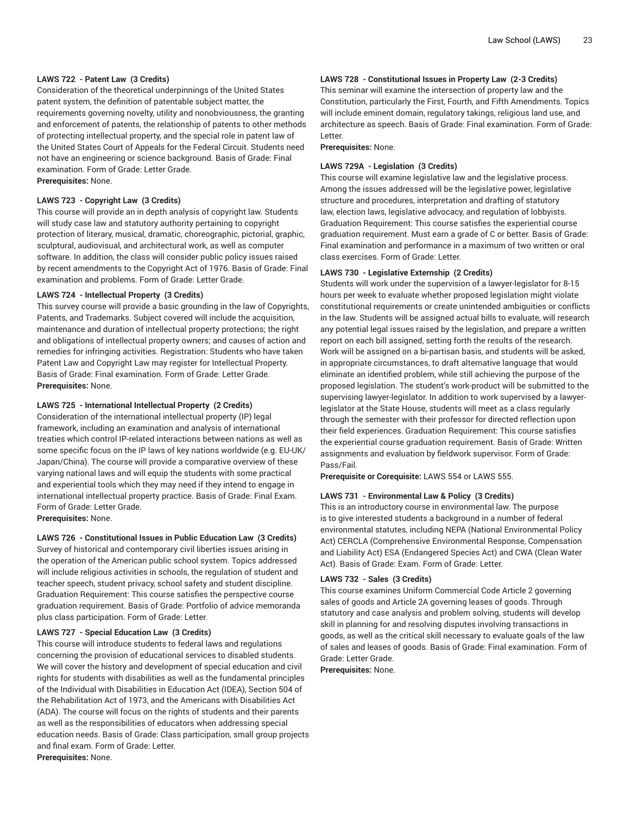# **LAWS 722 - Patent Law (3 Credits)**

Consideration of the theoretical underpinnings of the United States patent system, the definition of patentable subject matter, the requirements governing novelty, utility and nonobviousness, the granting and enforcement of patents, the relationship of patents to other methods of protecting intellectual property, and the special role in patent law of the United States Court of Appeals for the Federal Circuit. Students need not have an engineering or science background. Basis of Grade: Final examination. Form of Grade: Letter Grade. **Prerequisites:** None.

### **LAWS 723 - Copyright Law (3 Credits)**

This course will provide an in depth analysis of copyright law. Students will study case law and statutory authority pertaining to copyright protection of literary, musical, dramatic, choreographic, pictorial, graphic, sculptural, audiovisual, and architectural work, as well as computer software. In addition, the class will consider public policy issues raised by recent amendments to the Copyright Act of 1976. Basis of Grade: Final examination and problems. Form of Grade: Letter Grade.

#### **LAWS 724 - Intellectual Property (3 Credits)**

This survey course will provide a basic grounding in the law of Copyrights, Patents, and Trademarks. Subject covered will include the acquisition, maintenance and duration of intellectual property protections; the right and obligations of intellectual property owners; and causes of action and remedies for infringing activities. Registration: Students who have taken Patent Law and Copyright Law may register for Intellectual Property. Basis of Grade: Final examination. Form of Grade: Letter Grade. **Prerequisites:** None.

#### **LAWS 725 - International Intellectual Property (2 Credits)**

Consideration of the international intellectual property (IP) legal framework, including an examination and analysis of international treaties which control IP-related interactions between nations as well as some specific focus on the IP laws of key nations worldwide (e.g. EU-UK/ Japan/China). The course will provide a comparative overview of these varying national laws and will equip the students with some practical and experiential tools which they may need if they intend to engage in international intellectual property practice. Basis of Grade: Final Exam. Form of Grade: Letter Grade.

**Prerequisites:** None.

**LAWS 726 - Constitutional Issues in Public Education Law (3 Credits)** Survey of historical and contemporary civil liberties issues arising in the operation of the American public school system. Topics addressed will include religious activities in schools, the regulation of student and teacher speech, student privacy, school safety and student discipline. Graduation Requirement: This course satisfies the perspective course graduation requirement. Basis of Grade: Portfolio of advice memoranda plus class participation. Form of Grade: Letter.

#### **LAWS 727 - Special Education Law (3 Credits)**

This course will introduce students to federal laws and regulations concerning the provision of educational services to disabled students. We will cover the history and development of special education and civil rights for students with disabilities as well as the fundamental principles of the Individual with Disabilities in Education Act (IDEA), Section 504 of the Rehabilitation Act of 1973, and the Americans with Disabilities Act (ADA). The course will focus on the rights of students and their parents as well as the responsibilities of educators when addressing special education needs. Basis of Grade: Class participation, small group projects and final exam. Form of Grade: Letter. **Prerequisites:** None.

# **LAWS 728 - Constitutional Issues in Property Law (2-3 Credits)**

This seminar will examine the intersection of property law and the Constitution, particularly the First, Fourth, and Fifth Amendments. Topics will include eminent domain, regulatory takings, religious land use, and architecture as speech. Basis of Grade: Final examination. Form of Grade: Letter.

**Prerequisites:** None.

#### **LAWS 729A - Legislation (3 Credits)**

This course will examine legislative law and the legislative process. Among the issues addressed will be the legislative power, legislative structure and procedures, interpretation and drafting of statutory law, election laws, legislative advocacy, and regulation of lobbyists. Graduation Requirement: This course satisfies the experiential course graduation requirement. Must earn a grade of C or better. Basis of Grade: Final examination and performance in a maximum of two written or oral class exercises. Form of Grade: Letter.

#### **LAWS 730 - Legislative Externship (2 Credits)**

Students will work under the supervision of a lawyer-legislator for 8-15 hours per week to evaluate whether proposed legislation might violate constitutional requirements or create unintended ambiguities or conflicts in the law. Students will be assigned actual bills to evaluate, will research any potential legal issues raised by the legislation, and prepare a written report on each bill assigned, setting forth the results of the research. Work will be assigned on a bi-partisan basis, and students will be asked, in appropriate circumstances, to draft alternative language that would eliminate an identified problem, while still achieving the purpose of the proposed legislation. The student's work-product will be submitted to the supervising lawyer-legislator. In addition to work supervised by a lawyerlegislator at the State House, students will meet as a class regularly through the semester with their professor for directed reflection upon their field experiences. Graduation Requirement: This course satisfies the experiential course graduation requirement. Basis of Grade: Written assignments and evaluation by fieldwork supervisor. Form of Grade: Pass/Fail.

**Prerequisite or Corequisite:** LAWS 554 or LAWS 555.

# **LAWS 731 - Environmental Law & Policy (3 Credits)**

This is an introductory course in environmental law. The purpose is to give interested students a background in a number of federal environmental statutes, including NEPA (National Environmental Policy Act) CERCLA (Comprehensive Environmental Response, Compensation and Liability Act) ESA (Endangered Species Act) and CWA (Clean Water Act). Basis of Grade: Exam. Form of Grade: Letter.

# **LAWS 732 - Sales (3 Credits)**

This course examines Uniform Commercial Code Article 2 governing sales of goods and Article 2A governing leases of goods. Through statutory and case analysis and problem solving, students will develop skill in planning for and resolving disputes involving transactions in goods, as well as the critical skill necessary to evaluate goals of the law of sales and leases of goods. Basis of Grade: Final examination. Form of Grade: Letter Grade.

**Prerequisites:** None.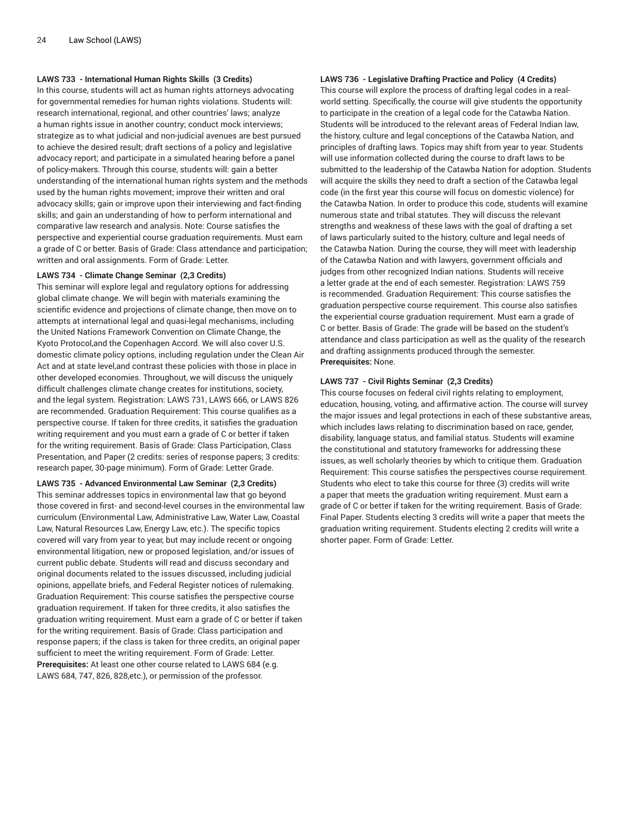# **LAWS 733 - International Human Rights Skills (3 Credits)**

In this course, students will act as human rights attorneys advocating for governmental remedies for human rights violations. Students will: research international, regional, and other countries' laws; analyze a human rights issue in another country; conduct mock interviews; strategize as to what judicial and non-judicial avenues are best pursued to achieve the desired result; draft sections of a policy and legislative advocacy report; and participate in a simulated hearing before a panel of policy-makers. Through this course, students will: gain a better understanding of the international human rights system and the methods used by the human rights movement; improve their written and oral advocacy skills; gain or improve upon their interviewing and fact-finding skills; and gain an understanding of how to perform international and comparative law research and analysis. Note: Course satisfies the perspective and experiential course graduation requirements. Must earn a grade of C or better. Basis of Grade: Class attendance and participation; written and oral assignments. Form of Grade: Letter.

#### **LAWS 734 - Climate Change Seminar (2,3 Credits)**

This seminar will explore legal and regulatory options for addressing global climate change. We will begin with materials examining the scientific evidence and projections of climate change, then move on to attempts at international legal and quasi-legal mechanisms, including the United Nations Framework Convention on Climate Change, the Kyoto Protocol,and the Copenhagen Accord. We will also cover U.S. domestic climate policy options, including regulation under the Clean Air Act and at state level,and contrast these policies with those in place in other developed economies. Throughout, we will discuss the uniquely difficult challenges climate change creates for institutions, society, and the legal system. Registration: LAWS 731, LAWS 666, or LAWS 826 are recommended. Graduation Requirement: This course qualifies as a perspective course. If taken for three credits, it satisfies the graduation writing requirement and you must earn a grade of C or better if taken for the writing requirement. Basis of Grade: Class Participation, Class Presentation, and Paper (2 credits: series of response papers; 3 credits: research paper, 30-page minimum). Form of Grade: Letter Grade.

#### **LAWS 735 - Advanced Environmental Law Seminar (2,3 Credits)**

This seminar addresses topics in environmental law that go beyond those covered in first- and second-level courses in the environmental law curriculum (Environmental Law, Administrative Law, Water Law, Coastal Law, Natural Resources Law, Energy Law, etc.). The specific topics covered will vary from year to year, but may include recent or ongoing environmental litigation, new or proposed legislation, and/or issues of current public debate. Students will read and discuss secondary and original documents related to the issues discussed, including judicial opinions, appellate briefs, and Federal Register notices of rulemaking. Graduation Requirement: This course satisfies the perspective course graduation requirement. If taken for three credits, it also satisfies the graduation writing requirement. Must earn a grade of C or better if taken for the writing requirement. Basis of Grade: Class participation and response papers; if the class is taken for three credits, an original paper sufficient to meet the writing requirement. Form of Grade: Letter. **Prerequisites:** At least one other course related to LAWS 684 (e.g. LAWS 684, 747, 826, 828,etc.), or permission of the professor.

# **LAWS 736 - Legislative Drafting Practice and Policy (4 Credits)**

This course will explore the process of drafting legal codes in a realworld setting. Specifically, the course will give students the opportunity to participate in the creation of a legal code for the Catawba Nation. Students will be introduced to the relevant areas of Federal Indian law, the history, culture and legal conceptions of the Catawba Nation, and principles of drafting laws. Topics may shift from year to year. Students will use information collected during the course to draft laws to be submitted to the leadership of the Catawba Nation for adoption. Students will acquire the skills they need to draft a section of the Catawba legal code (in the first year this course will focus on domestic violence) for the Catawba Nation. In order to produce this code, students will examine numerous state and tribal statutes. They will discuss the relevant strengths and weakness of these laws with the goal of drafting a set of laws particularly suited to the history, culture and legal needs of the Catawba Nation. During the course, they will meet with leadership of the Catawba Nation and with lawyers, government officials and judges from other recognized Indian nations. Students will receive a letter grade at the end of each semester. Registration: LAWS 759 is recommended. Graduation Requirement: This course satisfies the graduation perspective course requirement. This course also satisfies the experiential course graduation requirement. Must earn a grade of C or better. Basis of Grade: The grade will be based on the student's attendance and class participation as well as the quality of the research and drafting assignments produced through the semester. **Prerequisites:** None.

# **LAWS 737 - Civil Rights Seminar (2,3 Credits)**

This course focuses on federal civil rights relating to employment, education, housing, voting, and affirmative action. The course will survey the major issues and legal protections in each of these substantive areas, which includes laws relating to discrimination based on race, gender, disability, language status, and familial status. Students will examine the constitutional and statutory frameworks for addressing these issues, as well scholarly theories by which to critique them. Graduation Requirement: This course satisfies the perspectives course requirement. Students who elect to take this course for three (3) credits will write a paper that meets the graduation writing requirement. Must earn a grade of C or better if taken for the writing requirement. Basis of Grade: Final Paper. Students electing 3 credits will write a paper that meets the graduation writing requirement. Students electing 2 credits will write a shorter paper. Form of Grade: Letter.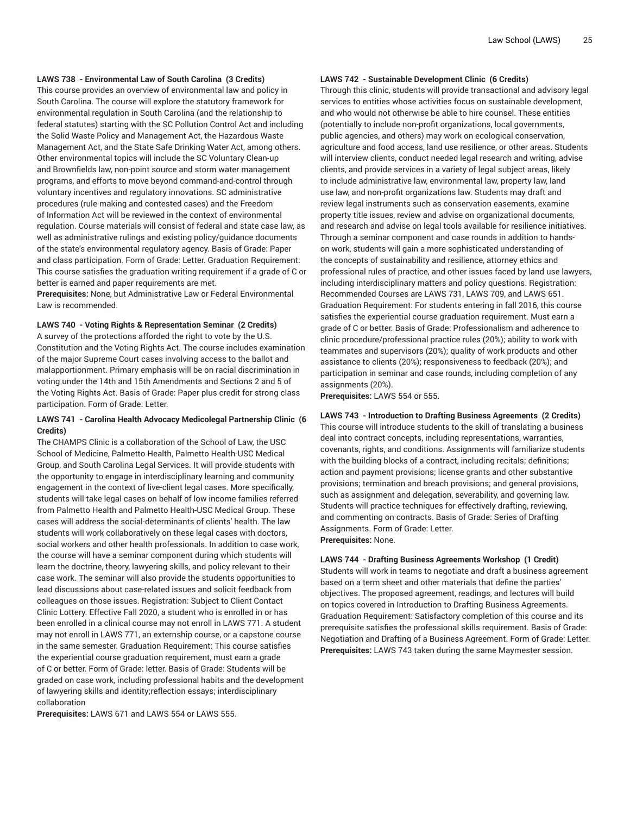# **LAWS 738 - Environmental Law of South Carolina (3 Credits)**

This course provides an overview of environmental law and policy in South Carolina. The course will explore the statutory framework for environmental regulation in South Carolina (and the relationship to federal statutes) starting with the SC Pollution Control Act and including the Solid Waste Policy and Management Act, the Hazardous Waste Management Act, and the State Safe Drinking Water Act, among others. Other environmental topics will include the SC Voluntary Clean-up and Brownfields law, non-point source and storm water management programs, and efforts to move beyond command-and-control through voluntary incentives and regulatory innovations. SC administrative procedures (rule-making and contested cases) and the Freedom of Information Act will be reviewed in the context of environmental regulation. Course materials will consist of federal and state case law, as well as administrative rulings and existing policy/guidance documents of the state's environmental regulatory agency. Basis of Grade: Paper and class participation. Form of Grade: Letter. Graduation Requirement: This course satisfies the graduation writing requirement if a grade of C or better is earned and paper requirements are met.

**Prerequisites:** None, but Administrative Law or Federal Environmental Law is recommended.

**LAWS 740 - Voting Rights & Representation Seminar (2 Credits)**

A survey of the protections afforded the right to vote by the U.S. Constitution and the Voting Rights Act. The course includes examination of the major Supreme Court cases involving access to the ballot and malapportionment. Primary emphasis will be on racial discrimination in voting under the 14th and 15th Amendments and Sections 2 and 5 of the Voting Rights Act. Basis of Grade: Paper plus credit for strong class participation. Form of Grade: Letter.

# **LAWS 741 - Carolina Health Advocacy Medicolegal Partnership Clinic (6 Credits)**

The CHAMPS Clinic is a collaboration of the School of Law, the USC School of Medicine, Palmetto Health, Palmetto Health-USC Medical Group, and South Carolina Legal Services. It will provide students with the opportunity to engage in interdisciplinary learning and community engagement in the context of live-client legal cases. More specifically, students will take legal cases on behalf of low income families referred from Palmetto Health and Palmetto Health-USC Medical Group. These cases will address the social-determinants of clients' health. The law students will work collaboratively on these legal cases with doctors, social workers and other health professionals. In addition to case work, the course will have a seminar component during which students will learn the doctrine, theory, lawyering skills, and policy relevant to their case work. The seminar will also provide the students opportunities to lead discussions about case-related issues and solicit feedback from colleagues on those issues. Registration: Subject to Client Contact Clinic Lottery. Effective Fall 2020, a student who is enrolled in or has been enrolled in a clinical course may not enroll in LAWS 771. A student may not enroll in LAWS 771, an externship course, or a capstone course in the same semester. Graduation Requirement: This course satisfies the experiential course graduation requirement, must earn a grade of C or better. Form of Grade: letter. Basis of Grade: Students will be graded on case work, including professional habits and the development of lawyering skills and identity;reflection essays; interdisciplinary collaboration

**Prerequisites:** LAWS 671 and LAWS 554 or LAWS 555.

#### **LAWS 742 - Sustainable Development Clinic (6 Credits)**

Through this clinic, students will provide transactional and advisory legal services to entities whose activities focus on sustainable development, and who would not otherwise be able to hire counsel. These entities (potentially to include non-profit organizations, local governments, public agencies, and others) may work on ecological conservation, agriculture and food access, land use resilience, or other areas. Students will interview clients, conduct needed legal research and writing, advise clients, and provide services in a variety of legal subject areas, likely to include administrative law, environmental law, property law, land use law, and non-profit organizations law. Students may draft and review legal instruments such as conservation easements, examine property title issues, review and advise on organizational documents, and research and advise on legal tools available for resilience initiatives. Through a seminar component and case rounds in addition to handson work, students will gain a more sophisticated understanding of the concepts of sustainability and resilience, attorney ethics and professional rules of practice, and other issues faced by land use lawyers, including interdisciplinary matters and policy questions. Registration: Recommended Courses are LAWS 731, LAWS 709, and LAWS 651. Graduation Requirement: For students entering in fall 2016, this course satisfies the experiential course graduation requirement. Must earn a grade of C or better. Basis of Grade: Professionalism and adherence to clinic procedure/professional practice rules (20%); ability to work with teammates and supervisors (20%); quality of work products and other assistance to clients (20%); responsiveness to feedback (20%); and participation in seminar and case rounds, including completion of any assignments (20%).

**Prerequisites:** LAWS 554 or 555.

#### **LAWS 743 - Introduction to Drafting Business Agreements (2 Credits)**

This course will introduce students to the skill of translating a business deal into contract concepts, including representations, warranties, covenants, rights, and conditions. Assignments will familiarize students with the building blocks of a contract, including recitals; definitions; action and payment provisions; license grants and other substantive provisions; termination and breach provisions; and general provisions, such as assignment and delegation, severability, and governing law. Students will practice techniques for effectively drafting, reviewing, and commenting on contracts. Basis of Grade: Series of Drafting Assignments. Form of Grade: Letter. **Prerequisites:** None.

#### **LAWS 744 - Drafting Business Agreements Workshop (1 Credit)**

Students will work in teams to negotiate and draft a business agreement based on a term sheet and other materials that define the parties' objectives. The proposed agreement, readings, and lectures will build on topics covered in Introduction to Drafting Business Agreements. Graduation Requirement: Satisfactory completion of this course and its prerequisite satisfies the professional skills requirement. Basis of Grade: Negotiation and Drafting of a Business Agreement. Form of Grade: Letter. **Prerequisites:** LAWS 743 taken during the same Maymester session.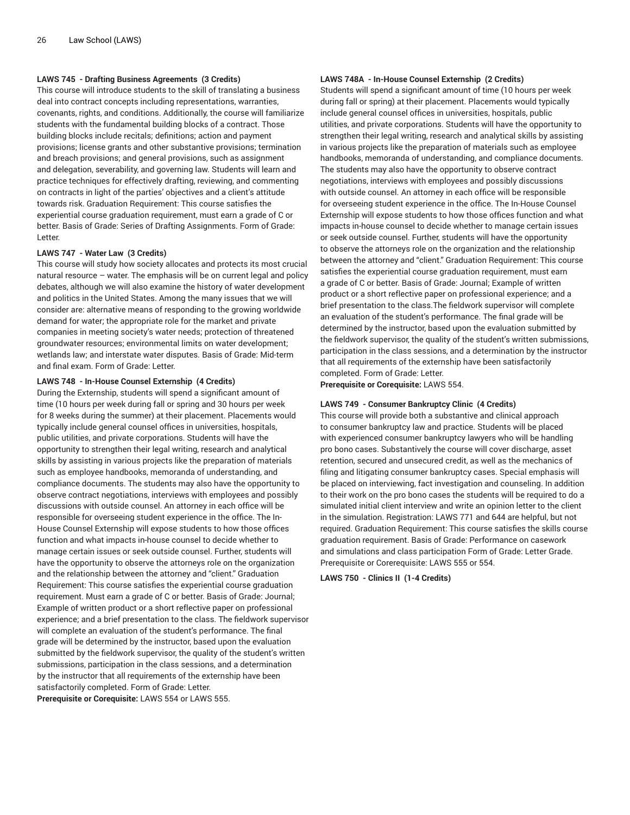# **LAWS 745 - Drafting Business Agreements (3 Credits)**

This course will introduce students to the skill of translating a business deal into contract concepts including representations, warranties, covenants, rights, and conditions. Additionally, the course will familiarize students with the fundamental building blocks of a contract. Those building blocks include recitals; definitions; action and payment provisions; license grants and other substantive provisions; termination and breach provisions; and general provisions, such as assignment and delegation, severability, and governing law. Students will learn and practice techniques for effectively drafting, reviewing, and commenting on contracts in light of the parties' objectives and a client's attitude towards risk. Graduation Requirement: This course satisfies the experiential course graduation requirement, must earn a grade of C or better. Basis of Grade: Series of Drafting Assignments. Form of Grade: Letter.

# **LAWS 747 - Water Law (3 Credits)**

This course will study how society allocates and protects its most crucial natural resource – water. The emphasis will be on current legal and policy debates, although we will also examine the history of water development and politics in the United States. Among the many issues that we will consider are: alternative means of responding to the growing worldwide demand for water; the appropriate role for the market and private companies in meeting society's water needs; protection of threatened groundwater resources; environmental limits on water development; wetlands law; and interstate water disputes. Basis of Grade: Mid-term and final exam. Form of Grade: Letter.

#### **LAWS 748 - In-House Counsel Externship (4 Credits)**

During the Externship, students will spend a significant amount of time (10 hours per week during fall or spring and 30 hours per week for 8 weeks during the summer) at their placement. Placements would typically include general counsel offices in universities, hospitals, public utilities, and private corporations. Students will have the opportunity to strengthen their legal writing, research and analytical skills by assisting in various projects like the preparation of materials such as employee handbooks, memoranda of understanding, and compliance documents. The students may also have the opportunity to observe contract negotiations, interviews with employees and possibly discussions with outside counsel. An attorney in each office will be responsible for overseeing student experience in the office. The In-House Counsel Externship will expose students to how those offices function and what impacts in-house counsel to decide whether to manage certain issues or seek outside counsel. Further, students will have the opportunity to observe the attorneys role on the organization and the relationship between the attorney and "client." Graduation Requirement: This course satisfies the experiential course graduation requirement. Must earn a grade of C or better. Basis of Grade: Journal; Example of written product or a short reflective paper on professional experience; and a brief presentation to the class. The fieldwork supervisor will complete an evaluation of the student's performance. The final grade will be determined by the instructor, based upon the evaluation submitted by the fieldwork supervisor, the quality of the student's written submissions, participation in the class sessions, and a determination by the instructor that all requirements of the externship have been satisfactorily completed. Form of Grade: Letter. **Prerequisite or Corequisite:** LAWS 554 or LAWS 555.

#### **LAWS 748A - In-House Counsel Externship (2 Credits)**

Students will spend a significant amount of time (10 hours per week during fall or spring) at their placement. Placements would typically include general counsel offices in universities, hospitals, public utilities, and private corporations. Students will have the opportunity to strengthen their legal writing, research and analytical skills by assisting in various projects like the preparation of materials such as employee handbooks, memoranda of understanding, and compliance documents. The students may also have the opportunity to observe contract negotiations, interviews with employees and possibly discussions with outside counsel. An attorney in each office will be responsible for overseeing student experience in the office. The In-House Counsel Externship will expose students to how those offices function and what impacts in-house counsel to decide whether to manage certain issues or seek outside counsel. Further, students will have the opportunity to observe the attorneys role on the organization and the relationship between the attorney and "client." Graduation Requirement: This course satisfies the experiential course graduation requirement, must earn a grade of C or better. Basis of Grade: Journal; Example of written product or a short reflective paper on professional experience; and a brief presentation to the class.The fieldwork supervisor will complete an evaluation of the student's performance. The final grade will be determined by the instructor, based upon the evaluation submitted by the fieldwork supervisor, the quality of the student's written submissions, participation in the class sessions, and a determination by the instructor that all requirements of the externship have been satisfactorily completed. Form of Grade: Letter.

**Prerequisite or Corequisite:** LAWS 554.

#### **LAWS 749 - Consumer Bankruptcy Clinic (4 Credits)**

This course will provide both a substantive and clinical approach to consumer bankruptcy law and practice. Students will be placed with experienced consumer bankruptcy lawyers who will be handling pro bono cases. Substantively the course will cover discharge, asset retention, secured and unsecured credit, as well as the mechanics of filing and litigating consumer bankruptcy cases. Special emphasis will be placed on interviewing, fact investigation and counseling. In addition to their work on the pro bono cases the students will be required to do a simulated initial client interview and write an opinion letter to the client in the simulation. Registration: LAWS 771 and 644 are helpful, but not required. Graduation Requirement: This course satisfies the skills course graduation requirement. Basis of Grade: Performance on casework and simulations and class participation Form of Grade: Letter Grade. Prerequisite or Corerequisite: LAWS 555 or 554.

**LAWS 750 - Clinics II (1-4 Credits)**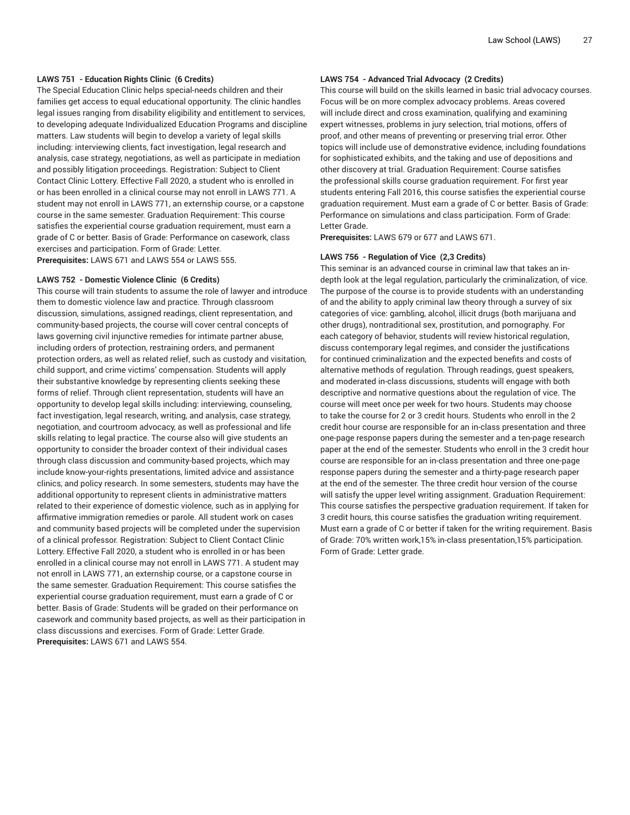# **LAWS 751 - Education Rights Clinic (6 Credits)**

The Special Education Clinic helps special-needs children and their families get access to equal educational opportunity. The clinic handles legal issues ranging from disability eligibility and entitlement to services, to developing adequate Individualized Education Programs and discipline matters. Law students will begin to develop a variety of legal skills including: interviewing clients, fact investigation, legal research and analysis, case strategy, negotiations, as well as participate in mediation and possibly litigation proceedings. Registration: Subject to Client Contact Clinic Lottery. Effective Fall 2020, a student who is enrolled in or has been enrolled in a clinical course may not enroll in LAWS 771. A student may not enroll in LAWS 771, an externship course, or a capstone course in the same semester. Graduation Requirement: This course satisfies the experiential course graduation requirement, must earn a grade of C or better. Basis of Grade: Performance on casework, class exercises and participation. Form of Grade: Letter. **Prerequisites:** LAWS 671 and LAWS 554 or LAWS 555.

#### **LAWS 752 - Domestic Violence Clinic (6 Credits)**

This course will train students to assume the role of lawyer and introduce them to domestic violence law and practice. Through classroom discussion, simulations, assigned readings, client representation, and community-based projects, the course will cover central concepts of laws governing civil injunctive remedies for intimate partner abuse, including orders of protection, restraining orders, and permanent protection orders, as well as related relief, such as custody and visitation, child support, and crime victims' compensation. Students will apply their substantive knowledge by representing clients seeking these forms of relief. Through client representation, students will have an opportunity to develop legal skills including: interviewing, counseling, fact investigation, legal research, writing, and analysis, case strategy, negotiation, and courtroom advocacy, as well as professional and life skills relating to legal practice. The course also will give students an opportunity to consider the broader context of their individual cases through class discussion and community-based projects, which may include know-your-rights presentations, limited advice and assistance clinics, and policy research. In some semesters, students may have the additional opportunity to represent clients in administrative matters related to their experience of domestic violence, such as in applying for affirmative immigration remedies or parole. All student work on cases and community based projects will be completed under the supervision of a clinical professor. Registration: Subject to Client Contact Clinic Lottery. Effective Fall 2020, a student who is enrolled in or has been enrolled in a clinical course may not enroll in LAWS 771. A student may not enroll in LAWS 771, an externship course, or a capstone course in the same semester. Graduation Requirement: This course satisfies the experiential course graduation requirement, must earn a grade of C or better. Basis of Grade: Students will be graded on their performance on casework and community based projects, as well as their participation in class discussions and exercises. Form of Grade: Letter Grade. **Prerequisites:** LAWS 671 and LAWS 554.

### **LAWS 754 - Advanced Trial Advocacy (2 Credits)**

This course will build on the skills learned in basic trial advocacy courses. Focus will be on more complex advocacy problems. Areas covered will include direct and cross examination, qualifying and examining expert witnesses, problems in jury selection, trial motions, offers of proof, and other means of preventing or preserving trial error. Other topics will include use of demonstrative evidence, including foundations for sophisticated exhibits, and the taking and use of depositions and other discovery at trial. Graduation Requirement: Course satisfies the professional skills course graduation requirement. For first year students entering Fall 2016, this course satisfies the experiential course graduation requirement. Must earn a grade of C or better. Basis of Grade: Performance on simulations and class participation. Form of Grade: Letter Grade.

**Prerequisites:** LAWS 679 or 677 and LAWS 671.

#### **LAWS 756 - Regulation of Vice (2,3 Credits)**

This seminar is an advanced course in criminal law that takes an indepth look at the legal regulation, particularly the criminalization, of vice. The purpose of the course is to provide students with an understanding of and the ability to apply criminal law theory through a survey of six categories of vice: gambling, alcohol, illicit drugs (both marijuana and other drugs), nontraditional sex, prostitution, and pornography. For each category of behavior, students will review historical regulation, discuss contemporary legal regimes, and consider the justifications for continued criminalization and the expected benefits and costs of alternative methods of regulation. Through readings, guest speakers, and moderated in-class discussions, students will engage with both descriptive and normative questions about the regulation of vice. The course will meet once per week for two hours. Students may choose to take the course for 2 or 3 credit hours. Students who enroll in the 2 credit hour course are responsible for an in-class presentation and three one-page response papers during the semester and a ten-page research paper at the end of the semester. Students who enroll in the 3 credit hour course are responsible for an in-class presentation and three one-page response papers during the semester and a thirty-page research paper at the end of the semester. The three credit hour version of the course will satisfy the upper level writing assignment. Graduation Requirement: This course satisfies the perspective graduation requirement. If taken for 3 credit hours, this course satisfies the graduation writing requirement. Must earn a grade of C or better if taken for the writing requirement. Basis of Grade: 70% written work,15% in-class presentation,15% participation. Form of Grade: Letter grade.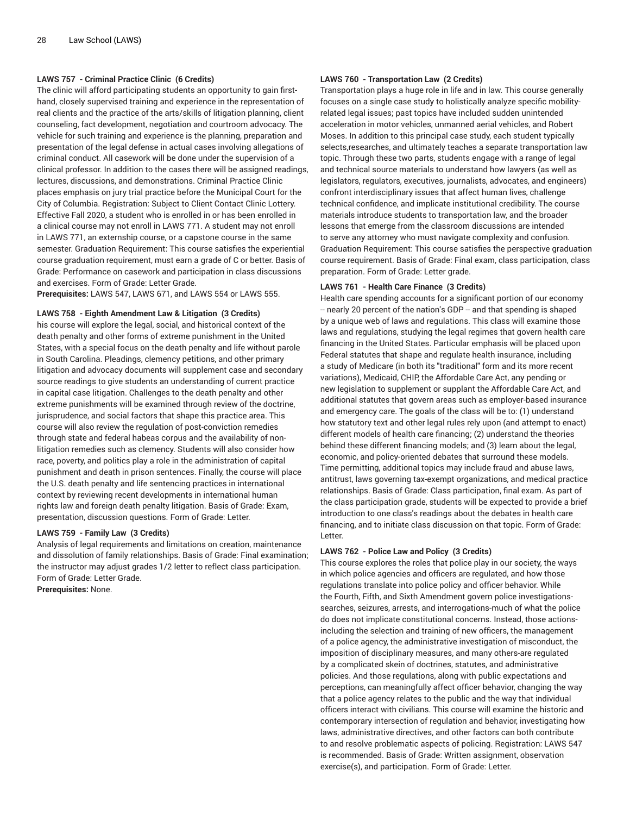# **LAWS 757 - Criminal Practice Clinic (6 Credits)**

The clinic will afford participating students an opportunity to gain firsthand, closely supervised training and experience in the representation of real clients and the practice of the arts/skills of litigation planning, client counseling, fact development, negotiation and courtroom advocacy. The vehicle for such training and experience is the planning, preparation and presentation of the legal defense in actual cases involving allegations of criminal conduct. All casework will be done under the supervision of a clinical professor. In addition to the cases there will be assigned readings, lectures, discussions, and demonstrations. Criminal Practice Clinic places emphasis on jury trial practice before the Municipal Court for the City of Columbia. Registration: Subject to Client Contact Clinic Lottery. Effective Fall 2020, a student who is enrolled in or has been enrolled in a clinical course may not enroll in LAWS 771. A student may not enroll in LAWS 771, an externship course, or a capstone course in the same semester. Graduation Requirement: This course satisfies the experiential course graduation requirement, must earn a grade of C or better. Basis of Grade: Performance on casework and participation in class discussions and exercises. Form of Grade: Letter Grade.

**Prerequisites:** LAWS 547, LAWS 671, and LAWS 554 or LAWS 555.

#### **LAWS 758 - Eighth Amendment Law & Litigation (3 Credits)**

his course will explore the legal, social, and historical context of the death penalty and other forms of extreme punishment in the United States, with a special focus on the death penalty and life without parole in South Carolina. Pleadings, clemency petitions, and other primary litigation and advocacy documents will supplement case and secondary source readings to give students an understanding of current practice in capital case litigation. Challenges to the death penalty and other extreme punishments will be examined through review of the doctrine, jurisprudence, and social factors that shape this practice area. This course will also review the regulation of post-conviction remedies through state and federal habeas corpus and the availability of nonlitigation remedies such as clemency. Students will also consider how race, poverty, and politics play a role in the administration of capital punishment and death in prison sentences. Finally, the course will place the U.S. death penalty and life sentencing practices in international context by reviewing recent developments in international human rights law and foreign death penalty litigation. Basis of Grade: Exam, presentation, discussion questions. Form of Grade: Letter.

# **LAWS 759 - Family Law (3 Credits)**

Analysis of legal requirements and limitations on creation, maintenance and dissolution of family relationships. Basis of Grade: Final examination; the instructor may adjust grades 1/2 letter to reflect class participation. Form of Grade: Letter Grade.

**Prerequisites:** None.

# **LAWS 760 - Transportation Law (2 Credits)**

Transportation plays a huge role in life and in law. This course generally focuses on a single case study to holistically analyze specific mobilityrelated legal issues; past topics have included sudden unintended acceleration in motor vehicles, unmanned aerial vehicles, and Robert Moses. In addition to this principal case study, each student typically selects,researches, and ultimately teaches a separate transportation law topic. Through these two parts, students engage with a range of legal and technical source materials to understand how lawyers (as well as legislators, regulators, executives, journalists, advocates, and engineers) confront interdisciplinary issues that affect human lives, challenge technical confidence, and implicate institutional credibility. The course materials introduce students to transportation law, and the broader lessons that emerge from the classroom discussions are intended to serve any attorney who must navigate complexity and confusion. Graduation Requirement: This course satisfies the perspective graduation course requirement. Basis of Grade: Final exam, class participation, class preparation. Form of Grade: Letter grade.

#### **LAWS 761 - Health Care Finance (3 Credits)**

Health care spending accounts for a significant portion of our economy - nearly 20 percent of the nation's GDP -- and that spending is shaped by a unique web of laws and regulations. This class will examine those laws and regulations, studying the legal regimes that govern health care financing in the United States. Particular emphasis will be placed upon Federal statutes that shape and regulate health insurance, including a study of Medicare (in both its "traditional" form and its more recent variations), Medicaid, CHIP, the Affordable Care Act, any pending or new legislation to supplement or supplant the Affordable Care Act, and additional statutes that govern areas such as employer-based insurance and emergency care. The goals of the class will be to: (1) understand how statutory text and other legal rules rely upon (and attempt to enact) different models of health care financing; (2) understand the theories behind these different financing models; and (3) learn about the legal, economic, and policy-oriented debates that surround these models. Time permitting, additional topics may include fraud and abuse laws, antitrust, laws governing tax-exempt organizations, and medical practice relationships. Basis of Grade: Class participation, final exam. As part of the class participation grade, students will be expected to provide a brief introduction to one class's readings about the debates in health care financing, and to initiate class discussion on that topic. Form of Grade: Letter.

#### **LAWS 762 - Police Law and Policy (3 Credits)**

This course explores the roles that police play in our society, the ways in which police agencies and officers are regulated, and how those regulations translate into police policy and officer behavior. While the Fourth, Fifth, and Sixth Amendment govern police investigationssearches, seizures, arrests, and interrogations-much of what the police do does not implicate constitutional concerns. Instead, those actionsincluding the selection and training of new officers, the management of a police agency, the administrative investigation of misconduct, the imposition of disciplinary measures, and many others-are regulated by a complicated skein of doctrines, statutes, and administrative policies. And those regulations, along with public expectations and perceptions, can meaningfully affect officer behavior, changing the way that a police agency relates to the public and the way that individual officers interact with civilians. This course will examine the historic and contemporary intersection of regulation and behavior, investigating how laws, administrative directives, and other factors can both contribute to and resolve problematic aspects of policing. Registration: LAWS 547 is recommended. Basis of Grade: Written assignment, observation exercise(s), and participation. Form of Grade: Letter.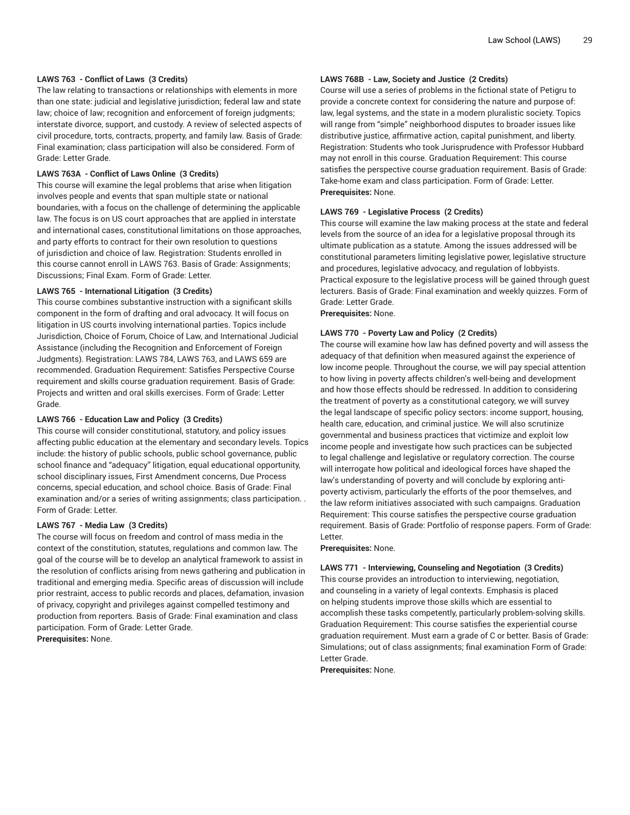# **LAWS 763 - Conflict of Laws (3 Credits)**

The law relating to transactions or relationships with elements in more than one state: judicial and legislative jurisdiction; federal law and state law; choice of law; recognition and enforcement of foreign judgments; interstate divorce, support, and custody. A review of selected aspects of civil procedure, torts, contracts, property, and family law. Basis of Grade: Final examination; class participation will also be considered. Form of Grade: Letter Grade.

#### **LAWS 763A - Conflict of Laws Online (3 Credits)**

This course will examine the legal problems that arise when litigation involves people and events that span multiple state or national boundaries, with a focus on the challenge of determining the applicable law. The focus is on US court approaches that are applied in interstate and international cases, constitutional limitations on those approaches, and party efforts to contract for their own resolution to questions of jurisdiction and choice of law. Registration: Students enrolled in this course cannot enroll in LAWS 763. Basis of Grade: Assignments; Discussions; Final Exam. Form of Grade: Letter.

#### **LAWS 765 - International Litigation (3 Credits)**

This course combines substantive instruction with a significant skills component in the form of drafting and oral advocacy. It will focus on litigation in US courts involving international parties. Topics include Jurisdiction, Choice of Forum, Choice of Law, and International Judicial Assistance (including the Recognition and Enforcement of Foreign Judgments). Registration: LAWS 784, LAWS 763, and LAWS 659 are recommended. Graduation Requirement: Satisfies Perspective Course requirement and skills course graduation requirement. Basis of Grade: Projects and written and oral skills exercises. Form of Grade: Letter Grade.

#### **LAWS 766 - Education Law and Policy (3 Credits)**

This course will consider constitutional, statutory, and policy issues affecting public education at the elementary and secondary levels. Topics include: the history of public schools, public school governance, public school finance and "adequacy" litigation, equal educational opportunity, school disciplinary issues, First Amendment concerns, Due Process concerns, special education, and school choice. Basis of Grade: Final examination and/or a series of writing assignments; class participation. . Form of Grade: Letter.

### **LAWS 767 - Media Law (3 Credits)**

The course will focus on freedom and control of mass media in the context of the constitution, statutes, regulations and common law. The goal of the course will be to develop an analytical framework to assist in the resolution of conflicts arising from news gathering and publication in traditional and emerging media. Specific areas of discussion will include prior restraint, access to public records and places, defamation, invasion of privacy, copyright and privileges against compelled testimony and production from reporters. Basis of Grade: Final examination and class participation. Form of Grade: Letter Grade.

**Prerequisites:** None.

#### **LAWS 768B - Law, Society and Justice (2 Credits)**

Course will use a series of problems in the fictional state of Petigru to provide a concrete context for considering the nature and purpose of: law, legal systems, and the state in a modern pluralistic society. Topics will range from "simple" neighborhood disputes to broader issues like distributive justice, affirmative action, capital punishment, and liberty. Registration: Students who took Jurisprudence with Professor Hubbard may not enroll in this course. Graduation Requirement: This course satisfies the perspective course graduation requirement. Basis of Grade: Take-home exam and class participation. Form of Grade: Letter. **Prerequisites:** None.

#### **LAWS 769 - Legislative Process (2 Credits)**

This course will examine the law making process at the state and federal levels from the source of an idea for a legislative proposal through its ultimate publication as a statute. Among the issues addressed will be constitutional parameters limiting legislative power, legislative structure and procedures, legislative advocacy, and regulation of lobbyists. Practical exposure to the legislative process will be gained through guest lecturers. Basis of Grade: Final examination and weekly quizzes. Form of Grade: Letter Grade.

**Prerequisites:** None.

#### **LAWS 770 - Poverty Law and Policy (2 Credits)**

The course will examine how law has defined poverty and will assess the adequacy of that definition when measured against the experience of low income people. Throughout the course, we will pay special attention to how living in poverty affects children's well-being and development and how those effects should be redressed. In addition to considering the treatment of poverty as a constitutional category, we will survey the legal landscape of specific policy sectors: income support, housing, health care, education, and criminal justice. We will also scrutinize governmental and business practices that victimize and exploit low income people and investigate how such practices can be subjected to legal challenge and legislative or regulatory correction. The course will interrogate how political and ideological forces have shaped the law's understanding of poverty and will conclude by exploring anti poverty activism, particularly the efforts of the poor themselves, and the law reform initiatives associated with such campaigns. Graduation Requirement: This course satisfies the perspective course graduation requirement. Basis of Grade: Portfolio of response papers. Form of Grade: Letter.

**Prerequisites:** None.

**LAWS 771 - Interviewing, Counseling and Negotiation (3 Credits)** This course provides an introduction to interviewing, negotiation, and counseling in a variety of legal contexts. Emphasis is placed on helping students improve those skills which are essential to accomplish these tasks competently, particularly problem-solving skills. Graduation Requirement: This course satisfies the experiential course graduation requirement. Must earn a grade of C or better. Basis of Grade: Simulations; out of class assignments; final examination Form of Grade: Letter Grade.

**Prerequisites:** None.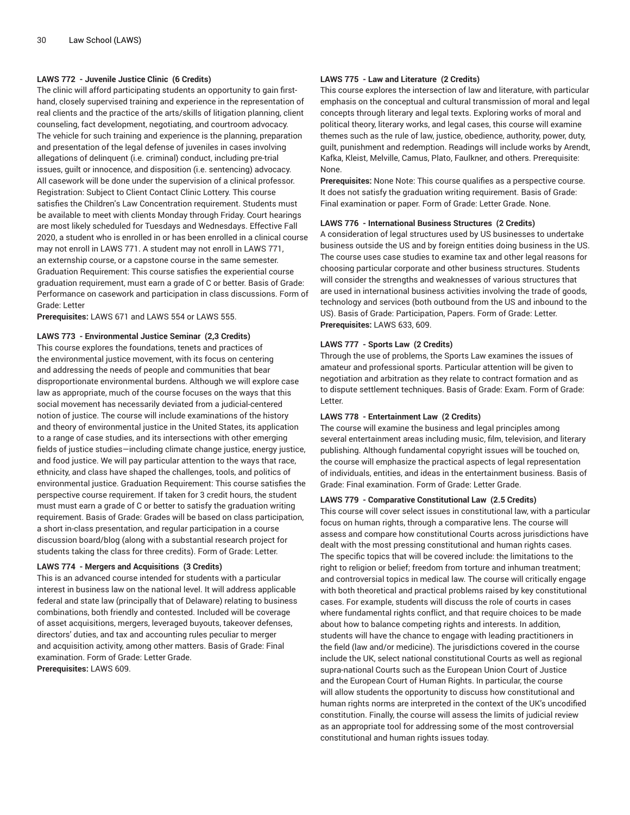# **LAWS 772 - Juvenile Justice Clinic (6 Credits)**

The clinic will afford participating students an opportunity to gain firsthand, closely supervised training and experience in the representation of real clients and the practice of the arts/skills of litigation planning, client counseling, fact development, negotiating, and courtroom advocacy. The vehicle for such training and experience is the planning, preparation and presentation of the legal defense of juveniles in cases involving allegations of delinquent (i.e. criminal) conduct, including pre-trial issues, guilt or innocence, and disposition (i.e. sentencing) advocacy. All casework will be done under the supervision of a clinical professor. Registration: Subject to Client Contact Clinic Lottery. This course satisfies the Children's Law Concentration requirement. Students must be available to meet with clients Monday through Friday. Court hearings are most likely scheduled for Tuesdays and Wednesdays. Effective Fall 2020, a student who is enrolled in or has been enrolled in a clinical course may not enroll in LAWS 771. A student may not enroll in LAWS 771, an externship course, or a capstone course in the same semester. Graduation Requirement: This course satisfies the experiential course graduation requirement, must earn a grade of C or better. Basis of Grade: Performance on casework and participation in class discussions. Form of Grade: Letter

**Prerequisites:** LAWS 671 and LAWS 554 or LAWS 555.

# **LAWS 773 - Environmental Justice Seminar (2,3 Credits)**

This course explores the foundations, tenets and practices of the environmental justice movement, with its focus on centering and addressing the needs of people and communities that bear disproportionate environmental burdens. Although we will explore case law as appropriate, much of the course focuses on the ways that this social movement has necessarily deviated from a judicial-centered notion of justice. The course will include examinations of the history and theory of environmental justice in the United States, its application to a range of case studies, and its intersections with other emerging fields of justice studies—including climate change justice, energy justice, and food justice. We will pay particular attention to the ways that race, ethnicity, and class have shaped the challenges, tools, and politics of environmental justice. Graduation Requirement: This course satisfies the perspective course requirement. If taken for 3 credit hours, the student must must earn a grade of C or better to satisfy the graduation writing requirement. Basis of Grade: Grades will be based on class participation, a short in-class presentation, and regular participation in a course discussion board/blog (along with a substantial research project for students taking the class for three credits). Form of Grade: Letter.

# **LAWS 774 - Mergers and Acquisitions (3 Credits)**

This is an advanced course intended for students with a particular interest in business law on the national level. It will address applicable federal and state law (principally that of Delaware) relating to business combinations, both friendly and contested. Included will be coverage of asset acquisitions, mergers, leveraged buyouts, takeover defenses, directors' duties, and tax and accounting rules peculiar to merger and acquisition activity, among other matters. Basis of Grade: Final examination. Form of Grade: Letter Grade. **Prerequisites:** LAWS 609.

# **LAWS 775 - Law and Literature (2 Credits)**

This course explores the intersection of law and literature, with particular emphasis on the conceptual and cultural transmission of moral and legal concepts through literary and legal texts. Exploring works of moral and political theory, literary works, and legal cases, this course will examine themes such as the rule of law, justice, obedience, authority, power, duty, guilt, punishment and redemption. Readings will include works by Arendt, Kafka, Kleist, Melville, Camus, Plato, Faulkner, and others. Prerequisite: None.

**Prerequisites:** None Note: This course qualifies as a perspective course. It does not satisfy the graduation writing requirement. Basis of Grade: Final examination or paper. Form of Grade: Letter Grade. None.

# **LAWS 776 - International Business Structures (2 Credits)**

A consideration of legal structures used by US businesses to undertake business outside the US and by foreign entities doing business in the US. The course uses case studies to examine tax and other legal reasons for choosing particular corporate and other business structures. Students will consider the strengths and weaknesses of various structures that are used in international business activities involving the trade of goods, technology and services (both outbound from the US and inbound to the US). Basis of Grade: Participation, Papers. Form of Grade: Letter. **Prerequisites:** LAWS 633, 609.

#### **LAWS 777 - Sports Law (2 Credits)**

Through the use of problems, the Sports Law examines the issues of amateur and professional sports. Particular attention will be given to negotiation and arbitration as they relate to contract formation and as to dispute settlement techniques. Basis of Grade: Exam. Form of Grade: Letter.

# **LAWS 778 - Entertainment Law (2 Credits)**

The course will examine the business and legal principles among several entertainment areas including music, film, television, and literary publishing. Although fundamental copyright issues will be touched on, the course will emphasize the practical aspects of legal representation of individuals, entities, and ideas in the entertainment business. Basis of Grade: Final examination. Form of Grade: Letter Grade.

#### **LAWS 779 - Comparative Constitutional Law (2.5 Credits)**

This course will cover select issues in constitutional law, with a particular focus on human rights, through a comparative lens. The course will assess and compare how constitutional Courts across jurisdictions have dealt with the most pressing constitutional and human rights cases. The specific topics that will be covered include: the limitations to the right to religion or belief; freedom from torture and inhuman treatment; and controversial topics in medical law. The course will critically engage with both theoretical and practical problems raised by key constitutional cases. For example, students will discuss the role of courts in cases where fundamental rights conflict, and that require choices to be made about how to balance competing rights and interests. In addition, students will have the chance to engage with leading practitioners in the field (law and/or medicine). The jurisdictions covered in the course include the UK, select national constitutional Courts as well as regional supra-national Courts such as the European Union Court of Justice and the European Court of Human Rights. In particular, the course will allow students the opportunity to discuss how constitutional and human rights norms are interpreted in the context of the UK's uncodified constitution. Finally, the course will assess the limits of judicial review as an appropriate tool for addressing some of the most controversial constitutional and human rights issues today.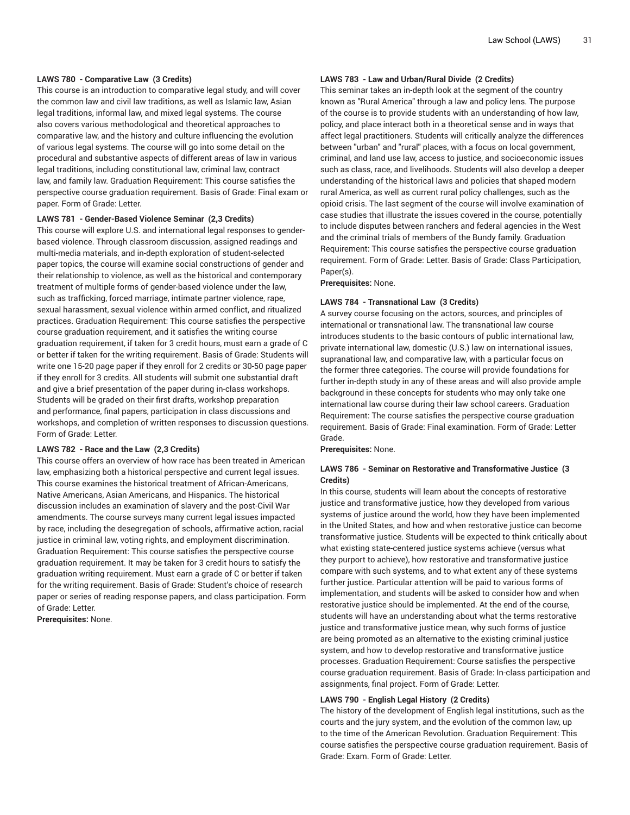# **LAWS 780 - Comparative Law (3 Credits)**

This course is an introduction to comparative legal study, and will cover the common law and civil law traditions, as well as Islamic law, Asian legal traditions, informal law, and mixed legal systems. The course also covers various methodological and theoretical approaches to comparative law, and the history and culture influencing the evolution of various legal systems. The course will go into some detail on the procedural and substantive aspects of different areas of law in various legal traditions, including constitutional law, criminal law, contract law, and family law. Graduation Requirement: This course satisfies the perspective course graduation requirement. Basis of Grade: Final exam or paper. Form of Grade: Letter.

#### **LAWS 781 - Gender-Based Violence Seminar (2,3 Credits)**

This course will explore U.S. and international legal responses to genderbased violence. Through classroom discussion, assigned readings and multi-media materials, and in-depth exploration of student-selected paper topics, the course will examine social constructions of gender and their relationship to violence, as well as the historical and contemporary treatment of multiple forms of gender-based violence under the law, such as trafficking, forced marriage, intimate partner violence, rape, sexual harassment, sexual violence within armed conflict, and ritualized practices. Graduation Requirement: This course satisfies the perspective course graduation requirement, and it satisfies the writing course graduation requirement, if taken for 3 credit hours, must earn a grade of C or better if taken for the writing requirement. Basis of Grade: Students will write one 15-20 page paper if they enroll for 2 credits or 30-50 page paper if they enroll for 3 credits. All students will submit one substantial draft and give a brief presentation of the paper during in-class workshops. Students will be graded on their first drafts, workshop preparation and performance, final papers, participation in class discussions and workshops, and completion of written responses to discussion questions. Form of Grade: Letter.

# **LAWS 782 - Race and the Law (2,3 Credits)**

This course offers an overview of how race has been treated in American law, emphasizing both a historical perspective and current legal issues. This course examines the historical treatment of African-Americans, Native Americans, Asian Americans, and Hispanics. The historical discussion includes an examination of slavery and the post-Civil War amendments. The course surveys many current legal issues impacted by race, including the desegregation of schools, affirmative action, racial justice in criminal law, voting rights, and employment discrimination. Graduation Requirement: This course satisfies the perspective course graduation requirement. It may be taken for 3 credit hours to satisfy the graduation writing requirement. Must earn a grade of C or better if taken for the writing requirement. Basis of Grade: Student's choice of research paper or series of reading response papers, and class participation. Form of Grade: Letter.

**Prerequisites:** None.

#### **LAWS 783 - Law and Urban/Rural Divide (2 Credits)**

This seminar takes an in-depth look at the segment of the country known as "Rural America" through a law and policy lens. The purpose of the course is to provide students with an understanding of how law, policy, and place interact both in a theoretical sense and in ways that affect legal practitioners. Students will critically analyze the differences between ''urban" and "rural" places, with a focus on local government, criminal, and land use law, access to justice, and socioeconomic issues such as class, race, and livelihoods. Students will also develop a deeper understanding of the historical laws and policies that shaped modern rural America, as well as current rural policy challenges, such as the opioid crisis. The last segment of the course will involve examination of case studies that illustrate the issues covered in the course, potentially to include disputes between ranchers and federal agencies in the West and the criminal trials of members of the Bundy family. Graduation Requirement: This course satisfies the perspective course graduation requirement. Form of Grade: Letter. Basis of Grade: Class Participation, Paper(s).

**Prerequisites:** None.

#### **LAWS 784 - Transnational Law (3 Credits)**

A survey course focusing on the actors, sources, and principles of international or transnational law. The transnational law course introduces students to the basic contours of public international law, private international law, domestic (U.S.) law on international issues, supranational law, and comparative law, with a particular focus on the former three categories. The course will provide foundations for further in-depth study in any of these areas and will also provide ample background in these concepts for students who may only take one international law course during their law school careers. Graduation Requirement: The course satisfies the perspective course graduation requirement. Basis of Grade: Final examination. Form of Grade: Letter Grade.

**Prerequisites:** None.

#### **LAWS 786 - Seminar on Restorative and Transformative Justice (3 Credits)**

In this course, students will learn about the concepts of restorative justice and transformative justice, how they developed from various systems of justice around the world, how they have been implemented in the United States, and how and when restorative justice can become transformative justice. Students will be expected to think critically about what existing state-centered justice systems achieve (versus what they purport to achieve), how restorative and transformative justice compare with such systems, and to what extent any of these systems further justice. Particular attention will be paid to various forms of implementation, and students will be asked to consider how and when restorative justice should be implemented. At the end of the course, students will have an understanding about what the terms restorative justice and transformative justice mean, why such forms of justice are being promoted as an alternative to the existing criminal justice system, and how to develop restorative and transformative justice processes. Graduation Requirement: Course satisfies the perspective course graduation requirement. Basis of Grade: In-class participation and assignments, final project. Form of Grade: Letter.

#### **LAWS 790 - English Legal History (2 Credits)**

The history of the development of English legal institutions, such as the courts and the jury system, and the evolution of the common law, up to the time of the American Revolution. Graduation Requirement: This course satisfies the perspective course graduation requirement. Basis of Grade: Exam. Form of Grade: Letter.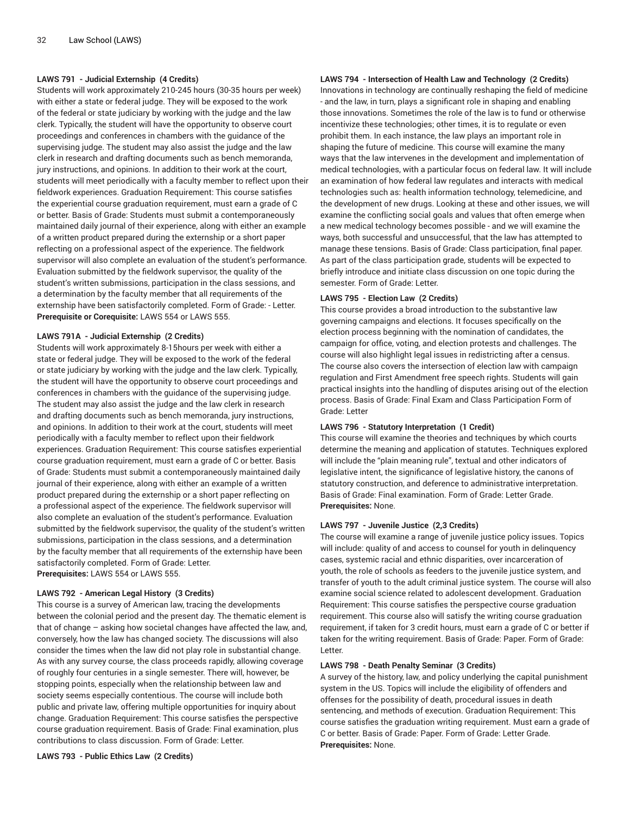# **LAWS 791 - Judicial Externship (4 Credits)**

Students will work approximately 210-245 hours (30-35 hours per week) with either a state or federal judge. They will be exposed to the work of the federal or state judiciary by working with the judge and the law clerk. Typically, the student will have the opportunity to observe court proceedings and conferences in chambers with the guidance of the supervising judge. The student may also assist the judge and the law clerk in research and drafting documents such as bench memoranda, jury instructions, and opinions. In addition to their work at the court, students will meet periodically with a faculty member to reflect upon their fieldwork experiences. Graduation Requirement: This course satisfies the experiential course graduation requirement, must earn a grade of C or better. Basis of Grade: Students must submit a contemporaneously maintained daily journal of their experience, along with either an example of a written product prepared during the externship or a short paper reflecting on a professional aspect of the experience. The fieldwork supervisor will also complete an evaluation of the student's performance. Evaluation submitted by the fieldwork supervisor, the quality of the student's written submissions, participation in the class sessions, and a determination by the faculty member that all requirements of the externship have been satisfactorily completed. Form of Grade: - Letter. **Prerequisite or Corequisite:** LAWS 554 or LAWS 555.

#### **LAWS 791A - Judicial Externship (2 Credits)**

Students will work approximately 8-15hours per week with either a state or federal judge. They will be exposed to the work of the federal or state judiciary by working with the judge and the law clerk. Typically, the student will have the opportunity to observe court proceedings and conferences in chambers with the guidance of the supervising judge. The student may also assist the judge and the law clerk in research and drafting documents such as bench memoranda, jury instructions, and opinions. In addition to their work at the court, students will meet periodically with a faculty member to reflect upon their fieldwork experiences. Graduation Requirement: This course satisfies experiential course graduation requirement, must earn a grade of C or better. Basis of Grade: Students must submit a contemporaneously maintained daily journal of their experience, along with either an example of a written product prepared during the externship or a short paper reflecting on a professional aspect of the experience. The fieldwork supervisor will also complete an evaluation of the student's performance. Evaluation submitted by the fieldwork supervisor, the quality of the student's written submissions, participation in the class sessions, and a determination by the faculty member that all requirements of the externship have been satisfactorily completed. Form of Grade: Letter. **Prerequisites:** LAWS 554 or LAWS 555.

#### **LAWS 792 - American Legal History (3 Credits)**

This course is a survey of American law, tracing the developments between the colonial period and the present day. The thematic element is that of change – asking how societal changes have affected the law, and, conversely, how the law has changed society. The discussions will also consider the times when the law did not play role in substantial change. As with any survey course, the class proceeds rapidly, allowing coverage of roughly four centuries in a single semester. There will, however, be stopping points, especially when the relationship between law and society seems especially contentious. The course will include both public and private law, offering multiple opportunities for inquiry about change. Graduation Requirement: This course satisfies the perspective course graduation requirement. Basis of Grade: Final examination, plus contributions to class discussion. Form of Grade: Letter.

**LAWS 793 - Public Ethics Law (2 Credits)**

# **LAWS 794 - Intersection of Health Law and Technology (2 Credits)**

Innovations in technology are continually reshaping the field of medicine - and the law, in turn, plays a significant role in shaping and enabling those innovations. Sometimes the role of the law is to fund or otherwise incentivize these technologies; other times, it is to regulate or even prohibit them. In each instance, the law plays an important role in shaping the future of medicine. This course will examine the many ways that the law intervenes in the development and implementation of medical technologies, with a particular focus on federal law. It will include an examination of how federal law regulates and interacts with medical technologies such as: health information technology, telemedicine, and the development of new drugs. Looking at these and other issues, we will examine the conflicting social goals and values that often emerge when a new medical technology becomes possible - and we will examine the ways, both successful and unsuccessful, that the law has attempted to manage these tensions. Basis of Grade: Class participation, final paper. As part of the class participation grade, students will be expected to briefly introduce and initiate class discussion on one topic during the semester. Form of Grade: Letter.

#### **LAWS 795 - Election Law (2 Credits)**

This course provides a broad introduction to the substantive law governing campaigns and elections. It focuses specifically on the election process beginning with the nomination of candidates, the campaign for office, voting, and election protests and challenges. The course will also highlight legal issues in redistricting after a census. The course also covers the intersection of election law with campaign regulation and First Amendment free speech rights. Students will gain practical insights into the handling of disputes arising out of the election process. Basis of Grade: Final Exam and Class Participation Form of Grade: Letter

#### **LAWS 796 - Statutory Interpretation (1 Credit)**

This course will examine the theories and techniques by which courts determine the meaning and application of statutes. Techniques explored will include the "plain meaning rule", textual and other indicators of legislative intent, the significance of legislative history, the canons of statutory construction, and deference to administrative interpretation. Basis of Grade: Final examination. Form of Grade: Letter Grade. **Prerequisites:** None.

#### **LAWS 797 - Juvenile Justice (2,3 Credits)**

The course will examine a range of juvenile justice policy issues. Topics will include: quality of and access to counsel for youth in delinquency cases, systemic racial and ethnic disparities, over incarceration of youth, the role of schools as feeders to the juvenile justice system, and transfer of youth to the adult criminal justice system. The course will also examine social science related to adolescent development. Graduation Requirement: This course satisfies the perspective course graduation requirement. This course also will satisfy the writing course graduation requirement, if taken for 3 credit hours, must earn a grade of C or better if taken for the writing requirement. Basis of Grade: Paper. Form of Grade: Letter.

#### **LAWS 798 - Death Penalty Seminar (3 Credits)**

A survey of the history, law, and policy underlying the capital punishment system in the US. Topics will include the eligibility of offenders and offenses for the possibility of death, procedural issues in death sentencing, and methods of execution. Graduation Requirement: This course satisfies the graduation writing requirement. Must earn a grade of C or better. Basis of Grade: Paper. Form of Grade: Letter Grade. **Prerequisites:** None.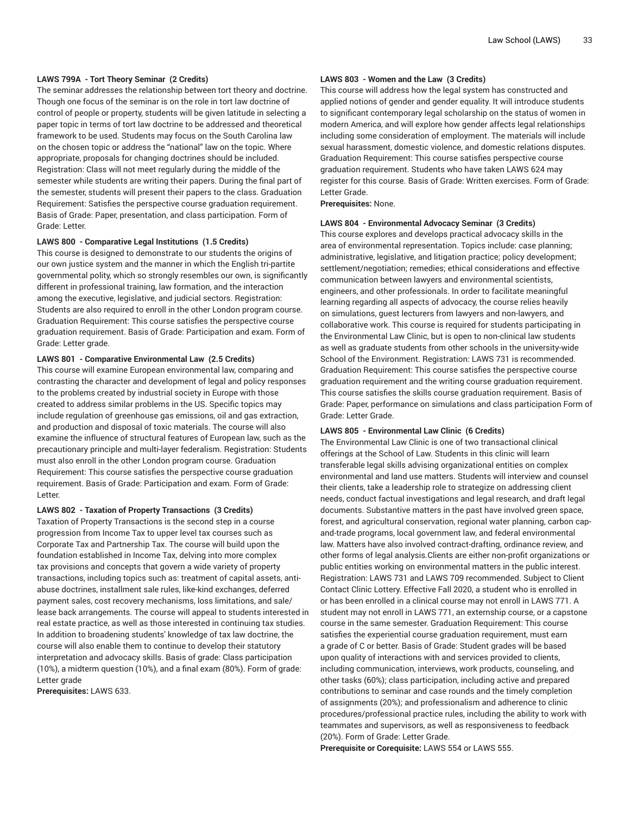# **LAWS 799A - Tort Theory Seminar (2 Credits)**

The seminar addresses the relationship between tort theory and doctrine. Though one focus of the seminar is on the role in tort law doctrine of control of people or property, students will be given latitude in selecting a paper topic in terms of tort law doctrine to be addressed and theoretical framework to be used. Students may focus on the South Carolina law on the chosen topic or address the "national" law on the topic. Where appropriate, proposals for changing doctrines should be included. Registration: Class will not meet regularly during the middle of the semester while students are writing their papers. During the final part of the semester, students will present their papers to the class. Graduation Requirement: Satisfies the perspective course graduation requirement. Basis of Grade: Paper, presentation, and class participation. Form of Grade: Letter.

#### **LAWS 800 - Comparative Legal Institutions (1.5 Credits)**

This course is designed to demonstrate to our students the origins of our own justice system and the manner in which the English tri-partite governmental polity, which so strongly resembles our own, is significantly different in professional training, law formation, and the interaction among the executive, legislative, and judicial sectors. Registration: Students are also required to enroll in the other London program course. Graduation Requirement: This course satisfies the perspective course graduation requirement. Basis of Grade: Participation and exam. Form of Grade: Letter grade.

#### **LAWS 801 - Comparative Environmental Law (2.5 Credits)**

This course will examine European environmental law, comparing and contrasting the character and development of legal and policy responses to the problems created by industrial society in Europe with those created to address similar problems in the US. Specific topics may include regulation of greenhouse gas emissions, oil and gas extraction, and production and disposal of toxic materials. The course will also examine the influence of structural features of European law, such as the precautionary principle and multi-layer federalism. Registration: Students must also enroll in the other London program course. Graduation Requirement: This course satisfies the perspective course graduation requirement. Basis of Grade: Participation and exam. Form of Grade: Letter.

#### **LAWS 802 - Taxation of Property Transactions (3 Credits)**

Taxation of Property Transactions is the second step in a course progression from Income Tax to upper level tax courses such as Corporate Tax and Partnership Tax. The course will build upon the foundation established in Income Tax, delving into more complex tax provisions and concepts that govern a wide variety of property transactions, including topics such as: treatment of capital assets, antiabuse doctrines, installment sale rules, like-kind exchanges, deferred payment sales, cost recovery mechanisms, loss limitations, and sale/ lease back arrangements. The course will appeal to students interested in real estate practice, as well as those interested in continuing tax studies. In addition to broadening students' knowledge of tax law doctrine, the course will also enable them to continue to develop their statutory interpretation and advocacy skills. Basis of grade: Class participation (10%), a midterm question (10%), and a final exam (80%). Form of grade: Letter grade

**Prerequisites:** LAWS 633.

#### **LAWS 803 - Women and the Law (3 Credits)**

This course will address how the legal system has constructed and applied notions of gender and gender equality. It will introduce students to significant contemporary legal scholarship on the status of women in modern America, and will explore how gender affects legal relationships including some consideration of employment. The materials will include sexual harassment, domestic violence, and domestic relations disputes. Graduation Requirement: This course satisfies perspective course graduation requirement. Students who have taken LAWS 624 may register for this course. Basis of Grade: Written exercises. Form of Grade: Letter Grade.

**Prerequisites:** None.

#### **LAWS 804 - Environmental Advocacy Seminar (3 Credits)**

This course explores and develops practical advocacy skills in the area of environmental representation. Topics include: case planning; administrative, legislative, and litigation practice; policy development; settlement/negotiation; remedies; ethical considerations and effective communication between lawyers and environmental scientists, engineers, and other professionals. In order to facilitate meaningful learning regarding all aspects of advocacy, the course relies heavily on simulations, guest lecturers from lawyers and non-lawyers, and collaborative work. This course is required for students participating in the Environmental Law Clinic, but is open to non-clinical law students as well as graduate students from other schools in the university-wide School of the Environment. Registration: LAWS 731 is recommended. Graduation Requirement: This course satisfies the perspective course graduation requirement and the writing course graduation requirement. This course satisfies the skills course graduation requirement. Basis of Grade: Paper, performance on simulations and class participation Form of Grade: Letter Grade.

#### **LAWS 805 - Environmental Law Clinic (6 Credits)**

The Environmental Law Clinic is one of two transactional clinical offerings at the School of Law. Students in this clinic will learn transferable legal skills advising organizational entities on complex environmental and land use matters. Students will interview and counsel their clients, take a leadership role to strategize on addressing client needs, conduct factual investigations and legal research, and draft legal documents. Substantive matters in the past have involved green space, forest, and agricultural conservation, regional water planning, carbon capand-trade programs, local government law, and federal environmental law. Matters have also involved contract-drafting, ordinance review, and other forms of legal analysis.Clients are either non-profit organizations or public entities working on environmental matters in the public interest. Registration: LAWS 731 and LAWS 709 recommended. Subject to Client Contact Clinic Lottery. Effective Fall 2020, a student who is enrolled in or has been enrolled in a clinical course may not enroll in LAWS 771. A student may not enroll in LAWS 771, an externship course, or a capstone course in the same semester. Graduation Requirement: This course satisfies the experiential course graduation requirement, must earn a grade of C or better. Basis of Grade: Student grades will be based upon quality of interactions with and services provided to clients, including communication, interviews, work products, counseling, and other tasks (60%); class participation, including active and prepared contributions to seminar and case rounds and the timely completion of assignments (20%); and professionalism and adherence to clinic procedures/professional practice rules, including the ability to work with teammates and supervisors, as well as responsiveness to feedback (20%). Form of Grade: Letter Grade.

**Prerequisite or Corequisite:** LAWS 554 or LAWS 555.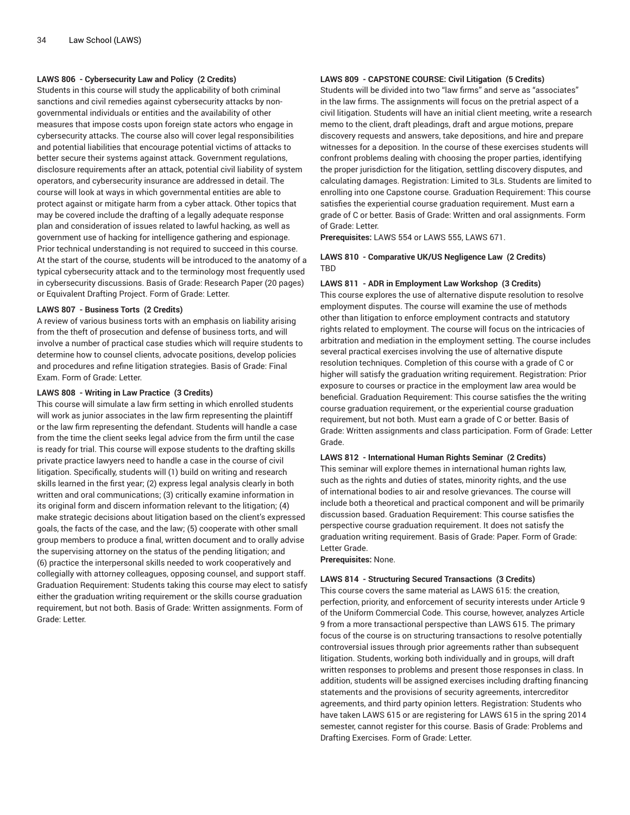# **LAWS 806 - Cybersecurity Law and Policy (2 Credits)**

Students in this course will study the applicability of both criminal sanctions and civil remedies against cybersecurity attacks by nongovernmental individuals or entities and the availability of other measures that impose costs upon foreign state actors who engage in cybersecurity attacks. The course also will cover legal responsibilities and potential liabilities that encourage potential victims of attacks to better secure their systems against attack. Government regulations, disclosure requirements after an attack, potential civil liability of system operators, and cybersecurity insurance are addressed in detail. The course will look at ways in which governmental entities are able to protect against or mitigate harm from a cyber attack. Other topics that may be covered include the drafting of a legally adequate response plan and consideration of issues related to lawful hacking, as well as government use of hacking for intelligence gathering and espionage. Prior technical understanding is not required to succeed in this course. At the start of the course, students will be introduced to the anatomy of a typical cybersecurity attack and to the terminology most frequently used in cybersecurity discussions. Basis of Grade: Research Paper (20 pages) or Equivalent Drafting Project. Form of Grade: Letter.

#### **LAWS 807 - Business Torts (2 Credits)**

A review of various business torts with an emphasis on liability arising from the theft of prosecution and defense of business torts, and will involve a number of practical case studies which will require students to determine how to counsel clients, advocate positions, develop policies and procedures and refine litigation strategies. Basis of Grade: Final Exam. Form of Grade: Letter.

#### **LAWS 808 - Writing in Law Practice (3 Credits)**

This course will simulate a law firm setting in which enrolled students will work as junior associates in the law firm representing the plaintiff or the law firm representing the defendant. Students will handle a case from the time the client seeks legal advice from the firm until the case is ready for trial. This course will expose students to the drafting skills private practice lawyers need to handle a case in the course of civil litigation. Specifically, students will (1) build on writing and research skills learned in the first year; (2) express legal analysis clearly in both written and oral communications; (3) critically examine information in its original form and discern information relevant to the litigation; (4) make strategic decisions about litigation based on the client's expressed goals, the facts of the case, and the law; (5) cooperate with other small group members to produce a final, written document and to orally advise the supervising attorney on the status of the pending litigation; and (6) practice the interpersonal skills needed to work cooperatively and collegially with attorney colleagues, opposing counsel, and support staff. Graduation Requirement: Students taking this course may elect to satisfy either the graduation writing requirement or the skills course graduation requirement, but not both. Basis of Grade: Written assignments. Form of Grade: Letter.

# **LAWS 809 - CAPSTONE COURSE: Civil Litigation (5 Credits)**

Students will be divided into two "law firms" and serve as "associates" in the law firms. The assignments will focus on the pretrial aspect of a civil litigation. Students will have an initial client meeting, write a research memo to the client, draft pleadings, draft and argue motions, prepare discovery requests and answers, take depositions, and hire and prepare witnesses for a deposition. In the course of these exercises students will confront problems dealing with choosing the proper parties, identifying the proper jurisdiction for the litigation, settling discovery disputes, and calculating damages. Registration: Limited to 3Ls. Students are limited to enrolling into one Capstone course. Graduation Requirement: This course satisfies the experiential course graduation requirement. Must earn a grade of C or better. Basis of Grade: Written and oral assignments. Form of Grade: Letter.

**Prerequisites:** LAWS 554 or LAWS 555, LAWS 671.

# **LAWS 810 - Comparative UK/US Negligence Law (2 Credits)** TBD

#### **LAWS 811 - ADR in Employment Law Workshop (3 Credits)**

This course explores the use of alternative dispute resolution to resolve employment disputes. The course will examine the use of methods other than litigation to enforce employment contracts and statutory rights related to employment. The course will focus on the intricacies of arbitration and mediation in the employment setting. The course includes several practical exercises involving the use of alternative dispute resolution techniques. Completion of this course with a grade of C or higher will satisfy the graduation writing requirement. Registration: Prior exposure to courses or practice in the employment law area would be beneficial. Graduation Requirement: This course satisfies the the writing course graduation requirement, or the experiential course graduation requirement, but not both. Must earn a grade of C or better. Basis of Grade: Written assignments and class participation. Form of Grade: Letter Grade.

#### **LAWS 812 - International Human Rights Seminar (2 Credits)**

This seminar will explore themes in international human rights law, such as the rights and duties of states, minority rights, and the use of international bodies to air and resolve grievances. The course will include both a theoretical and practical component and will be primarily discussion based. Graduation Requirement: This course satisfies the perspective course graduation requirement. It does not satisfy the graduation writing requirement. Basis of Grade: Paper. Form of Grade: Letter Grade.

**Prerequisites:** None.

#### **LAWS 814 - Structuring Secured Transactions (3 Credits)**

This course covers the same material as LAWS 615: the creation, perfection, priority, and enforcement of security interests under Article 9 of the Uniform Commercial Code. This course, however, analyzes Article 9 from a more transactional perspective than LAWS 615. The primary focus of the course is on structuring transactions to resolve potentially controversial issues through prior agreements rather than subsequent litigation. Students, working both individually and in groups, will draft written responses to problems and present those responses in class. In addition, students will be assigned exercises including drafting financing statements and the provisions of security agreements, intercreditor agreements, and third party opinion letters. Registration: Students who have taken LAWS 615 or are registering for LAWS 615 in the spring 2014 semester, cannot register for this course. Basis of Grade: Problems and Drafting Exercises. Form of Grade: Letter.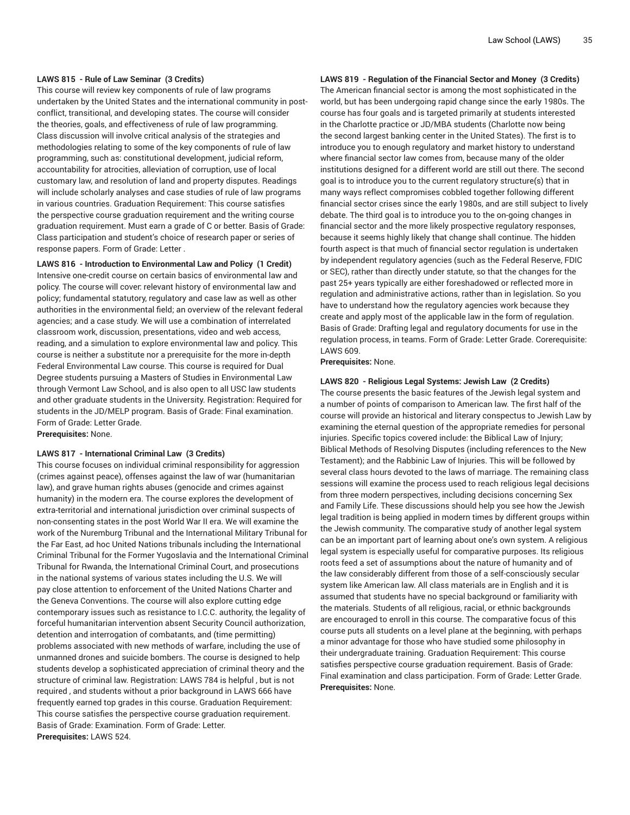# **LAWS 815 - Rule of Law Seminar (3 Credits)**

This course will review key components of rule of law programs undertaken by the United States and the international community in postconflict, transitional, and developing states. The course will consider the theories, goals, and effectiveness of rule of law programming. Class discussion will involve critical analysis of the strategies and methodologies relating to some of the key components of rule of law programming, such as: constitutional development, judicial reform, accountability for atrocities, alleviation of corruption, use of local customary law, and resolution of land and property disputes. Readings will include scholarly analyses and case studies of rule of law programs in various countries. Graduation Requirement: This course satisfies the perspective course graduation requirement and the writing course graduation requirement. Must earn a grade of C or better. Basis of Grade: Class participation and student's choice of research paper or series of response papers. Form of Grade: Letter .

### **LAWS 816 - Introduction to Environmental Law and Policy (1 Credit)**

Intensive one-credit course on certain basics of environmental law and policy. The course will cover: relevant history of environmental law and policy; fundamental statutory, regulatory and case law as well as other authorities in the environmental field; an overview of the relevant federal agencies; and a case study. We will use a combination of interrelated classroom work, discussion, presentations, video and web access, reading, and a simulation to explore environmental law and policy. This course is neither a substitute nor a prerequisite for the more in-depth Federal Environmental Law course. This course is required for Dual Degree students pursuing a Masters of Studies in Environmental Law through Vermont Law School, and is also open to all USC law students and other graduate students in the University. Registration: Required for students in the JD/MELP program. Basis of Grade: Final examination. Form of Grade: Letter Grade. **Prerequisites:** None.

#### **LAWS 817 - International Criminal Law (3 Credits)**

This course focuses on individual criminal responsibility for aggression (crimes against peace), offenses against the law of war (humanitarian law), and grave human rights abuses (genocide and crimes against humanity) in the modern era. The course explores the development of extra-territorial and international jurisdiction over criminal suspects of non-consenting states in the post World War II era. We will examine the work of the Nuremburg Tribunal and the International Military Tribunal for the Far East, ad hoc United Nations tribunals including the International Criminal Tribunal for the Former Yugoslavia and the International Criminal Tribunal for Rwanda, the International Criminal Court, and prosecutions in the national systems of various states including the U.S. We will pay close attention to enforcement of the United Nations Charter and the Geneva Conventions. The course will also explore cutting edge contemporary issues such as resistance to I.C.C. authority, the legality of forceful humanitarian intervention absent Security Council authorization, detention and interrogation of combatants, and (time permitting) problems associated with new methods of warfare, including the use of unmanned drones and suicide bombers. The course is designed to help students develop a sophisticated appreciation of criminal theory and the structure of criminal law. Registration: LAWS 784 is helpful , but is not required , and students without a prior background in LAWS 666 have frequently earned top grades in this course. Graduation Requirement: This course satisfies the perspective course graduation requirement. Basis of Grade: Examination. Form of Grade: Letter. **Prerequisites:** LAWS 524.

# **LAWS 819 - Regulation of the Financial Sector and Money (3 Credits)**

The American financial sector is among the most sophisticated in the world, but has been undergoing rapid change since the early 1980s. The course has four goals and is targeted primarily at students interested in the Charlotte practice or JD/MBA students (Charlotte now being the second largest banking center in the United States). The first is to introduce you to enough regulatory and market history to understand where financial sector law comes from, because many of the older institutions designed for a different world are still out there. The second goal is to introduce you to the current regulatory structure(s) that in many ways reflect compromises cobbled together following different financial sector crises since the early 1980s, and are still subject to lively debate. The third goal is to introduce you to the on-going changes in financial sector and the more likely prospective regulatory responses, because it seems highly likely that change shall continue. The hidden fourth aspect is that much of financial sector regulation is undertaken by independent regulatory agencies (such as the Federal Reserve, FDIC or SEC), rather than directly under statute, so that the changes for the past 25+ years typically are either foreshadowed or reflected more in regulation and administrative actions, rather than in legislation. So you have to understand how the regulatory agencies work because they create and apply most of the applicable law in the form of regulation. Basis of Grade: Drafting legal and regulatory documents for use in the regulation process, in teams. Form of Grade: Letter Grade. Corerequisite: LAWS 609.

**Prerequisites:** None.

#### **LAWS 820 - Religious Legal Systems: Jewish Law (2 Credits)**

The course presents the basic features of the Jewish legal system and a number of points of comparison to American law. The first half of the course will provide an historical and literary conspectus to Jewish Law by examining the eternal question of the appropriate remedies for personal injuries. Specific topics covered include: the Biblical Law of Injury; Biblical Methods of Resolving Disputes (including references to the New Testament); and the Rabbinic Law of Injuries. This will be followed by several class hours devoted to the laws of marriage. The remaining class sessions will examine the process used to reach religious legal decisions from three modern perspectives, including decisions concerning Sex and Family Life. These discussions should help you see how the Jewish legal tradition is being applied in modern times by different groups within the Jewish community. The comparative study of another legal system can be an important part of learning about one's own system. A religious legal system is especially useful for comparative purposes. Its religious roots feed a set of assumptions about the nature of humanity and of the law considerably different from those of a self-consciously secular system like American law. All class materials are in English and it is assumed that students have no special background or familiarity with the materials. Students of all religious, racial, or ethnic backgrounds are encouraged to enroll in this course. The comparative focus of this course puts all students on a level plane at the beginning, with perhaps a minor advantage for those who have studied some philosophy in their undergraduate training. Graduation Requirement: This course satisfies perspective course graduation requirement. Basis of Grade: Final examination and class participation. Form of Grade: Letter Grade. **Prerequisites:** None.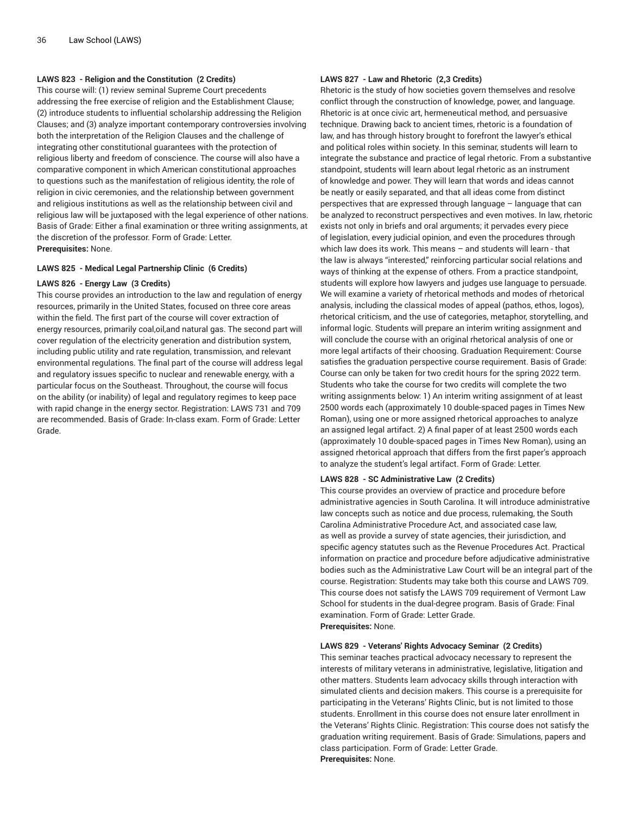# **LAWS 823 - Religion and the Constitution (2 Credits)**

This course will: (1) review seminal Supreme Court precedents addressing the free exercise of religion and the Establishment Clause; (2) introduce students to influential scholarship addressing the Religion Clauses; and (3) analyze important contemporary controversies involving both the interpretation of the Religion Clauses and the challenge of integrating other constitutional guarantees with the protection of religious liberty and freedom of conscience. The course will also have a comparative component in which American constitutional approaches to questions such as the manifestation of religious identity, the role of religion in civic ceremonies, and the relationship between government and religious institutions as well as the relationship between civil and religious law will be juxtaposed with the legal experience of other nations. Basis of Grade: Either a final examination or three writing assignments, at the discretion of the professor. Form of Grade: Letter. **Prerequisites:** None.

#### **LAWS 825 - Medical Legal Partnership Clinic (6 Credits)**

#### **LAWS 826 - Energy Law (3 Credits)**

This course provides an introduction to the law and regulation of energy resources, primarily in the United States, focused on three core areas within the field. The first part of the course will cover extraction of energy resources, primarily coal,oil,and natural gas. The second part will cover regulation of the electricity generation and distribution system, including public utility and rate regulation, transmission, and relevant environmental regulations. The final part of the course will address legal and regulatory issues specific to nuclear and renewable energy, with a particular focus on the Southeast. Throughout, the course will focus on the ability (or inability) of legal and regulatory regimes to keep pace with rapid change in the energy sector. Registration: LAWS 731 and 709 are recommended. Basis of Grade: In-class exam. Form of Grade: Letter Grade.

#### **LAWS 827 - Law and Rhetoric (2,3 Credits)**

Rhetoric is the study of how societies govern themselves and resolve conflict through the construction of knowledge, power, and language. Rhetoric is at once civic art, hermeneutical method, and persuasive technique. Drawing back to ancient times, rhetoric is a foundation of law, and has through history brought to forefront the lawyer's ethical and political roles within society. In this seminar, students will learn to integrate the substance and practice of legal rhetoric. From a substantive standpoint, students will learn about legal rhetoric as an instrument of knowledge and power. They will learn that words and ideas cannot be neatly or easily separated, and that all ideas come from distinct perspectives that are expressed through language – language that can be analyzed to reconstruct perspectives and even motives. In law, rhetoric exists not only in briefs and oral arguments; it pervades every piece of legislation, every judicial opinion, and even the procedures through which law does its work. This means – and students will learn - that the law is always "interested," reinforcing particular social relations and ways of thinking at the expense of others. From a practice standpoint, students will explore how lawyers and judges use language to persuade. We will examine a variety of rhetorical methods and modes of rhetorical analysis, including the classical modes of appeal (pathos, ethos, logos), rhetorical criticism, and the use of categories, metaphor, storytelling, and informal logic. Students will prepare an interim writing assignment and will conclude the course with an original rhetorical analysis of one or more legal artifacts of their choosing. Graduation Requirement: Course satisfies the graduation perspective course requirement. Basis of Grade: Course can only be taken for two credit hours for the spring 2022 term. Students who take the course for two credits will complete the two writing assignments below: 1) An interim writing assignment of at least 2500 words each (approximately 10 double-spaced pages in Times New Roman), using one or more assigned rhetorical approaches to analyze an assigned legal artifact. 2) A final paper of at least 2500 words each (approximately 10 double-spaced pages in Times New Roman), using an assigned rhetorical approach that differs from the first paper's approach to analyze the student's legal artifact. Form of Grade: Letter.

# **LAWS 828 - SC Administrative Law (2 Credits)**

This course provides an overview of practice and procedure before administrative agencies in South Carolina. It will introduce administrative law concepts such as notice and due process, rulemaking, the South Carolina Administrative Procedure Act, and associated case law, as well as provide a survey of state agencies, their jurisdiction, and specific agency statutes such as the Revenue Procedures Act. Practical information on practice and procedure before adjudicative administrative bodies such as the Administrative Law Court will be an integral part of the course. Registration: Students may take both this course and LAWS 709. This course does not satisfy the LAWS 709 requirement of Vermont Law School for students in the dual-degree program. Basis of Grade: Final examination. Form of Grade: Letter Grade. **Prerequisites:** None.

#### **LAWS 829 - Veterans' Rights Advocacy Seminar (2 Credits)**

This seminar teaches practical advocacy necessary to represent the interests of military veterans in administrative, legislative, litigation and other matters. Students learn advocacy skills through interaction with simulated clients and decision makers. This course is a prerequisite for participating in the Veterans' Rights Clinic, but is not limited to those students. Enrollment in this course does not ensure later enrollment in the Veterans' Rights Clinic. Registration: This course does not satisfy the graduation writing requirement. Basis of Grade: Simulations, papers and class participation. Form of Grade: Letter Grade. **Prerequisites:** None.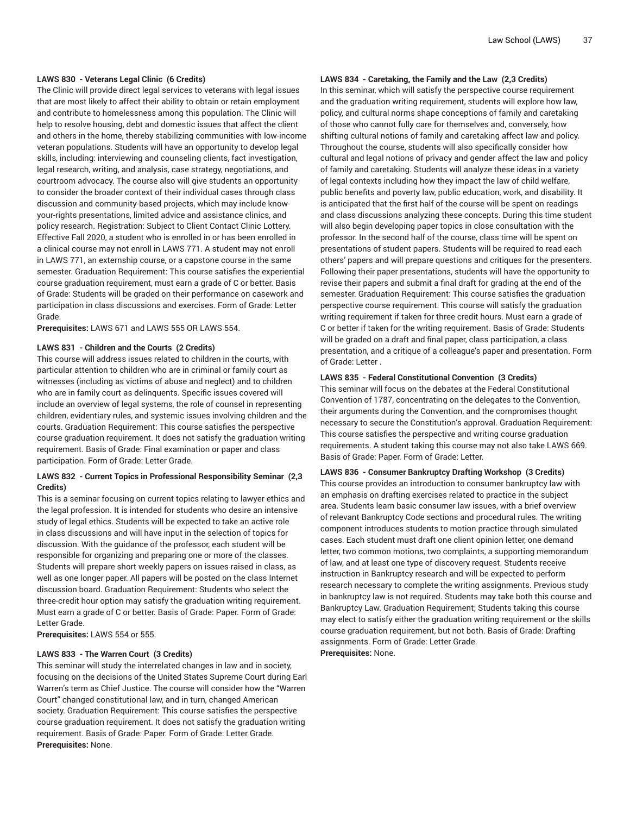# **LAWS 830 - Veterans Legal Clinic (6 Credits)**

The Clinic will provide direct legal services to veterans with legal issues that are most likely to affect their ability to obtain or retain employment and contribute to homelessness among this population. The Clinic will help to resolve housing, debt and domestic issues that affect the client and others in the home, thereby stabilizing communities with low-income veteran populations. Students will have an opportunity to develop legal skills, including: interviewing and counseling clients, fact investigation, legal research, writing, and analysis, case strategy, negotiations, and courtroom advocacy. The course also will give students an opportunity to consider the broader context of their individual cases through class discussion and community-based projects, which may include knowyour-rights presentations, limited advice and assistance clinics, and policy research. Registration: Subject to Client Contact Clinic Lottery. Effective Fall 2020, a student who is enrolled in or has been enrolled in a clinical course may not enroll in LAWS 771. A student may not enroll in LAWS 771, an externship course, or a capstone course in the same semester. Graduation Requirement: This course satisfies the experiential course graduation requirement, must earn a grade of C or better. Basis of Grade: Students will be graded on their performance on casework and participation in class discussions and exercises. Form of Grade: Letter Grade.

**Prerequisites:** LAWS 671 and LAWS 555 OR LAWS 554.

#### **LAWS 831 - Children and the Courts (2 Credits)**

This course will address issues related to children in the courts, with particular attention to children who are in criminal or family court as witnesses (including as victims of abuse and neglect) and to children who are in family court as delinquents. Specific issues covered will include an overview of legal systems, the role of counsel in representing children, evidentiary rules, and systemic issues involving children and the courts. Graduation Requirement: This course satisfies the perspective course graduation requirement. It does not satisfy the graduation writing requirement. Basis of Grade: Final examination or paper and class participation. Form of Grade: Letter Grade.

# **LAWS 832 - Current Topics in Professional Responsibility Seminar (2,3 Credits)**

This is a seminar focusing on current topics relating to lawyer ethics and the legal profession. It is intended for students who desire an intensive study of legal ethics. Students will be expected to take an active role in class discussions and will have input in the selection of topics for discussion. With the guidance of the professor, each student will be responsible for organizing and preparing one or more of the classes. Students will prepare short weekly papers on issues raised in class, as well as one longer paper. All papers will be posted on the class Internet discussion board. Graduation Requirement: Students who select the three-credit hour option may satisfy the graduation writing requirement. Must earn a grade of C or better. Basis of Grade: Paper. Form of Grade: Letter Grade.

**Prerequisites:** LAWS 554 or 555.

#### **LAWS 833 - The Warren Court (3 Credits)**

This seminar will study the interrelated changes in law and in society, focusing on the decisions of the United States Supreme Court during Earl Warren's term as Chief Justice. The course will consider how the "Warren Court" changed constitutional law, and in turn, changed American society. Graduation Requirement: This course satisfies the perspective course graduation requirement. It does not satisfy the graduation writing requirement. Basis of Grade: Paper. Form of Grade: Letter Grade. **Prerequisites:** None.

# **LAWS 834 - Caretaking, the Family and the Law (2,3 Credits)**

In this seminar, which will satisfy the perspective course requirement and the graduation writing requirement, students will explore how law, policy, and cultural norms shape conceptions of family and caretaking of those who cannot fully care for themselves and, conversely, how shifting cultural notions of family and caretaking affect law and policy. Throughout the course, students will also specifically consider how cultural and legal notions of privacy and gender affect the law and policy of family and caretaking. Students will analyze these ideas in a variety of legal contexts including how they impact the law of child welfare, public benefits and poverty law, public education, work, and disability. It is anticipated that the first half of the course will be spent on readings and class discussions analyzing these concepts. During this time student will also begin developing paper topics in close consultation with the professor. In the second half of the course, class time will be spent on presentations of student papers. Students will be required to read each others' papers and will prepare questions and critiques for the presenters. Following their paper presentations, students will have the opportunity to revise their papers and submit a final draft for grading at the end of the semester. Graduation Requirement: This course satisfies the graduation perspective course requirement. This course will satisfy the graduation writing requirement if taken for three credit hours. Must earn a grade of C or better if taken for the writing requirement. Basis of Grade: Students will be graded on a draft and final paper, class participation, a class presentation, and a critique of a colleague's paper and presentation. Form of Grade: Letter .

#### **LAWS 835 - Federal Constitutional Convention (3 Credits)**

This seminar will focus on the debates at the Federal Constitutional Convention of 1787, concentrating on the delegates to the Convention, their arguments during the Convention, and the compromises thought necessary to secure the Constitution's approval. Graduation Requirement: This course satisfies the perspective and writing course graduation requirements. A student taking this course may not also take LAWS 669. Basis of Grade: Paper. Form of Grade: Letter.

#### **LAWS 836 - Consumer Bankruptcy Drafting Workshop (3 Credits)**

This course provides an introduction to consumer bankruptcy law with an emphasis on drafting exercises related to practice in the subject area. Students learn basic consumer law issues, with a brief overview of relevant Bankruptcy Code sections and procedural rules. The writing component introduces students to motion practice through simulated cases. Each student must draft one client opinion letter, one demand letter, two common motions, two complaints, a supporting memorandum of law, and at least one type of discovery request. Students receive instruction in Bankruptcy research and will be expected to perform research necessary to complete the writing assignments. Previous study in bankruptcy law is not required. Students may take both this course and Bankruptcy Law. Graduation Requirement; Students taking this course may elect to satisfy either the graduation writing requirement or the skills course graduation requirement, but not both. Basis of Grade: Drafting assignments. Form of Grade: Letter Grade. **Prerequisites:** None.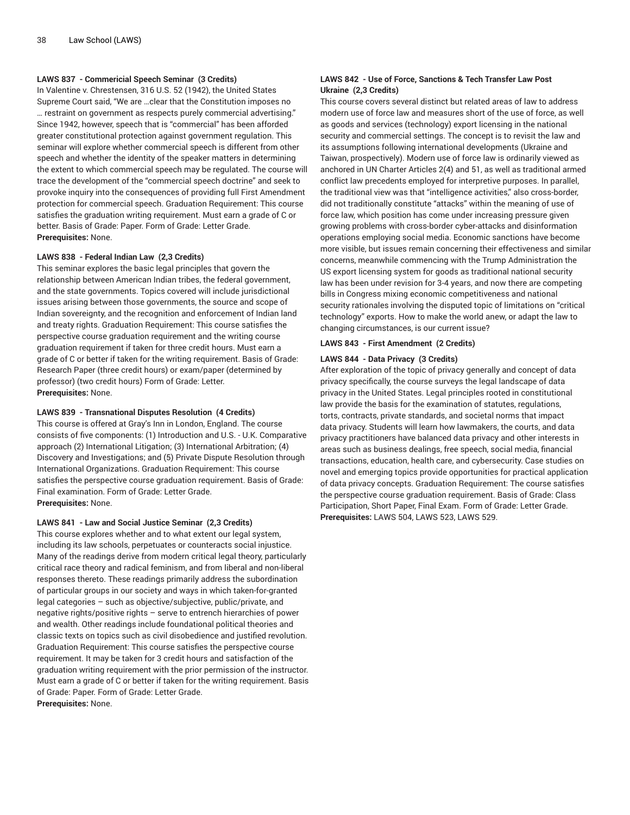# **LAWS 837 - Commericial Speech Seminar (3 Credits)**

In Valentine v. Chrestensen, 316 U.S. 52 (1942), the United States Supreme Court said, "We are …clear that the Constitution imposes no … restraint on government as respects purely commercial advertising." Since 1942, however, speech that is "commercial" has been afforded greater constitutional protection against government regulation. This seminar will explore whether commercial speech is different from other speech and whether the identity of the speaker matters in determining the extent to which commercial speech may be regulated. The course will trace the development of the "commercial speech doctrine" and seek to provoke inquiry into the consequences of providing full First Amendment protection for commercial speech. Graduation Requirement: This course satisfies the graduation writing requirement. Must earn a grade of C or better. Basis of Grade: Paper. Form of Grade: Letter Grade. **Prerequisites:** None.

### **LAWS 838 - Federal Indian Law (2,3 Credits)**

This seminar explores the basic legal principles that govern the relationship between American Indian tribes, the federal government, and the state governments. Topics covered will include jurisdictional issues arising between those governments, the source and scope of Indian sovereignty, and the recognition and enforcement of Indian land and treaty rights. Graduation Requirement: This course satisfies the perspective course graduation requirement and the writing course graduation requirement if taken for three credit hours. Must earn a grade of C or better if taken for the writing requirement. Basis of Grade: Research Paper (three credit hours) or exam/paper (determined by professor) (two credit hours) Form of Grade: Letter. **Prerequisites:** None.

#### **LAWS 839 - Transnational Disputes Resolution (4 Credits)**

This course is offered at Gray's Inn in London, England. The course consists of five components: (1) Introduction and U.S. - U.K. Comparative approach (2) International Litigation; (3) International Arbitration; (4) Discovery and Investigations; and (5) Private Dispute Resolution through International Organizations. Graduation Requirement: This course satisfies the perspective course graduation requirement. Basis of Grade: Final examination. Form of Grade: Letter Grade. **Prerequisites:** None.

#### **LAWS 841 - Law and Social Justice Seminar (2,3 Credits)**

This course explores whether and to what extent our legal system, including its law schools, perpetuates or counteracts social injustice. Many of the readings derive from modern critical legal theory, particularly critical race theory and radical feminism, and from liberal and non-liberal responses thereto. These readings primarily address the subordination of particular groups in our society and ways in which taken-for-granted legal categories – such as objective/subjective, public/private, and negative rights/positive rights – serve to entrench hierarchies of power and wealth. Other readings include foundational political theories and classic texts on topics such as civil disobedience and justified revolution. Graduation Requirement: This course satisfies the perspective course requirement. It may be taken for 3 credit hours and satisfaction of the graduation writing requirement with the prior permission of the instructor. Must earn a grade of C or better if taken for the writing requirement. Basis of Grade: Paper. Form of Grade: Letter Grade. **Prerequisites:** None.

# **LAWS 842 - Use of Force, Sanctions & Tech Transfer Law Post Ukraine (2,3 Credits)**

This course covers several distinct but related areas of law to address modern use of force law and measures short of the use of force, as well as goods and services (technology) export licensing in the national security and commercial settings. The concept is to revisit the law and its assumptions following international developments (Ukraine and Taiwan, prospectively). Modern use of force law is ordinarily viewed as anchored in UN Charter Articles 2(4) and 51, as well as traditional armed conflict law precedents employed for interpretive purposes. In parallel, the traditional view was that "intelligence activities," also cross-border, did not traditionally constitute "attacks" within the meaning of use of force law, which position has come under increasing pressure given growing problems with cross-border cyber-attacks and disinformation operations employing social media. Economic sanctions have become more visible, but issues remain concerning their effectiveness and similar concerns, meanwhile commencing with the Trump Administration the US export licensing system for goods as traditional national security law has been under revision for 3-4 years, and now there are competing bills in Congress mixing economic competitiveness and national security rationales involving the disputed topic of limitations on "critical technology" exports. How to make the world anew, or adapt the law to changing circumstances, is our current issue?

#### **LAWS 843 - First Amendment (2 Credits)**

#### **LAWS 844 - Data Privacy (3 Credits)**

After exploration of the topic of privacy generally and concept of data privacy specifically, the course surveys the legal landscape of data privacy in the United States. Legal principles rooted in constitutional law provide the basis for the examination of statutes, regulations, torts, contracts, private standards, and societal norms that impact data privacy. Students will learn how lawmakers, the courts, and data privacy practitioners have balanced data privacy and other interests in areas such as business dealings, free speech, social media, financial transactions, education, health care, and cybersecurity. Case studies on novel and emerging topics provide opportunities for practical application of data privacy concepts. Graduation Requirement: The course satisfies the perspective course graduation requirement. Basis of Grade: Class Participation, Short Paper, Final Exam. Form of Grade: Letter Grade. **Prerequisites:** LAWS 504, LAWS 523, LAWS 529.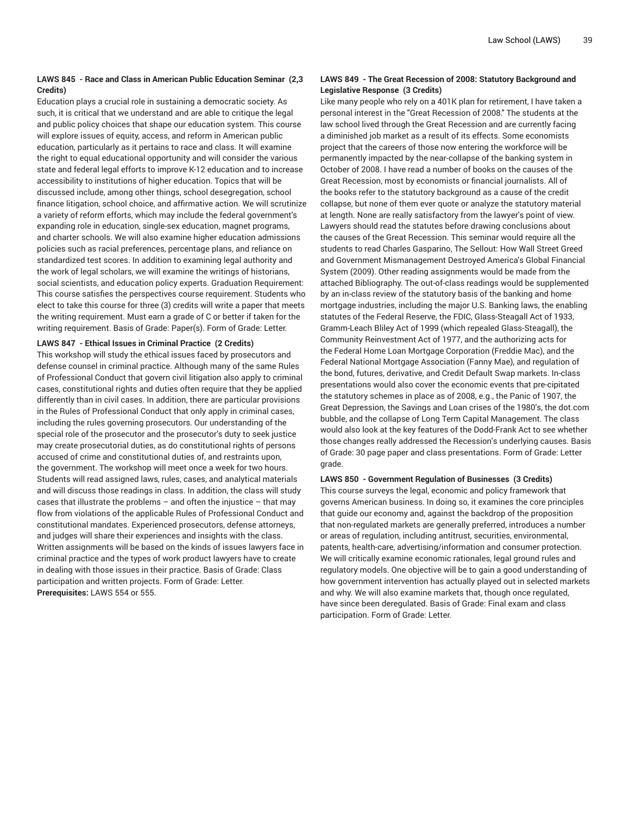# **LAWS 845 - Race and Class in American Public Education Seminar (2,3 Credits)**

Education plays a crucial role in sustaining a democratic society. As such, it is critical that we understand and are able to critique the legal and public policy choices that shape our education system. This course will explore issues of equity, access, and reform in American public education, particularly as it pertains to race and class. It will examine the right to equal educational opportunity and will consider the various state and federal legal efforts to improve K-12 education and to increase accessibility to institutions of higher education. Topics that will be discussed include, among other things, school desegregation, school finance litigation, school choice, and affirmative action. We will scrutinize a variety of reform efforts, which may include the federal government's expanding role in education, single-sex education, magnet programs, and charter schools. We will also examine higher education admissions policies such as racial preferences, percentage plans, and reliance on standardized test scores. In addition to examining legal authority and the work of legal scholars, we will examine the writings of historians, social scientists, and education policy experts. Graduation Requirement: This course satisfies the perspectives course requirement. Students who elect to take this course for three (3) credits will write a paper that meets the writing requirement. Must earn a grade of C or better if taken for the writing requirement. Basis of Grade: Paper(s). Form of Grade: Letter.

#### **LAWS 847 - Ethical Issues in Criminal Practice (2 Credits)**

This workshop will study the ethical issues faced by prosecutors and defense counsel in criminal practice. Although many of the same Rules of Professional Conduct that govern civil litigation also apply to criminal cases, constitutional rights and duties often require that they be applied differently than in civil cases. In addition, there are particular provisions in the Rules of Professional Conduct that only apply in criminal cases, including the rules governing prosecutors. Our understanding of the special role of the prosecutor and the prosecutor's duty to seek justice may create prosecutorial duties, as do constitutional rights of persons accused of crime and constitutional duties of, and restraints upon, the government. The workshop will meet once a week for two hours. Students will read assigned laws, rules, cases, and analytical materials and will discuss those readings in class. In addition, the class will study cases that illustrate the problems  $-$  and often the injustice  $-$  that may flow from violations of the applicable Rules of Professional Conduct and constitutional mandates. Experienced prosecutors, defense attorneys, and judges will share their experiences and insights with the class. Written assignments will be based on the kinds of issues lawyers face in criminal practice and the types of work product lawyers have to create in dealing with those issues in their practice. Basis of Grade: Class participation and written projects. Form of Grade: Letter. **Prerequisites:** LAWS 554 or 555.

# **LAWS 849 - The Great Recession of 2008: Statutory Background and Legislative Response (3 Credits)**

Like many people who rely on a 401K plan for retirement, I have taken a personal interest in the "Great Recession of 2008." The students at the law school lived through the Great Recession and are currently facing a diminished job market as a result of its effects. Some economists project that the careers of those now entering the workforce will be permanently impacted by the near-collapse of the banking system in October of 2008. I have read a number of books on the causes of the Great Recession, most by economists or financial journalists. All of the books refer to the statutory background as a cause of the credit collapse, but none of them ever quote or analyze the statutory material at length. None are really satisfactory from the lawyer's point of view. Lawyers should read the statutes before drawing conclusions about the causes of the Great Recession. This seminar would require all the students to read Charles Gasparino, The Sellout: How Wall Street Greed and Government Mismanagement Destroyed America's Global Financial System (2009). Other reading assignments would be made from the attached Bibliography. The out-of-class readings would be supplemented by an in-class review of the statutory basis of the banking and home mortgage industries, including the major U.S. Banking laws, the enabling statutes of the Federal Reserve, the FDIC, Glass-Steagall Act of 1933, Gramm-Leach Bliley Act of 1999 (which repealed Glass-Steagall), the Community Reinvestment Act of 1977, and the authorizing acts for the Federal Home Loan Mortgage Corporation (Freddie Mac), and the Federal National Mortgage Association (Fanny Mae), and regulation of the bond, futures, derivative, and Credit Default Swap markets. In-class presentations would also cover the economic events that pre-cipitated the statutory schemes in place as of 2008, e.g., the Panic of 1907, the Great Depression, the Savings and Loan crises of the 1980's, the dot.com bubble, and the collapse of Long Term Capital Management. The class would also look at the key features of the Dodd-Frank Act to see whether those changes really addressed the Recession's underlying causes. Basis of Grade: 30 page paper and class presentations. Form of Grade: Letter grade.

#### **LAWS 850 - Government Regulation of Businesses (3 Credits)**

This course surveys the legal, economic and policy framework that governs American business. In doing so, it examines the core principles that guide our economy and, against the backdrop of the proposition that non-regulated markets are generally preferred, introduces a number or areas of regulation, including antitrust, securities, environmental, patents, health-care, advertising/information and consumer protection. We will critically examine economic rationales, legal ground rules and regulatory models. One objective will be to gain a good understanding of how government intervention has actually played out in selected markets and why. We will also examine markets that, though once regulated, have since been deregulated. Basis of Grade: Final exam and class participation. Form of Grade: Letter.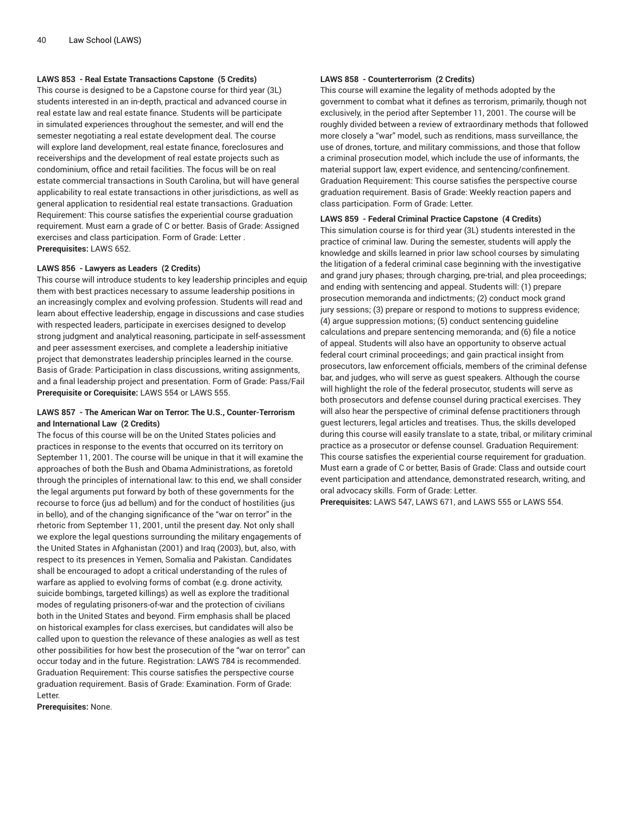# **LAWS 853 - Real Estate Transactions Capstone (5 Credits)**

This course is designed to be a Capstone course for third year (3L) students interested in an in-depth, practical and advanced course in real estate law and real estate finance. Students will be participate in simulated experiences throughout the semester, and will end the semester negotiating a real estate development deal. The course will explore land development, real estate finance, foreclosures and receiverships and the development of real estate projects such as condominium, office and retail facilities. The focus will be on real estate commercial transactions in South Carolina, but will have general applicability to real estate transactions in other jurisdictions, as well as general application to residential real estate transactions. Graduation Requirement: This course satisfies the experiential course graduation requirement. Must earn a grade of C or better. Basis of Grade: Assigned exercises and class participation. Form of Grade: Letter . **Prerequisites:** LAWS 652.

#### **LAWS 856 - Lawyers as Leaders (2 Credits)**

This course will introduce students to key leadership principles and equip them with best practices necessary to assume leadership positions in an increasingly complex and evolving profession. Students will read and learn about effective leadership, engage in discussions and case studies with respected leaders, participate in exercises designed to develop strong judgment and analytical reasoning, participate in self-assessment and peer assessment exercises, and complete a leadership initiative project that demonstrates leadership principles learned in the course. Basis of Grade: Participation in class discussions, writing assignments, and a final leadership project and presentation. Form of Grade: Pass/Fail **Prerequisite or Corequisite:** LAWS 554 or LAWS 555.

# **LAWS 857 - The American War on Terror: The U.S., Counter-Terrorism and International Law (2 Credits)**

The focus of this course will be on the United States policies and practices in response to the events that occurred on its territory on September 11, 2001. The course will be unique in that it will examine the approaches of both the Bush and Obama Administrations, as foretold through the principles of international law: to this end, we shall consider the legal arguments put forward by both of these governments for the recourse to force (jus ad bellum) and for the conduct of hostilities (jus in bello), and of the changing significance of the "war on terror" in the rhetoric from September 11, 2001, until the present day. Not only shall we explore the legal questions surrounding the military engagements of the United States in Afghanistan (2001) and Iraq (2003), but, also, with respect to its presences in Yemen, Somalia and Pakistan. Candidates shall be encouraged to adopt a critical understanding of the rules of warfare as applied to evolving forms of combat (e.g. drone activity, suicide bombings, targeted killings) as well as explore the traditional modes of regulating prisoners-of-war and the protection of civilians both in the United States and beyond. Firm emphasis shall be placed on historical examples for class exercises, but candidates will also be called upon to question the relevance of these analogies as well as test other possibilities for how best the prosecution of the "war on terror" can occur today and in the future. Registration: LAWS 784 is recommended. Graduation Requirement: This course satisfies the perspective course graduation requirement. Basis of Grade: Examination. Form of Grade: Letter.

**Prerequisites:** None.

# **LAWS 858 - Counterterrorism (2 Credits)**

This course will examine the legality of methods adopted by the government to combat what it defines as terrorism, primarily, though not exclusively, in the period after September 11, 2001. The course will be roughly divided between a review of extraordinary methods that followed more closely a "war" model, such as renditions, mass surveillance, the use of drones, torture, and military commissions, and those that follow a criminal prosecution model, which include the use of informants, the material support law, expert evidence, and sentencing/confinement. Graduation Requirement: This course satisfies the perspective course graduation requirement. Basis of Grade: Weekly reaction papers and class participation. Form of Grade: Letter.

#### **LAWS 859 - Federal Criminal Practice Capstone (4 Credits)**

This simulation course is for third year (3L) students interested in the practice of criminal law. During the semester, students will apply the knowledge and skills learned in prior law school courses by simulating the litigation of a federal criminal case beginning with the investigative and grand jury phases; through charging, pre-trial, and plea proceedings; and ending with sentencing and appeal. Students will: (1) prepare prosecution memoranda and indictments; (2) conduct mock grand jury sessions; (3) prepare or respond to motions to suppress evidence; (4) argue suppression motions; (5) conduct sentencing guideline calculations and prepare sentencing memoranda; and (6) file a notice of appeal. Students will also have an opportunity to observe actual federal court criminal proceedings; and gain practical insight from prosecutors, law enforcement officials, members of the criminal defense bar, and judges, who will serve as guest speakers. Although the course will highlight the role of the federal prosecutor, students will serve as both prosecutors and defense counsel during practical exercises. They will also hear the perspective of criminal defense practitioners through guest lecturers, legal articles and treatises. Thus, the skills developed during this course will easily translate to a state, tribal, or military criminal practice as a prosecutor or defense counsel. Graduation Requirement: This course satisfies the experiential course requirement for graduation. Must earn a grade of C or better, Basis of Grade: Class and outside court event participation and attendance, demonstrated research, writing, and oral advocacy skills. Form of Grade: Letter.

**Prerequisites:** LAWS 547, LAWS 671, and LAWS 555 or LAWS 554.